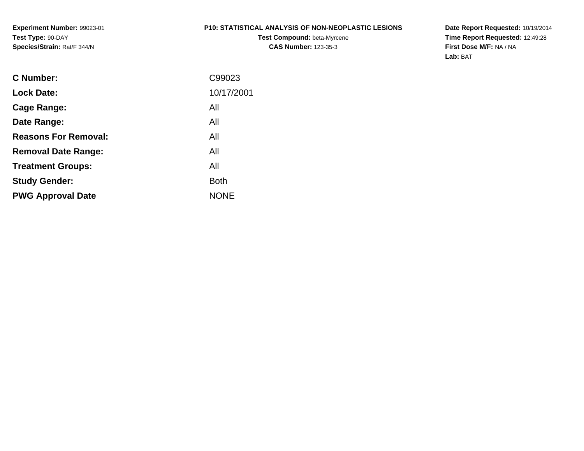#### **P10: STATISTICAL ANALYSIS OF NON-NEOPLASTIC LESIONS**

**Test Compound:** beta-Myrcene**CAS Number:** 123-35-3

**Date Report Requested:** 10/19/2014 **Time Report Requested:** 12:49:28**First Dose M/F:** NA / NA**Lab:** BAT

| C99023      |
|-------------|
| 10/17/2001  |
| All         |
| All         |
| All         |
| All         |
| All         |
| <b>Both</b> |
| <b>NONE</b> |
|             |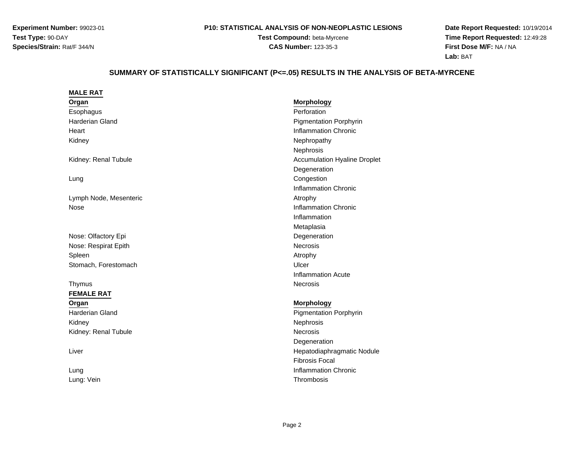#### **P10: STATISTICAL ANALYSIS OF NON-NEOPLASTIC LESIONS**

**Test Compound:** beta-Myrcene**CAS Number:** 123-35-3

**Date Report Requested:** 10/19/2014 **Time Report Requested:** 12:49:28**First Dose M/F:** NA / NA**Lab:** BAT

# **SUMMARY OF STATISTICALLY SIGNIFICANT (P<=.05) RESULTS IN THE ANALYSIS OF BETA-MYRCENE**

| <b>MALE RAT</b>        |                                     |
|------------------------|-------------------------------------|
| Organ                  | Morphology                          |
| Esophagus              | Perforation                         |
| <b>Harderian Gland</b> | <b>Pigmentation Porphyrin</b>       |
| Heart                  | <b>Inflammation Chronic</b>         |
| Kidney                 | Nephropathy                         |
|                        | Nephrosis                           |
| Kidney: Renal Tubule   | <b>Accumulation Hyaline Droplet</b> |
|                        | Degeneration                        |
| Lung                   | Congestion                          |
|                        | <b>Inflammation Chronic</b>         |
| Lymph Node, Mesenteric | Atrophy                             |
| Nose                   | <b>Inflammation Chronic</b>         |
|                        | Inflammation                        |
|                        | Metaplasia                          |
| Nose: Olfactory Epi    | Degeneration                        |
| Nose: Respirat Epith   | Necrosis                            |
| Spleen                 | Atrophy                             |
| Stomach, Forestomach   | Ulcer                               |
|                        | <b>Inflammation Acute</b>           |
| Thymus                 | <b>Necrosis</b>                     |
| <b>FEMALE RAT</b>      |                                     |
| Organ                  | <b>Morphology</b>                   |
| <b>Harderian Gland</b> | <b>Pigmentation Porphyrin</b>       |
| Kidney                 | Nephrosis                           |
| Kidney: Renal Tubule   | <b>Necrosis</b>                     |
|                        | Degeneration                        |
| Liver                  | Hepatodiaphragmatic Nodule          |
|                        | <b>Fibrosis Focal</b>               |
| Lung                   | <b>Inflammation Chronic</b>         |
| Lung: Vein             | Thrombosis                          |
|                        |                                     |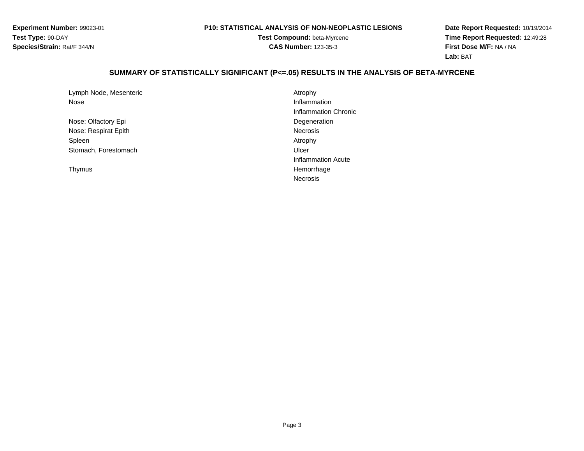#### **P10: STATISTICAL ANALYSIS OF NON-NEOPLASTIC LESIONS**

**Test Compound:** beta-Myrcene**CAS Number:** 123-35-3

**Date Report Requested:** 10/19/2014**Time Report Requested:** 12:49:28**First Dose M/F:** NA / NA**Lab:** BAT

#### **SUMMARY OF STATISTICALLY SIGNIFICANT (P<=.05) RESULTS IN THE ANALYSIS OF BETA-MYRCENE**

| Lymph Node, Mesenteric | Atrophy         |
|------------------------|-----------------|
| Nose                   | Inflammation    |
|                        | Inflammation    |
| Nose: Olfactory Epi    | Degeneration    |
| Nose: Respirat Epith   | <b>Necrosis</b> |
| Spleen                 | Atrophy         |
| Stomach, Forestomach   | Ulcer           |

Thymus

Atrophy<br>Inflammation Inflammation Chronic Degenerationh Ulcer and the Ulcer of the Ulcer of the Ulcer of the Ulcer of the Ulcer of the Ulcer of the Ulcer of the Ulc Inflammation Acute HemorrhageNecrosis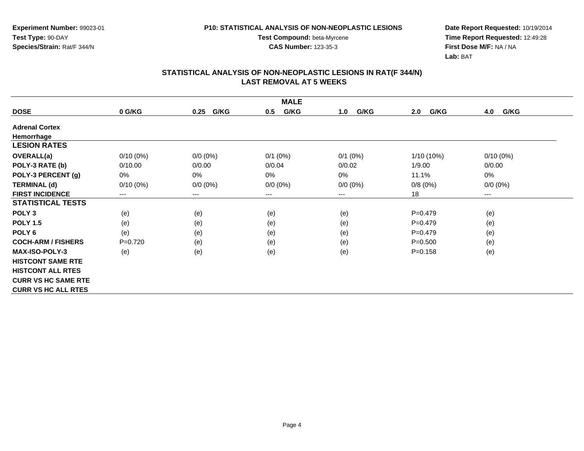**CAS Number:** 123-35-3

**Experiment Number:** 99023-01**Test Type:** 90-DAY**Species/Strain:** Rat/F 344/N

**Date Report Requested:** 10/19/2014 **Time Report Requested:** 12:49:28**First Dose M/F:** NA / NA**Lab:** BAT

| <b>MALE</b>                |             |                        |             |             |              |             |  |
|----------------------------|-------------|------------------------|-------------|-------------|--------------|-------------|--|
| <b>DOSE</b>                | 0 G/KG      | G/KG<br>0.25           | G/KG<br>0.5 | G/KG<br>1.0 | G/KG<br>2.0  | 4.0<br>G/KG |  |
| <b>Adrenal Cortex</b>      |             |                        |             |             |              |             |  |
| Hemorrhage                 |             |                        |             |             |              |             |  |
| <b>LESION RATES</b>        |             |                        |             |             |              |             |  |
| <b>OVERALL(a)</b>          | $0/10(0\%)$ | $0/0 (0\%)$            | $0/1$ (0%)  | $0/1$ (0%)  | $1/10(10\%)$ | $0/10(0\%)$ |  |
| POLY-3 RATE (b)            | 0/10.00     | 0/0.00                 | 0/0.04      | 0/0.02      | 1/9.00       | 0/0.00      |  |
| POLY-3 PERCENT (g)         | 0%          | 0%                     | 0%          | 0%          | 11.1%        | 0%          |  |
| <b>TERMINAL (d)</b>        | $0/10(0\%)$ | $0/0 (0\%)$            | $0/0 (0\%)$ | $0/0 (0\%)$ | 0/8(0%)      | $0/0 (0\%)$ |  |
| <b>FIRST INCIDENCE</b>     | ---         | $\qquad \qquad \cdots$ | $--$        | ---         | 18           | ---         |  |
| <b>STATISTICAL TESTS</b>   |             |                        |             |             |              |             |  |
| POLY <sub>3</sub>          | (e)         | (e)                    | (e)         | (e)         | $P=0.479$    | (e)         |  |
| <b>POLY 1.5</b>            | (e)         | (e)                    | (e)         | (e)         | $P=0.479$    | (e)         |  |
| POLY <sub>6</sub>          | (e)         | (e)                    | (e)         | (e)         | $P=0.479$    | (e)         |  |
| <b>COCH-ARM / FISHERS</b>  | $P=0.720$   | (e)                    | (e)         | (e)         | $P = 0.500$  | (e)         |  |
| <b>MAX-ISO-POLY-3</b>      | (e)         | (e)                    | (e)         | (e)         | $P = 0.158$  | (e)         |  |
| <b>HISTCONT SAME RTE</b>   |             |                        |             |             |              |             |  |
| <b>HISTCONT ALL RTES</b>   |             |                        |             |             |              |             |  |
| <b>CURR VS HC SAME RTE</b> |             |                        |             |             |              |             |  |
| <b>CURR VS HC ALL RTES</b> |             |                        |             |             |              |             |  |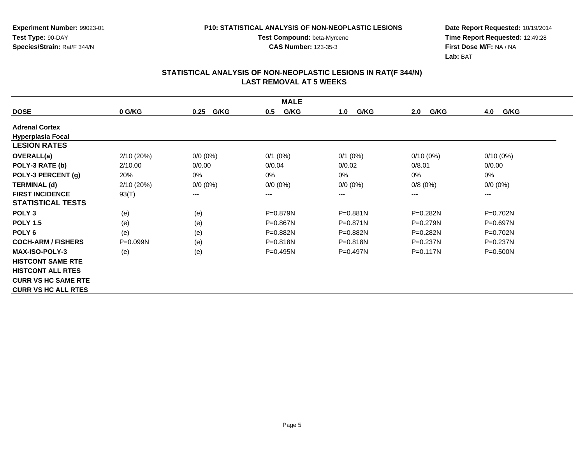**CAS Number:** 123-35-3

**Experiment Number:** 99023-01**Test Type:** 90-DAY**Species/Strain:** Rat/F 344/N

**Date Report Requested:** 10/19/2014 **Time Report Requested:** 12:49:28**First Dose M/F:** NA / NA**Lab:** BAT

| <b>MALE</b>                |              |              |              |              |              |              |  |
|----------------------------|--------------|--------------|--------------|--------------|--------------|--------------|--|
| <b>DOSE</b>                | 0 G/KG       | G/KG<br>0.25 | G/KG<br>0.5  | G/KG<br>1.0  | G/KG<br>2.0  | G/KG<br>4.0  |  |
| <b>Adrenal Cortex</b>      |              |              |              |              |              |              |  |
| <b>Hyperplasia Focal</b>   |              |              |              |              |              |              |  |
| <b>LESION RATES</b>        |              |              |              |              |              |              |  |
| <b>OVERALL(a)</b>          | 2/10(20%)    | $0/0 (0\%)$  | $0/1$ (0%)   | $0/1$ (0%)   | $0/10(0\%)$  | $0/10(0\%)$  |  |
| POLY-3 RATE (b)            | 2/10.00      | 0/0.00       | 0/0.04       | 0/0.02       | 0/8.01       | 0/0.00       |  |
| POLY-3 PERCENT (g)         | 20%          | 0%           | 0%           | 0%           | 0%           | 0%           |  |
| <b>TERMINAL (d)</b>        | 2/10(20%)    | $0/0 (0\%)$  | $0/0 (0\%)$  | $0/0 (0\%)$  | 0/8(0%)      | $0/0 (0\%)$  |  |
| <b>FIRST INCIDENCE</b>     | 93(T)        | $---$        | ---          | $---$        | $---$        | $--$         |  |
| <b>STATISTICAL TESTS</b>   |              |              |              |              |              |              |  |
| POLY <sub>3</sub>          | (e)          | (e)          | $P = 0.879N$ | $P = 0.881N$ | P=0.282N     | $P=0.702N$   |  |
| <b>POLY 1.5</b>            | (e)          | (e)          | $P = 0.867N$ | $P = 0.871N$ | $P=0.279N$   | $P=0.697N$   |  |
| POLY <sub>6</sub>          | (e)          | (e)          | P=0.882N     | P=0.882N     | P=0.282N     | $P=0.702N$   |  |
| <b>COCH-ARM / FISHERS</b>  | $P = 0.099N$ | (e)          | $P = 0.818N$ | $P = 0.818N$ | $P = 0.237N$ | P=0.237N     |  |
| <b>MAX-ISO-POLY-3</b>      | (e)          | (e)          | $P=0.495N$   | $P = 0.497N$ | $P = 0.117N$ | $P = 0.500N$ |  |
| <b>HISTCONT SAME RTE</b>   |              |              |              |              |              |              |  |
| <b>HISTCONT ALL RTES</b>   |              |              |              |              |              |              |  |
| <b>CURR VS HC SAME RTE</b> |              |              |              |              |              |              |  |
| <b>CURR VS HC ALL RTES</b> |              |              |              |              |              |              |  |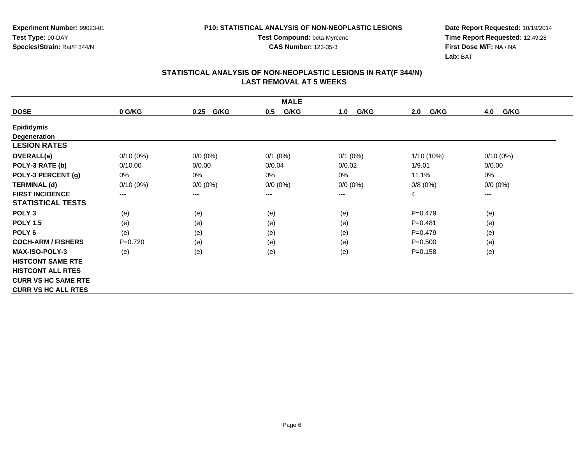**CAS Number:** 123-35-3

**Experiment Number:** 99023-01**Test Type:** 90-DAY**Species/Strain:** Rat/F 344/N

**Date Report Requested:** 10/19/2014 **Time Report Requested:** 12:49:28**First Dose M/F:** NA / NA**Lab:** BAT

| <b>MALE</b>                |             |                        |             |             |              |             |  |
|----------------------------|-------------|------------------------|-------------|-------------|--------------|-------------|--|
| <b>DOSE</b>                | 0 G/KG      | G/KG<br>0.25           | G/KG<br>0.5 | G/KG<br>1.0 | G/KG<br>2.0  | G/KG<br>4.0 |  |
| <b>Epididymis</b>          |             |                        |             |             |              |             |  |
| Degeneration               |             |                        |             |             |              |             |  |
| <b>LESION RATES</b>        |             |                        |             |             |              |             |  |
| <b>OVERALL(a)</b>          | $0/10(0\%)$ | $0/0 (0\%)$            | $0/1$ (0%)  | $0/1$ (0%)  | $1/10(10\%)$ | $0/10(0\%)$ |  |
| POLY-3 RATE (b)            | 0/10.00     | 0/0.00                 | 0/0.04      | 0/0.02      | 1/9.01       | 0/0.00      |  |
| POLY-3 PERCENT (g)         | 0%          | 0%                     | 0%          | 0%          | 11.1%        | 0%          |  |
| <b>TERMINAL (d)</b>        | $0/10(0\%)$ | $0/0 (0\%)$            | $0/0 (0\%)$ | $0/0 (0\%)$ | 0/8(0%)      | $0/0 (0\%)$ |  |
| <b>FIRST INCIDENCE</b>     | ---         | $\qquad \qquad \cdots$ | $--$        | ---         | 4            | $---$       |  |
| <b>STATISTICAL TESTS</b>   |             |                        |             |             |              |             |  |
| POLY <sub>3</sub>          | (e)         | (e)                    | (e)         | (e)         | $P=0.479$    | (e)         |  |
| <b>POLY 1.5</b>            | (e)         | (e)                    | (e)         | (e)         | $P = 0.481$  | (e)         |  |
| POLY <sub>6</sub>          | (e)         | (e)                    | (e)         | (e)         | $P=0.479$    | (e)         |  |
| <b>COCH-ARM / FISHERS</b>  | $P=0.720$   | (e)                    | (e)         | (e)         | $P = 0.500$  | (e)         |  |
| <b>MAX-ISO-POLY-3</b>      | (e)         | (e)                    | (e)         | (e)         | $P = 0.158$  | (e)         |  |
| <b>HISTCONT SAME RTE</b>   |             |                        |             |             |              |             |  |
| <b>HISTCONT ALL RTES</b>   |             |                        |             |             |              |             |  |
| <b>CURR VS HC SAME RTE</b> |             |                        |             |             |              |             |  |
| <b>CURR VS HC ALL RTES</b> |             |                        |             |             |              |             |  |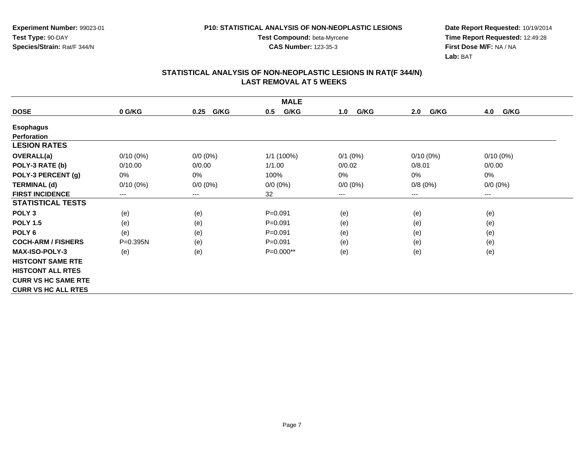**CAS Number:** 123-35-3

**Experiment Number:** 99023-01**Test Type:** 90-DAY**Species/Strain:** Rat/F 344/N

**Date Report Requested:** 10/19/2014 **Time Report Requested:** 12:49:28**First Dose M/F:** NA / NA**Lab:** BAT

| <b>MALE</b>                |              |                        |             |             |             |             |  |
|----------------------------|--------------|------------------------|-------------|-------------|-------------|-------------|--|
| <b>DOSE</b>                | 0 G/KG       | G/KG<br>0.25           | G/KG<br>0.5 | G/KG<br>1.0 | 2.0<br>G/KG | 4.0<br>G/KG |  |
| <b>Esophagus</b>           |              |                        |             |             |             |             |  |
| <b>Perforation</b>         |              |                        |             |             |             |             |  |
| <b>LESION RATES</b>        |              |                        |             |             |             |             |  |
| <b>OVERALL(a)</b>          | $0/10(0\%)$  | $0/0 (0\%)$            | 1/1 (100%)  | $0/1$ (0%)  | $0/10(0\%)$ | $0/10(0\%)$ |  |
| POLY-3 RATE (b)            | 0/10.00      | 0/0.00                 | 1/1.00      | 0/0.02      | 0/8.01      | 0/0.00      |  |
| POLY-3 PERCENT (g)         | 0%           | 0%                     | 100%        | $0\%$       | 0%          | 0%          |  |
| <b>TERMINAL (d)</b>        | $0/10(0\%)$  | $0/0 (0\%)$            | $0/0 (0\%)$ | $0/0 (0\%)$ | 0/8(0%)     | $0/0 (0\%)$ |  |
| <b>FIRST INCIDENCE</b>     | $---$        | $\qquad \qquad \cdots$ | 32          | ---         | ---         | $\cdots$    |  |
| <b>STATISTICAL TESTS</b>   |              |                        |             |             |             |             |  |
| POLY <sub>3</sub>          | (e)          | (e)                    | $P = 0.091$ | (e)         | (e)         | (e)         |  |
| <b>POLY 1.5</b>            | (e)          | (e)                    | $P = 0.091$ | (e)         | (e)         | (e)         |  |
| POLY <sub>6</sub>          | (e)          | (e)                    | $P = 0.091$ | (e)         | (e)         | (e)         |  |
| <b>COCH-ARM / FISHERS</b>  | $P = 0.395N$ | (e)                    | $P = 0.091$ | (e)         | (e)         | (e)         |  |
| <b>MAX-ISO-POLY-3</b>      | (e)          | (e)                    | P=0.000**   | (e)         | (e)         | (e)         |  |
| <b>HISTCONT SAME RTE</b>   |              |                        |             |             |             |             |  |
| <b>HISTCONT ALL RTES</b>   |              |                        |             |             |             |             |  |
| <b>CURR VS HC SAME RTE</b> |              |                        |             |             |             |             |  |
| <b>CURR VS HC ALL RTES</b> |              |                        |             |             |             |             |  |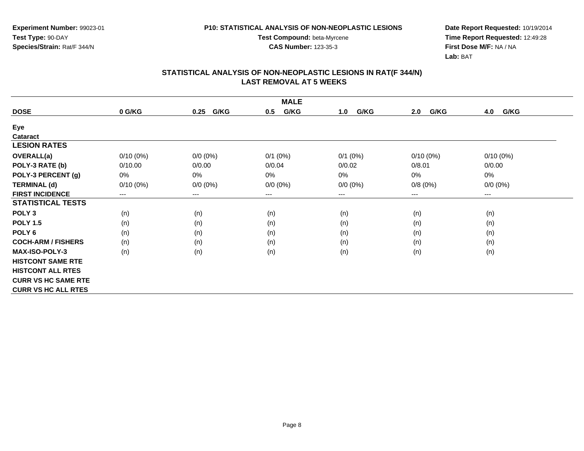**CAS Number:** 123-35-3

**Experiment Number:** 99023-01**Test Type:** 90-DAY**Species/Strain:** Rat/F 344/N

**Date Report Requested:** 10/19/2014 **Time Report Requested:** 12:49:28**First Dose M/F:** NA / NA**Lab:** BAT

| <b>MALE</b>                |             |              |             |             |             |             |  |
|----------------------------|-------------|--------------|-------------|-------------|-------------|-------------|--|
| <b>DOSE</b>                | 0 G/KG      | G/KG<br>0.25 | G/KG<br>0.5 | G/KG<br>1.0 | G/KG<br>2.0 | G/KG<br>4.0 |  |
| Eye                        |             |              |             |             |             |             |  |
| Cataract                   |             |              |             |             |             |             |  |
| <b>LESION RATES</b>        |             |              |             |             |             |             |  |
| <b>OVERALL(a)</b>          | $0/10(0\%)$ | $0/0 (0\%)$  | $0/1$ (0%)  | $0/1$ (0%)  | $0/10(0\%)$ | $0/10(0\%)$ |  |
| POLY-3 RATE (b)            | 0/10.00     | 0/0.00       | 0/0.04      | 0/0.02      | 0/8.01      | 0/0.00      |  |
| POLY-3 PERCENT (g)         | 0%          | $0\%$        | 0%          | 0%          | 0%          | 0%          |  |
| <b>TERMINAL (d)</b>        | $0/10(0\%)$ | $0/0 (0\%)$  | $0/0 (0\%)$ | $0/0 (0\%)$ | 0/8(0%)     | $0/0 (0\%)$ |  |
| <b>FIRST INCIDENCE</b>     | $--$        | $---$        | ---         | ---         | ---         | ---         |  |
| <b>STATISTICAL TESTS</b>   |             |              |             |             |             |             |  |
| POLY <sub>3</sub>          | (n)         | (n)          | (n)         | (n)         | (n)         | (n)         |  |
| <b>POLY 1.5</b>            | (n)         | (n)          | (n)         | (n)         | (n)         | (n)         |  |
| POLY <sub>6</sub>          | (n)         | (n)          | (n)         | (n)         | (n)         | (n)         |  |
| <b>COCH-ARM / FISHERS</b>  | (n)         | (n)          | (n)         | (n)         | (n)         | (n)         |  |
| <b>MAX-ISO-POLY-3</b>      | (n)         | (n)          | (n)         | (n)         | (n)         | (n)         |  |
| <b>HISTCONT SAME RTE</b>   |             |              |             |             |             |             |  |
| <b>HISTCONT ALL RTES</b>   |             |              |             |             |             |             |  |
| <b>CURR VS HC SAME RTE</b> |             |              |             |             |             |             |  |
| <b>CURR VS HC ALL RTES</b> |             |              |             |             |             |             |  |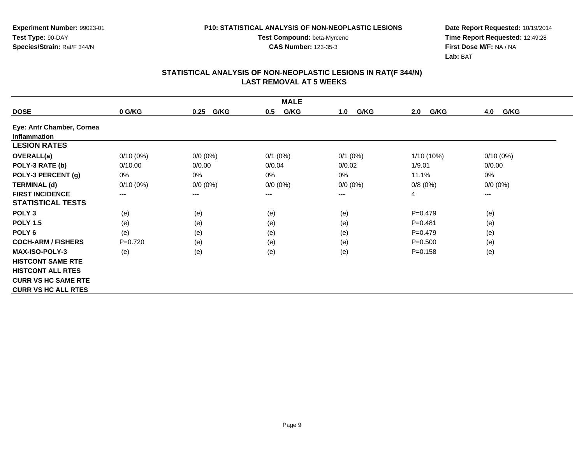**Experiment Number:** 99023-01**Test Type:** 90-DAY**Species/Strain:** Rat/F 344/N

**Date Report Requested:** 10/19/2014 **Time Report Requested:** 12:49:28**First Dose M/F:** NA / NA**Lab:** BAT

| <b>MALE</b>                |             |              |             |             |             |                        |  |  |
|----------------------------|-------------|--------------|-------------|-------------|-------------|------------------------|--|--|
| <b>DOSE</b>                | 0 G/KG      | G/KG<br>0.25 | G/KG<br>0.5 | G/KG<br>1.0 | G/KG<br>2.0 | G/KG<br>4.0            |  |  |
| Eye: Antr Chamber, Cornea  |             |              |             |             |             |                        |  |  |
| <b>Inflammation</b>        |             |              |             |             |             |                        |  |  |
| <b>LESION RATES</b>        |             |              |             |             |             |                        |  |  |
| OVERALL(a)                 | $0/10(0\%)$ | $0/0 (0\%)$  | $0/1$ (0%)  | $0/1$ (0%)  | 1/10 (10%)  | $0/10(0\%)$            |  |  |
| POLY-3 RATE (b)            | 0/10.00     | 0/0.00       | 0/0.04      | 0/0.02      | 1/9.01      | 0/0.00                 |  |  |
| POLY-3 PERCENT (g)         | 0%          | 0%           | $0\%$       | $0\%$       | 11.1%       | 0%                     |  |  |
| <b>TERMINAL (d)</b>        | $0/10(0\%)$ | $0/0 (0\%)$  | $0/0 (0\%)$ | $0/0 (0\%)$ | 0/8(0%)     | $0/0 (0\%)$            |  |  |
| <b>FIRST INCIDENCE</b>     | $---$       | $---$        | ---         | $---$       | 4           | $\qquad \qquad \cdots$ |  |  |
| <b>STATISTICAL TESTS</b>   |             |              |             |             |             |                        |  |  |
| POLY <sub>3</sub>          | (e)         | (e)          | (e)         | (e)         | $P = 0.479$ | (e)                    |  |  |
| <b>POLY 1.5</b>            | (e)         | (e)          | (e)         | (e)         | $P = 0.481$ | (e)                    |  |  |
| POLY <sub>6</sub>          | (e)         | (e)          | (e)         | (e)         | $P = 0.479$ | (e)                    |  |  |
| <b>COCH-ARM / FISHERS</b>  | $P=0.720$   | (e)          | (e)         | (e)         | $P = 0.500$ | (e)                    |  |  |
| <b>MAX-ISO-POLY-3</b>      | (e)         | (e)          | (e)         | (e)         | $P = 0.158$ | (e)                    |  |  |
| <b>HISTCONT SAME RTE</b>   |             |              |             |             |             |                        |  |  |
| <b>HISTCONT ALL RTES</b>   |             |              |             |             |             |                        |  |  |
| <b>CURR VS HC SAME RTE</b> |             |              |             |             |             |                        |  |  |
| <b>CURR VS HC ALL RTES</b> |             |              |             |             |             |                        |  |  |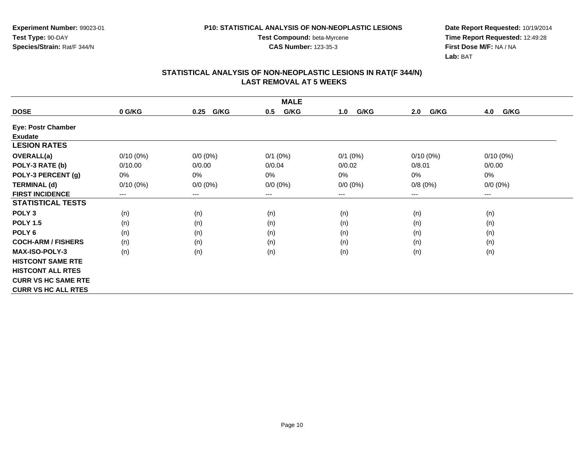**Experiment Number:** 99023-01**Test Type:** 90-DAY**Species/Strain:** Rat/F 344/N

**Test Compound:** beta-Myrcene**CAS Number:** 123-35-3

**Date Report Requested:** 10/19/2014 **Time Report Requested:** 12:49:28**First Dose M/F:** NA / NA**Lab:** BAT

| <b>MALE</b>                |                            |              |             |             |             |             |  |
|----------------------------|----------------------------|--------------|-------------|-------------|-------------|-------------|--|
| <b>DOSE</b>                | 0 G/KG                     | G/KG<br>0.25 | G/KG<br>0.5 | G/KG<br>1.0 | G/KG<br>2.0 | G/KG<br>4.0 |  |
| Eye: Postr Chamber         |                            |              |             |             |             |             |  |
| <b>Exudate</b>             |                            |              |             |             |             |             |  |
| <b>LESION RATES</b>        |                            |              |             |             |             |             |  |
| <b>OVERALL(a)</b>          | $0/10(0\%)$                | $0/0 (0\%)$  | $0/1$ (0%)  | $0/1$ (0%)  | $0/10(0\%)$ | $0/10(0\%)$ |  |
| POLY-3 RATE (b)            | 0/10.00                    | 0/0.00       | 0/0.04      | 0/0.02      | 0/8.01      | 0/0.00      |  |
| POLY-3 PERCENT (g)         | 0%                         | 0%           | 0%          | 0%          | 0%          | 0%          |  |
| <b>TERMINAL (d)</b>        | $0/10(0\%)$                | $0/0 (0\%)$  | $0/0 (0\%)$ | $0/0 (0\%)$ | 0/8(0%)     | $0/0 (0\%)$ |  |
| <b>FIRST INCIDENCE</b>     | $\qquad \qquad - \qquad -$ | $---$        | ---         | ---         | $---$       | $---$       |  |
| <b>STATISTICAL TESTS</b>   |                            |              |             |             |             |             |  |
| POLY <sub>3</sub>          | (n)                        | (n)          | (n)         | (n)         | (n)         | (n)         |  |
| <b>POLY 1.5</b>            | (n)                        | (n)          | (n)         | (n)         | (n)         | (n)         |  |
| POLY <sub>6</sub>          | (n)                        | (n)          | (n)         | (n)         | (n)         | (n)         |  |
| <b>COCH-ARM / FISHERS</b>  | (n)                        | (n)          | (n)         | (n)         | (n)         | (n)         |  |
| MAX-ISO-POLY-3             | (n)                        | (n)          | (n)         | (n)         | (n)         | (n)         |  |
| <b>HISTCONT SAME RTE</b>   |                            |              |             |             |             |             |  |
| <b>HISTCONT ALL RTES</b>   |                            |              |             |             |             |             |  |
| <b>CURR VS HC SAME RTE</b> |                            |              |             |             |             |             |  |
| <b>CURR VS HC ALL RTES</b> |                            |              |             |             |             |             |  |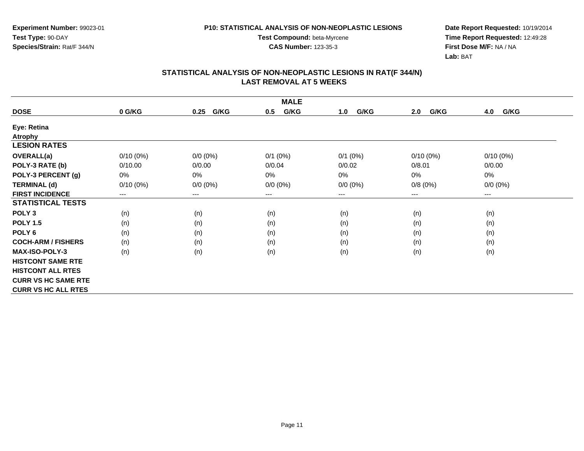**CAS Number:** 123-35-3

**Experiment Number:** 99023-01**Test Type:** 90-DAY**Species/Strain:** Rat/F 344/N

**Date Report Requested:** 10/19/2014 **Time Report Requested:** 12:49:28**First Dose M/F:** NA / NA**Lab:** BAT

| <b>MALE</b>                |             |                        |              |             |             |             |  |
|----------------------------|-------------|------------------------|--------------|-------------|-------------|-------------|--|
| <b>DOSE</b>                | 0 G/KG      | G/KG<br>0.25           | G/KG<br>0.5  | G/KG<br>1.0 | G/KG<br>2.0 | G/KG<br>4.0 |  |
| Eye: Retina                |             |                        |              |             |             |             |  |
| <b>Atrophy</b>             |             |                        |              |             |             |             |  |
| <b>LESION RATES</b>        |             |                        |              |             |             |             |  |
| OVERALL(a)                 | $0/10(0\%)$ | $0/0 (0\%)$            | $0/1$ $(0%)$ | $0/1$ (0%)  | $0/10(0\%)$ | $0/10(0\%)$ |  |
| POLY-3 RATE (b)            | 0/10.00     | 0/0.00                 | 0/0.04       | 0/0.02      | 0/8.01      | 0/0.00      |  |
| POLY-3 PERCENT (g)         | 0%          | 0%                     | 0%           | 0%          | 0%          | 0%          |  |
| <b>TERMINAL (d)</b>        | $0/10(0\%)$ | $0/0 (0\%)$            | $0/0 (0\%)$  | $0/0 (0\%)$ | 0/8(0%)     | $0/0 (0\%)$ |  |
| <b>FIRST INCIDENCE</b>     | ---         | $\qquad \qquad \cdots$ | ---          | ---         | ---         | ---         |  |
| <b>STATISTICAL TESTS</b>   |             |                        |              |             |             |             |  |
| POLY <sub>3</sub>          | (n)         | (n)                    | (n)          | (n)         | (n)         | (n)         |  |
| <b>POLY 1.5</b>            | (n)         | (n)                    | (n)          | (n)         | (n)         | (n)         |  |
| POLY <sub>6</sub>          | (n)         | (n)                    | (n)          | (n)         | (n)         | (n)         |  |
| <b>COCH-ARM / FISHERS</b>  | (n)         | (n)                    | (n)          | (n)         | (n)         | (n)         |  |
| <b>MAX-ISO-POLY-3</b>      | (n)         | (n)                    | (n)          | (n)         | (n)         | (n)         |  |
| <b>HISTCONT SAME RTE</b>   |             |                        |              |             |             |             |  |
| <b>HISTCONT ALL RTES</b>   |             |                        |              |             |             |             |  |
| <b>CURR VS HC SAME RTE</b> |             |                        |              |             |             |             |  |
| <b>CURR VS HC ALL RTES</b> |             |                        |              |             |             |             |  |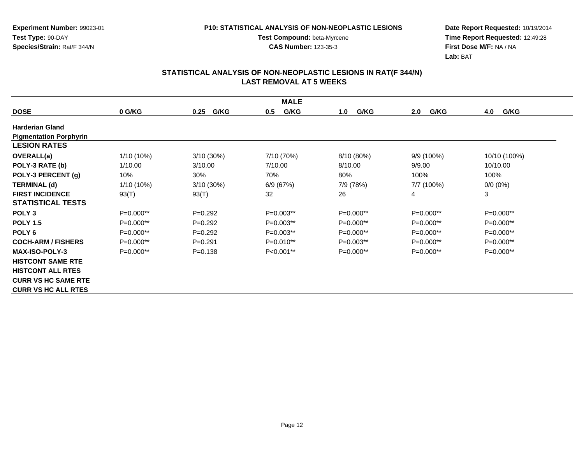**Date Report Requested:** 10/19/2014 **Time Report Requested:** 12:49:28**First Dose M/F:** NA / NA**Lab:** BAT

| <b>MALE</b>                   |             |              |             |             |             |              |  |
|-------------------------------|-------------|--------------|-------------|-------------|-------------|--------------|--|
| <b>DOSE</b>                   | 0 G/KG      | G/KG<br>0.25 | G/KG<br>0.5 | G/KG<br>1.0 | G/KG<br>2.0 | G/KG<br>4.0  |  |
| <b>Harderian Gland</b>        |             |              |             |             |             |              |  |
| <b>Pigmentation Porphyrin</b> |             |              |             |             |             |              |  |
| <b>LESION RATES</b>           |             |              |             |             |             |              |  |
| <b>OVERALL(a)</b>             | 1/10 (10%)  | 3/10 (30%)   | 7/10 (70%)  | 8/10 (80%)  | 9/9 (100%)  | 10/10 (100%) |  |
| POLY-3 RATE (b)               | 1/10.00     | 3/10.00      | 7/10.00     | 8/10.00     | 9/9.00      | 10/10.00     |  |
| POLY-3 PERCENT (g)            | 10%         | 30%          | 70%         | 80%         | 100%        | 100%         |  |
| <b>TERMINAL (d)</b>           | 1/10 (10%)  | 3/10 (30%)   | 6/9(67%)    | 7/9 (78%)   | 7/7 (100%)  | $0/0 (0\%)$  |  |
| <b>FIRST INCIDENCE</b>        | 93(T)       | 93(T)        | 32          | 26          | 4           | 3            |  |
| <b>STATISTICAL TESTS</b>      |             |              |             |             |             |              |  |
| POLY <sub>3</sub>             | $P=0.000**$ | $P=0.292$    | $P=0.003**$ | $P=0.000**$ | $P=0.000**$ | P=0.000**    |  |
| <b>POLY 1.5</b>               | $P=0.000**$ | $P=0.292$    | $P=0.003**$ | $P=0.000**$ | $P=0.000**$ | $P=0.000**$  |  |
| POLY <sub>6</sub>             | $P=0.000**$ | $P=0.292$    | $P=0.003**$ | P=0.000**   | $P=0.000**$ | P=0.000**    |  |
| <b>COCH-ARM / FISHERS</b>     | $P=0.000**$ | $P=0.291$    | $P=0.010**$ | $P=0.003**$ | $P=0.000**$ | $P=0.000**$  |  |
| <b>MAX-ISO-POLY-3</b>         | $P=0.000**$ | $P = 0.138$  | $P<0.001**$ | $P=0.000**$ | $P=0.000**$ | $P=0.000**$  |  |
| <b>HISTCONT SAME RTE</b>      |             |              |             |             |             |              |  |
| <b>HISTCONT ALL RTES</b>      |             |              |             |             |             |              |  |
| <b>CURR VS HC SAME RTE</b>    |             |              |             |             |             |              |  |
| <b>CURR VS HC ALL RTES</b>    |             |              |             |             |             |              |  |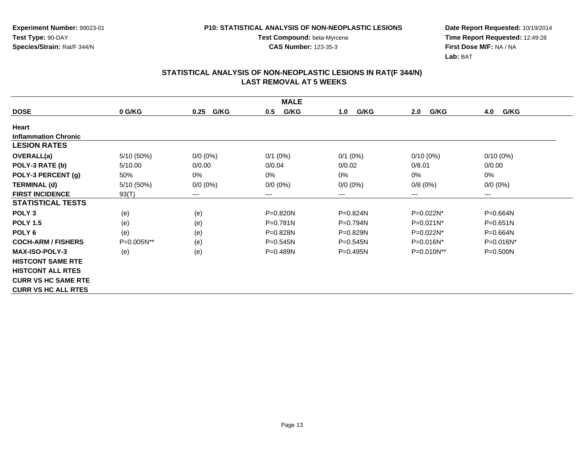**CAS Number:** 123-35-3

**Experiment Number:** 99023-01**Test Type:** 90-DAY**Species/Strain:** Rat/F 344/N

**Date Report Requested:** 10/19/2014 **Time Report Requested:** 12:49:28**First Dose M/F:** NA / NA**Lab:** BAT

| <b>MALE</b>                 |            |              |              |              |                        |              |  |  |
|-----------------------------|------------|--------------|--------------|--------------|------------------------|--------------|--|--|
| <b>DOSE</b>                 | 0 G/KG     | G/KG<br>0.25 | G/KG<br>0.5  | G/KG<br>1.0  | G/KG<br>2.0            | G/KG<br>4.0  |  |  |
| Heart                       |            |              |              |              |                        |              |  |  |
| <b>Inflammation Chronic</b> |            |              |              |              |                        |              |  |  |
| <b>LESION RATES</b>         |            |              |              |              |                        |              |  |  |
| <b>OVERALL(a)</b>           | 5/10 (50%) | $0/0 (0\%)$  | $0/1$ (0%)   | $0/1$ (0%)   | $0/10(0\%)$            | $0/10(0\%)$  |  |  |
| POLY-3 RATE (b)             | 5/10.00    | 0/0.00       | 0/0.04       | 0/0.02       | 0/8.01                 | 0/0.00       |  |  |
| POLY-3 PERCENT (g)          | 50%        | 0%           | 0%           | 0%           | 0%                     | 0%           |  |  |
| <b>TERMINAL (d)</b>         | 5/10 (50%) | $0/0 (0\%)$  | $0/0 (0\%)$  | $0/0 (0\%)$  | 0/8(0%)                | $0/0 (0\%)$  |  |  |
| <b>FIRST INCIDENCE</b>      | 93(T)      | ---          | ---          | ---          | $\qquad \qquad \cdots$ | $---$        |  |  |
| <b>STATISTICAL TESTS</b>    |            |              |              |              |                        |              |  |  |
| POLY <sub>3</sub>           | (e)        | (e)          | $P = 0.820N$ | P=0.824N     | P=0.022N*              | P=0.664N     |  |  |
| <b>POLY 1.5</b>             | (e)        | (e)          | P=0.781N     | P=0.794N     | $P=0.021N^*$           | $P = 0.651N$ |  |  |
| POLY <sub>6</sub>           | (e)        | (e)          | $P = 0.828N$ | $P = 0.829N$ | P=0.022N*              | $P = 0.664N$ |  |  |
| <b>COCH-ARM / FISHERS</b>   | P=0.005N** | (e)          | $P = 0.545N$ | $P = 0.545N$ | P=0.016N*              | $P=0.016N^*$ |  |  |
| <b>MAX-ISO-POLY-3</b>       | (e)        | (e)          | $P = 0.489N$ | $P = 0.495N$ | P=0.010N**             | $P = 0.500N$ |  |  |
| <b>HISTCONT SAME RTE</b>    |            |              |              |              |                        |              |  |  |
| <b>HISTCONT ALL RTES</b>    |            |              |              |              |                        |              |  |  |
| <b>CURR VS HC SAME RTE</b>  |            |              |              |              |                        |              |  |  |
| <b>CURR VS HC ALL RTES</b>  |            |              |              |              |                        |              |  |  |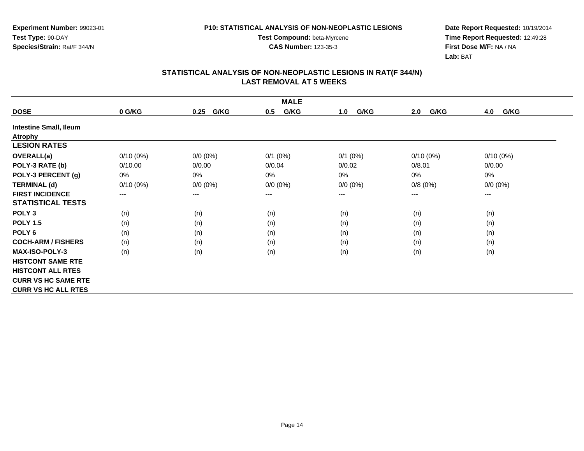**Experiment Number:** 99023-01**Test Type:** 90-DAY**Species/Strain:** Rat/F 344/N

**Date Report Requested:** 10/19/2014 **Time Report Requested:** 12:49:28**First Dose M/F:** NA / NA**Lab:** BAT

| <b>MALE</b>                   |                            |              |              |             |             |             |  |  |
|-------------------------------|----------------------------|--------------|--------------|-------------|-------------|-------------|--|--|
| <b>DOSE</b>                   | 0 G/KG                     | G/KG<br>0.25 | G/KG<br>0.5  | G/KG<br>1.0 | G/KG<br>2.0 | G/KG<br>4.0 |  |  |
| <b>Intestine Small, Ileum</b> |                            |              |              |             |             |             |  |  |
| <b>Atrophy</b>                |                            |              |              |             |             |             |  |  |
| <b>LESION RATES</b>           |                            |              |              |             |             |             |  |  |
| <b>OVERALL(a)</b>             | $0/10(0\%)$                | $0/0 (0\%)$  | $0/1$ $(0%)$ | $0/1$ (0%)  | $0/10(0\%)$ | $0/10(0\%)$ |  |  |
| POLY-3 RATE (b)               | 0/10.00                    | 0/0.00       | 0/0.04       | 0/0.02      | 0/8.01      | 0/0.00      |  |  |
| POLY-3 PERCENT (g)            | 0%                         | 0%           | 0%           | 0%          | 0%          | 0%          |  |  |
| <b>TERMINAL (d)</b>           | $0/10(0\%)$                | $0/0 (0\%)$  | $0/0 (0\%)$  | $0/0 (0\%)$ | 0/8(0%)     | $0/0 (0\%)$ |  |  |
| <b>FIRST INCIDENCE</b>        | $\qquad \qquad - \qquad -$ | $---$        | ---          | $---$       | $---$       | $---$       |  |  |
| <b>STATISTICAL TESTS</b>      |                            |              |              |             |             |             |  |  |
| POLY <sub>3</sub>             | (n)                        | (n)          | (n)          | (n)         | (n)         | (n)         |  |  |
| <b>POLY 1.5</b>               | (n)                        | (n)          | (n)          | (n)         | (n)         | (n)         |  |  |
| POLY <sub>6</sub>             | (n)                        | (n)          | (n)          | (n)         | (n)         | (n)         |  |  |
| <b>COCH-ARM / FISHERS</b>     | (n)                        | (n)          | (n)          | (n)         | (n)         | (n)         |  |  |
| <b>MAX-ISO-POLY-3</b>         | (n)                        | (n)          | (n)          | (n)         | (n)         | (n)         |  |  |
| <b>HISTCONT SAME RTE</b>      |                            |              |              |             |             |             |  |  |
| <b>HISTCONT ALL RTES</b>      |                            |              |              |             |             |             |  |  |
| <b>CURR VS HC SAME RTE</b>    |                            |              |              |             |             |             |  |  |
| <b>CURR VS HC ALL RTES</b>    |                            |              |              |             |             |             |  |  |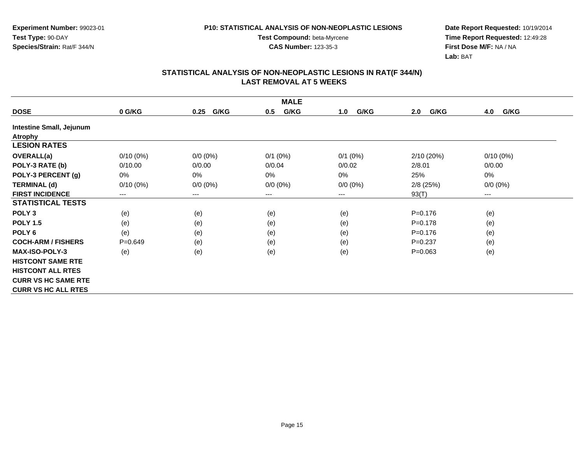**Date Report Requested:** 10/19/2014 **Time Report Requested:** 12:49:28**First Dose M/F:** NA / NA**Lab:** BAT

| <b>MALE</b>                |             |              |             |             |             |                      |  |  |  |
|----------------------------|-------------|--------------|-------------|-------------|-------------|----------------------|--|--|--|
| <b>DOSE</b>                | 0 G/KG      | G/KG<br>0.25 | G/KG<br>0.5 | G/KG<br>1.0 | G/KG<br>2.0 | G/KG<br>4.0          |  |  |  |
| Intestine Small, Jejunum   |             |              |             |             |             |                      |  |  |  |
| <b>Atrophy</b>             |             |              |             |             |             |                      |  |  |  |
| <b>LESION RATES</b>        |             |              |             |             |             |                      |  |  |  |
| OVERALL(a)                 | $0/10(0\%)$ | $0/0 (0\%)$  | $0/1$ (0%)  | $0/1$ (0%)  | 2/10(20%)   | $0/10(0\%)$          |  |  |  |
| POLY-3 RATE (b)            | 0/10.00     | 0/0.00       | 0/0.04      | 0/0.02      | 2/8.01      | 0/0.00               |  |  |  |
| POLY-3 PERCENT (g)         | 0%          | 0%           | $0\%$       | $0\%$       | 25%         | 0%                   |  |  |  |
| <b>TERMINAL (d)</b>        | $0/10(0\%)$ | $0/0 (0\%)$  | $0/0 (0\%)$ | $0/0 (0\%)$ | $2/8$ (25%) | $0/0 (0\%)$          |  |  |  |
| <b>FIRST INCIDENCE</b>     | $---$       | $---$        | ---         | ---         | 93(T)       | $\scriptstyle\cdots$ |  |  |  |
| <b>STATISTICAL TESTS</b>   |             |              |             |             |             |                      |  |  |  |
| POLY <sub>3</sub>          | (e)         | (e)          | (e)         | (e)         | $P = 0.176$ | (e)                  |  |  |  |
| <b>POLY 1.5</b>            | (e)         | (e)          | (e)         | (e)         | $P = 0.178$ | (e)                  |  |  |  |
| POLY <sub>6</sub>          | (e)         | (e)          | (e)         | (e)         | $P = 0.176$ | (e)                  |  |  |  |
| <b>COCH-ARM / FISHERS</b>  | $P = 0.649$ | (e)          | (e)         | (e)         | $P=0.237$   | (e)                  |  |  |  |
| <b>MAX-ISO-POLY-3</b>      | (e)         | (e)          | (e)         | (e)         | $P = 0.063$ | (e)                  |  |  |  |
| <b>HISTCONT SAME RTE</b>   |             |              |             |             |             |                      |  |  |  |
| <b>HISTCONT ALL RTES</b>   |             |              |             |             |             |                      |  |  |  |
| <b>CURR VS HC SAME RTE</b> |             |              |             |             |             |                      |  |  |  |
| <b>CURR VS HC ALL RTES</b> |             |              |             |             |             |                      |  |  |  |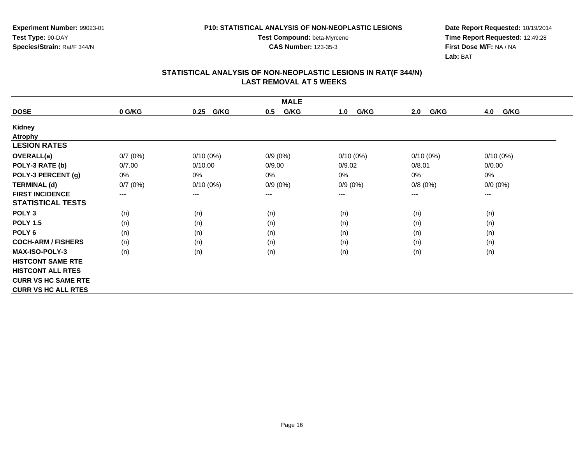**CAS Number:** 123-35-3

**Experiment Number:** 99023-01**Test Type:** 90-DAY**Species/Strain:** Rat/F 344/N

**Date Report Requested:** 10/19/2014 **Time Report Requested:** 12:49:28**First Dose M/F:** NA / NA**Lab:** BAT

| <b>MALE</b>                |         |              |             |             |             |             |  |
|----------------------------|---------|--------------|-------------|-------------|-------------|-------------|--|
| <b>DOSE</b>                | 0 G/KG  | G/KG<br>0.25 | G/KG<br>0.5 | G/KG<br>1.0 | G/KG<br>2.0 | G/KG<br>4.0 |  |
| <b>Kidney</b>              |         |              |             |             |             |             |  |
| <b>Atrophy</b>             |         |              |             |             |             |             |  |
| <b>LESION RATES</b>        |         |              |             |             |             |             |  |
| <b>OVERALL(a)</b>          | 0/7(0%) | $0/10(0\%)$  | $0/9(0\%)$  | $0/10(0\%)$ | $0/10(0\%)$ | $0/10(0\%)$ |  |
| POLY-3 RATE (b)            | 0/7.00  | 0/10.00      | 0/9.00      | 0/9.02      | 0/8.01      | 0/0.00      |  |
| POLY-3 PERCENT (g)         | 0%      | 0%           | 0%          | 0%          | 0%          | 0%          |  |
| <b>TERMINAL (d)</b>        | 0/7(0%) | $0/10(0\%)$  | $0/9(0\%)$  | $0/9(0\%)$  | 0/8(0%)     | $0/0 (0\%)$ |  |
| <b>FIRST INCIDENCE</b>     | $--$    | $--$         | ---         | ---         | $---$       | ---         |  |
| <b>STATISTICAL TESTS</b>   |         |              |             |             |             |             |  |
| POLY <sub>3</sub>          | (n)     | (n)          | (n)         | (n)         | (n)         | (n)         |  |
| <b>POLY 1.5</b>            | (n)     | (n)          | (n)         | (n)         | (n)         | (n)         |  |
| POLY <sub>6</sub>          | (n)     | (n)          | (n)         | (n)         | (n)         | (n)         |  |
| <b>COCH-ARM / FISHERS</b>  | (n)     | (n)          | (n)         | (n)         | (n)         | (n)         |  |
| <b>MAX-ISO-POLY-3</b>      | (n)     | (n)          | (n)         | (n)         | (n)         | (n)         |  |
| <b>HISTCONT SAME RTE</b>   |         |              |             |             |             |             |  |
| <b>HISTCONT ALL RTES</b>   |         |              |             |             |             |             |  |
| <b>CURR VS HC SAME RTE</b> |         |              |             |             |             |             |  |
| <b>CURR VS HC ALL RTES</b> |         |              |             |             |             |             |  |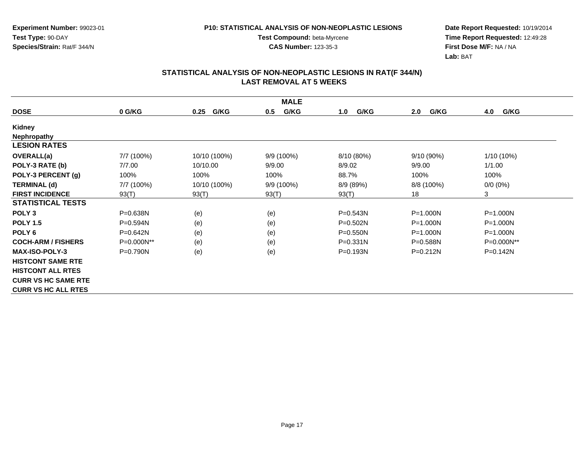**Experiment Number:** 99023-01**Test Type:** 90-DAY**Species/Strain:** Rat/F 344/N

**Test Compound:** beta-Myrcene**CAS Number:** 123-35-3

**Date Report Requested:** 10/19/2014 **Time Report Requested:** 12:49:28**First Dose M/F:** NA / NA**Lab:** BAT

| <b>MALE</b>                |              |              |              |              |              |              |  |  |
|----------------------------|--------------|--------------|--------------|--------------|--------------|--------------|--|--|
| <b>DOSE</b>                | 0 G/KG       | G/KG<br>0.25 | G/KG<br>0.5  | G/KG<br>1.0  | G/KG<br>2.0  | G/KG<br>4.0  |  |  |
| Kidney                     |              |              |              |              |              |              |  |  |
| <b>Nephropathy</b>         |              |              |              |              |              |              |  |  |
| <b>LESION RATES</b>        |              |              |              |              |              |              |  |  |
| <b>OVERALL(a)</b>          | 7/7 (100%)   | 10/10 (100%) | 9/9 (100%)   | 8/10 (80%)   | 9/10 (90%)   | 1/10 (10%)   |  |  |
| POLY-3 RATE (b)            | 7/7.00       | 10/10.00     | 9/9.00       | 8/9.02       | 9/9.00       | 1/1.00       |  |  |
| POLY-3 PERCENT (g)         | 100%         | 100%         | 100%         | 88.7%        | 100%         | 100%         |  |  |
| <b>TERMINAL (d)</b>        | 7/7 (100%)   | 10/10 (100%) | $9/9(100\%)$ | 8/9 (89%)    | 8/8 (100%)   | $0/0 (0\%)$  |  |  |
| <b>FIRST INCIDENCE</b>     | 93(T)        | 93(T)        | 93(T)        | 93(T)        | 18           | 3            |  |  |
| <b>STATISTICAL TESTS</b>   |              |              |              |              |              |              |  |  |
| POLY <sub>3</sub>          | P=0.638N     | (e)          | (e)          | $P = 0.543N$ | $P = 1.000N$ | $P = 1.000N$ |  |  |
| <b>POLY 1.5</b>            | P=0.594N     | (e)          | (e)          | $P = 0.502N$ | $P = 1.000N$ | $P = 1.000N$ |  |  |
| POLY <sub>6</sub>          | $P = 0.642N$ | (e)          | (e)          | $P = 0.550N$ | $P = 1.000N$ | $P = 1.000N$ |  |  |
| <b>COCH-ARM / FISHERS</b>  | $P=0.000N**$ | (e)          | (e)          | $P = 0.331N$ | $P = 0.588N$ | P=0.000N**   |  |  |
| <b>MAX-ISO-POLY-3</b>      | $P=0.790N$   | (e)          | (e)          | $P = 0.193N$ | $P = 0.212N$ | $P = 0.142N$ |  |  |
| <b>HISTCONT SAME RTE</b>   |              |              |              |              |              |              |  |  |
| <b>HISTCONT ALL RTES</b>   |              |              |              |              |              |              |  |  |
| <b>CURR VS HC SAME RTE</b> |              |              |              |              |              |              |  |  |
| <b>CURR VS HC ALL RTES</b> |              |              |              |              |              |              |  |  |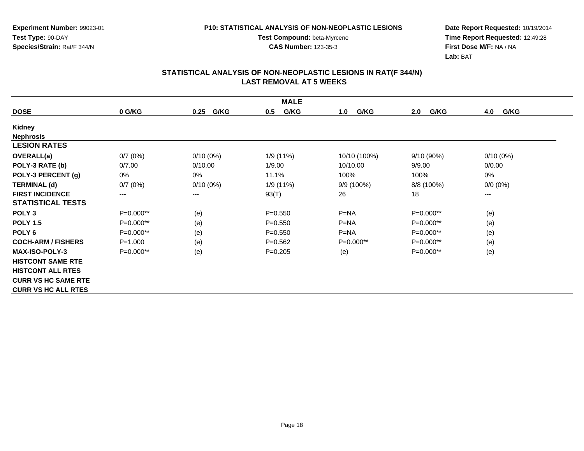**CAS Number:** 123-35-3

**Experiment Number:** 99023-01**Test Type:** 90-DAY**Species/Strain:** Rat/F 344/N

**Date Report Requested:** 10/19/2014 **Time Report Requested:** 12:49:28**First Dose M/F:** NA / NA**Lab:** BAT

| <b>MALE</b>                |             |              |             |              |             |             |  |  |
|----------------------------|-------------|--------------|-------------|--------------|-------------|-------------|--|--|
| <b>DOSE</b>                | 0 G/KG      | G/KG<br>0.25 | G/KG<br>0.5 | G/KG<br>1.0  | G/KG<br>2.0 | G/KG<br>4.0 |  |  |
| <b>Kidney</b>              |             |              |             |              |             |             |  |  |
| <b>Nephrosis</b>           |             |              |             |              |             |             |  |  |
| <b>LESION RATES</b>        |             |              |             |              |             |             |  |  |
| OVERALL(a)                 | 0/7(0%)     | $0/10(0\%)$  | 1/9(11%)    | 10/10 (100%) | 9/10(90%)   | $0/10(0\%)$ |  |  |
| POLY-3 RATE (b)            | 0/7.00      | 0/10.00      | 1/9.00      | 10/10.00     | 9/9.00      | 0/0.00      |  |  |
| POLY-3 PERCENT (g)         | 0%          | 0%           | 11.1%       | 100%         | 100%        | 0%          |  |  |
| <b>TERMINAL (d)</b>        | 0/7(0%)     | $0/10(0\%)$  | 1/9 (11%)   | 9/9 (100%)   | 8/8 (100%)  | $0/0 (0\%)$ |  |  |
| <b>FIRST INCIDENCE</b>     | $---$       | $---$        | 93(T)       | 26           | 18          | $--$        |  |  |
| <b>STATISTICAL TESTS</b>   |             |              |             |              |             |             |  |  |
| POLY <sub>3</sub>          | P=0.000**   | (e)          | $P = 0.550$ | $P = NA$     | $P=0.000**$ | (e)         |  |  |
| <b>POLY 1.5</b>            | P=0.000**   | (e)          | $P = 0.550$ | $P=NA$       | P=0.000**   | (e)         |  |  |
| POLY <sub>6</sub>          | P=0.000**   | (e)          | $P = 0.550$ | $P=NA$       | P=0.000**   | (e)         |  |  |
| <b>COCH-ARM / FISHERS</b>  | $P = 1.000$ | (e)          | $P=0.562$   | $P=0.000**$  | $P=0.000**$ | (e)         |  |  |
| <b>MAX-ISO-POLY-3</b>      | $P=0.000**$ | (e)          | $P=0.205$   | (e)          | $P=0.000**$ | (e)         |  |  |
| <b>HISTCONT SAME RTE</b>   |             |              |             |              |             |             |  |  |
| <b>HISTCONT ALL RTES</b>   |             |              |             |              |             |             |  |  |
| <b>CURR VS HC SAME RTE</b> |             |              |             |              |             |             |  |  |
| <b>CURR VS HC ALL RTES</b> |             |              |             |              |             |             |  |  |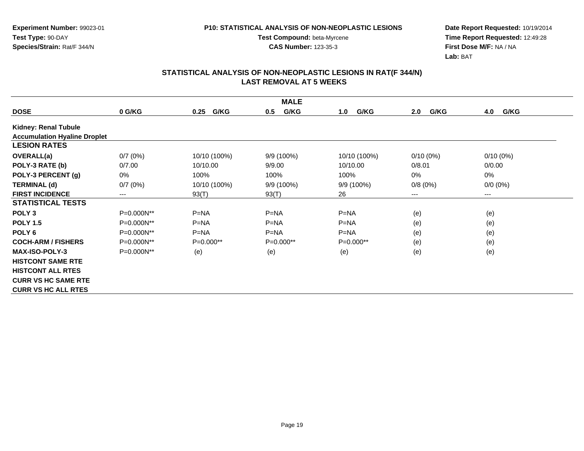**Date Report Requested:** 10/19/2014 **Time Report Requested:** 12:49:28**First Dose M/F:** NA / NA**Lab:** BAT

|                                     | <b>MALE</b> |              |              |              |             |             |  |  |
|-------------------------------------|-------------|--------------|--------------|--------------|-------------|-------------|--|--|
| <b>DOSE</b>                         | 0 G/KG      | G/KG<br>0.25 | G/KG<br>0.5  | G/KG<br>1.0  | 2.0<br>G/KG | G/KG<br>4.0 |  |  |
| Kidney: Renal Tubule                |             |              |              |              |             |             |  |  |
| <b>Accumulation Hyaline Droplet</b> |             |              |              |              |             |             |  |  |
| <b>LESION RATES</b>                 |             |              |              |              |             |             |  |  |
| <b>OVERALL(a)</b>                   | 0/7(0%)     | 10/10 (100%) | 9/9 (100%)   | 10/10 (100%) | $0/10(0\%)$ | $0/10(0\%)$ |  |  |
| POLY-3 RATE (b)                     | 0/7.00      | 10/10.00     | 9/9.00       | 10/10.00     | 0/8.01      | 0/0.00      |  |  |
| POLY-3 PERCENT (g)                  | 0%          | 100%         | 100%         | 100%         | 0%          | 0%          |  |  |
| <b>TERMINAL (d)</b>                 | 0/7(0%)     | 10/10 (100%) | $9/9(100\%)$ | $9/9(100\%)$ | 0/8(0%)     | $0/0 (0\%)$ |  |  |
| <b>FIRST INCIDENCE</b>              | $---$       | 93(T)        | 93(T)        | 26           | ---         | $---$       |  |  |
| <b>STATISTICAL TESTS</b>            |             |              |              |              |             |             |  |  |
| POLY <sub>3</sub>                   | P=0.000N**  | $P=NA$       | $P=NA$       | $P=NA$       | (e)         | (e)         |  |  |
| <b>POLY 1.5</b>                     | P=0.000N**  | $P = NA$     | $P = NA$     | $P=NA$       | (e)         | (e)         |  |  |
| POLY <sub>6</sub>                   | P=0.000N**  | $P=NA$       | $P=NA$       | $P=NA$       | (e)         | (e)         |  |  |
| <b>COCH-ARM / FISHERS</b>           | P=0.000N**  | $P=0.000**$  | $P=0.000**$  | $P=0.000**$  | (e)         | (e)         |  |  |
| <b>MAX-ISO-POLY-3</b>               | P=0.000N**  | (e)          | (e)          | (e)          | (e)         | (e)         |  |  |
| <b>HISTCONT SAME RTE</b>            |             |              |              |              |             |             |  |  |
| <b>HISTCONT ALL RTES</b>            |             |              |              |              |             |             |  |  |
| <b>CURR VS HC SAME RTE</b>          |             |              |              |              |             |             |  |  |
| <b>CURR VS HC ALL RTES</b>          |             |              |              |              |             |             |  |  |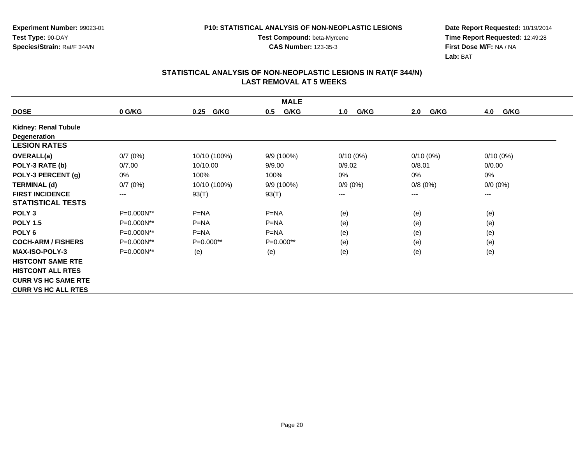**Experiment Number:** 99023-01**Test Type:** 90-DAY**Species/Strain:** Rat/F 344/N

**Date Report Requested:** 10/19/2014 **Time Report Requested:** 12:49:28**First Dose M/F:** NA / NA**Lab:** BAT

| <b>MALE</b>                 |            |              |             |             |             |             |  |  |
|-----------------------------|------------|--------------|-------------|-------------|-------------|-------------|--|--|
| <b>DOSE</b>                 | 0 G/KG     | G/KG<br>0.25 | G/KG<br>0.5 | G/KG<br>1.0 | G/KG<br>2.0 | 4.0<br>G/KG |  |  |
| <b>Kidney: Renal Tubule</b> |            |              |             |             |             |             |  |  |
| <b>Degeneration</b>         |            |              |             |             |             |             |  |  |
| <b>LESION RATES</b>         |            |              |             |             |             |             |  |  |
| OVERALL(a)                  | 0/7(0%)    | 10/10 (100%) | 9/9 (100%)  | $0/10(0\%)$ | $0/10(0\%)$ | $0/10(0\%)$ |  |  |
| POLY-3 RATE (b)             | 0/7.00     | 10/10.00     | 9/9.00      | 0/9.02      | 0/8.01      | 0/0.00      |  |  |
| POLY-3 PERCENT (g)          | 0%         | 100%         | 100%        | $0\%$       | 0%          | 0%          |  |  |
| <b>TERMINAL (d)</b>         | 0/7(0%)    | 10/10 (100%) | 9/9 (100%)  | $0/9(0\%)$  | 0/8(0%)     | $0/0 (0\%)$ |  |  |
| <b>FIRST INCIDENCE</b>      | $---$      | 93(T)        | 93(T)       | ---         | ---         | $--$        |  |  |
| <b>STATISTICAL TESTS</b>    |            |              |             |             |             |             |  |  |
| POLY <sub>3</sub>           | P=0.000N** | $P=NA$       | $P=NA$      | (e)         | (e)         | (e)         |  |  |
| <b>POLY 1.5</b>             | P=0.000N** | $P=NA$       | $P=NA$      | (e)         | (e)         | (e)         |  |  |
| POLY <sub>6</sub>           | P=0.000N** | $P=NA$       | $P = NA$    | (e)         | (e)         | (e)         |  |  |
| <b>COCH-ARM / FISHERS</b>   | P=0.000N** | $P=0.000**$  | P=0.000**   | (e)         | (e)         | (e)         |  |  |
| <b>MAX-ISO-POLY-3</b>       | P=0.000N** | (e)          | (e)         | (e)         | (e)         | (e)         |  |  |
| <b>HISTCONT SAME RTE</b>    |            |              |             |             |             |             |  |  |
| <b>HISTCONT ALL RTES</b>    |            |              |             |             |             |             |  |  |
| <b>CURR VS HC SAME RTE</b>  |            |              |             |             |             |             |  |  |
| <b>CURR VS HC ALL RTES</b>  |            |              |             |             |             |             |  |  |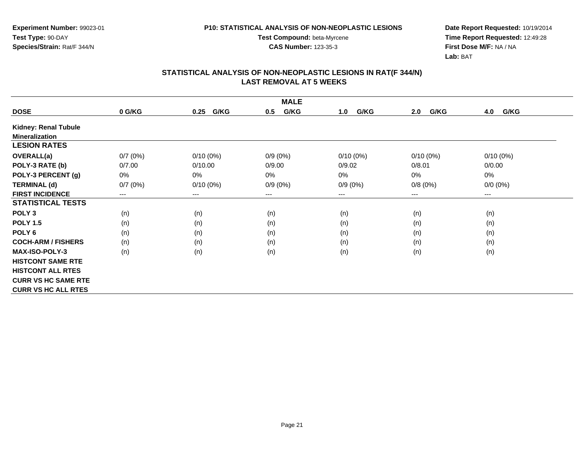**Experiment Number:** 99023-01**Test Type:** 90-DAY**Species/Strain:** Rat/F 344/N

**Test Compound:** beta-Myrcene**CAS Number:** 123-35-3

**Date Report Requested:** 10/19/2014 **Time Report Requested:** 12:49:28**First Dose M/F:** NA / NA**Lab:** BAT

|                             | <b>MALE</b>            |              |             |             |             |             |  |  |  |
|-----------------------------|------------------------|--------------|-------------|-------------|-------------|-------------|--|--|--|
| <b>DOSE</b>                 | 0 G/KG                 | G/KG<br>0.25 | G/KG<br>0.5 | G/KG<br>1.0 | G/KG<br>2.0 | 4.0<br>G/KG |  |  |  |
| <b>Kidney: Renal Tubule</b> |                        |              |             |             |             |             |  |  |  |
| <b>Mineralization</b>       |                        |              |             |             |             |             |  |  |  |
| <b>LESION RATES</b>         |                        |              |             |             |             |             |  |  |  |
| <b>OVERALL(a)</b>           | 0/7(0%)                | $0/10(0\%)$  | $0/9(0\%)$  | $0/10(0\%)$ | $0/10(0\%)$ | $0/10(0\%)$ |  |  |  |
| POLY-3 RATE (b)             | 0/7.00                 | 0/10.00      | 0/9.00      | 0/9.02      | 0/8.01      | 0/0.00      |  |  |  |
| POLY-3 PERCENT (g)          | 0%                     | 0%           | 0%          | 0%          | 0%          | 0%          |  |  |  |
| <b>TERMINAL (d)</b>         | 0/7(0%)                | $0/10(0\%)$  | $0/9(0\%)$  | $0/9(0\%)$  | 0/8(0%)     | $0/0 (0\%)$ |  |  |  |
| <b>FIRST INCIDENCE</b>      | $\qquad \qquad \cdots$ | $---$        | ---         | $---$       | $---$       | $---$       |  |  |  |
| <b>STATISTICAL TESTS</b>    |                        |              |             |             |             |             |  |  |  |
| POLY <sub>3</sub>           | (n)                    | (n)          | (n)         | (n)         | (n)         | (n)         |  |  |  |
| <b>POLY 1.5</b>             | (n)                    | (n)          | (n)         | (n)         | (n)         | (n)         |  |  |  |
| POLY <sub>6</sub>           | (n)                    | (n)          | (n)         | (n)         | (n)         | (n)         |  |  |  |
| <b>COCH-ARM / FISHERS</b>   | (n)                    | (n)          | (n)         | (n)         | (n)         | (n)         |  |  |  |
| <b>MAX-ISO-POLY-3</b>       | (n)                    | (n)          | (n)         | (n)         | (n)         | (n)         |  |  |  |
| <b>HISTCONT SAME RTE</b>    |                        |              |             |             |             |             |  |  |  |
| <b>HISTCONT ALL RTES</b>    |                        |              |             |             |             |             |  |  |  |
| <b>CURR VS HC SAME RTE</b>  |                        |              |             |             |             |             |  |  |  |
| <b>CURR VS HC ALL RTES</b>  |                        |              |             |             |             |             |  |  |  |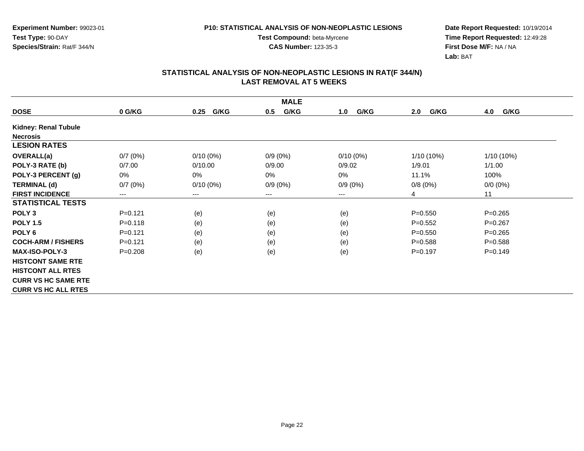**CAS Number:** 123-35-3

**Experiment Number:** 99023-01**Test Type:** 90-DAY**Species/Strain:** Rat/F 344/N

**Date Report Requested:** 10/19/2014 **Time Report Requested:** 12:49:28**First Dose M/F:** NA / NA**Lab:** BAT

| <b>MALE</b>                 |                        |              |             |             |              |             |  |  |
|-----------------------------|------------------------|--------------|-------------|-------------|--------------|-------------|--|--|
| <b>DOSE</b>                 | 0 G/KG                 | G/KG<br>0.25 | G/KG<br>0.5 | G/KG<br>1.0 | G/KG<br>2.0  | 4.0<br>G/KG |  |  |
| <b>Kidney: Renal Tubule</b> |                        |              |             |             |              |             |  |  |
| <b>Necrosis</b>             |                        |              |             |             |              |             |  |  |
| <b>LESION RATES</b>         |                        |              |             |             |              |             |  |  |
| <b>OVERALL(a)</b>           | 0/7(0%)                | $0/10(0\%)$  | $0/9(0\%)$  | $0/10(0\%)$ | $1/10(10\%)$ | 1/10 (10%)  |  |  |
| POLY-3 RATE (b)             | 0/7.00                 | 0/10.00      | 0/9.00      | 0/9.02      | 1/9.01       | 1/1.00      |  |  |
| POLY-3 PERCENT (g)          | 0%                     | 0%           | 0%          | $0\%$       | 11.1%        | 100%        |  |  |
| <b>TERMINAL (d)</b>         | 0/7(0%)                | $0/10(0\%)$  | $0/9(0\%)$  | $0/9(0\%)$  | 0/8(0%)      | $0/0 (0\%)$ |  |  |
| <b>FIRST INCIDENCE</b>      | $\qquad \qquad \cdots$ | $---$        | ---         | ---         | 4            | 11          |  |  |
| <b>STATISTICAL TESTS</b>    |                        |              |             |             |              |             |  |  |
| POLY <sub>3</sub>           | $P = 0.121$            | (e)          | (e)         | (e)         | $P = 0.550$  | $P = 0.265$ |  |  |
| <b>POLY 1.5</b>             | $P = 0.118$            | (e)          | (e)         | (e)         | $P=0.552$    | $P=0.267$   |  |  |
| POLY <sub>6</sub>           | $P = 0.121$            | (e)          | (e)         | (e)         | $P = 0.550$  | $P = 0.265$ |  |  |
| <b>COCH-ARM / FISHERS</b>   | $P = 0.121$            | (e)          | (e)         | (e)         | $P = 0.588$  | $P = 0.588$ |  |  |
| <b>MAX-ISO-POLY-3</b>       | $P = 0.208$            | (e)          | (e)         | (e)         | $P=0.197$    | $P = 0.149$ |  |  |
| <b>HISTCONT SAME RTE</b>    |                        |              |             |             |              |             |  |  |
| <b>HISTCONT ALL RTES</b>    |                        |              |             |             |              |             |  |  |
| <b>CURR VS HC SAME RTE</b>  |                        |              |             |             |              |             |  |  |
| <b>CURR VS HC ALL RTES</b>  |                        |              |             |             |              |             |  |  |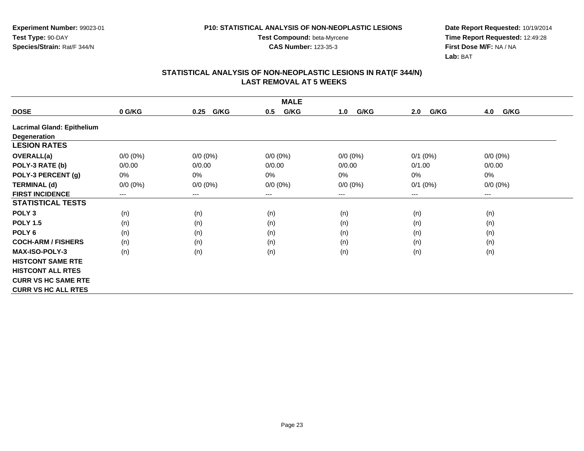**Test Compound:** beta-Myrcene**CAS Number:** 123-35-3

**Date Report Requested:** 10/19/2014 **Time Report Requested:** 12:49:28**First Dose M/F:** NA / NA**Lab:** BAT

| <b>MALE</b>                |             |              |             |             |             |             |  |  |
|----------------------------|-------------|--------------|-------------|-------------|-------------|-------------|--|--|
| <b>DOSE</b>                | 0 G/KG      | G/KG<br>0.25 | G/KG<br>0.5 | G/KG<br>1.0 | G/KG<br>2.0 | 4.0<br>G/KG |  |  |
| Lacrimal Gland: Epithelium |             |              |             |             |             |             |  |  |
| Degeneration               |             |              |             |             |             |             |  |  |
| <b>LESION RATES</b>        |             |              |             |             |             |             |  |  |
| <b>OVERALL(a)</b>          | $0/0 (0\%)$ | $0/0 (0\%)$  | $0/0 (0\%)$ | $0/0 (0\%)$ | $0/1$ (0%)  | $0/0 (0\%)$ |  |  |
| POLY-3 RATE (b)            | 0/0.00      | 0/0.00       | 0/0.00      | 0/0.00      | 0/1.00      | 0/0.00      |  |  |
| POLY-3 PERCENT (g)         | 0%          | $0\%$        | 0%          | $0\%$       | 0%          | 0%          |  |  |
| <b>TERMINAL (d)</b>        | $0/0 (0\%)$ | $0/0 (0\%)$  | $0/0 (0\%)$ | $0/0 (0\%)$ | $0/1$ (0%)  | $0/0 (0\%)$ |  |  |
| <b>FIRST INCIDENCE</b>     | $---$       | $---$        | ---         | ---         | ---         | $---$       |  |  |
| <b>STATISTICAL TESTS</b>   |             |              |             |             |             |             |  |  |
| POLY <sub>3</sub>          | (n)         | (n)          | (n)         | (n)         | (n)         | (n)         |  |  |
| <b>POLY 1.5</b>            | (n)         | (n)          | (n)         | (n)         | (n)         | (n)         |  |  |
| POLY <sub>6</sub>          | (n)         | (n)          | (n)         | (n)         | (n)         | (n)         |  |  |
| <b>COCH-ARM / FISHERS</b>  | (n)         | (n)          | (n)         | (n)         | (n)         | (n)         |  |  |
| <b>MAX-ISO-POLY-3</b>      | (n)         | (n)          | (n)         | (n)         | (n)         | (n)         |  |  |
| <b>HISTCONT SAME RTE</b>   |             |              |             |             |             |             |  |  |
| <b>HISTCONT ALL RTES</b>   |             |              |             |             |             |             |  |  |
| <b>CURR VS HC SAME RTE</b> |             |              |             |             |             |             |  |  |
| <b>CURR VS HC ALL RTES</b> |             |              |             |             |             |             |  |  |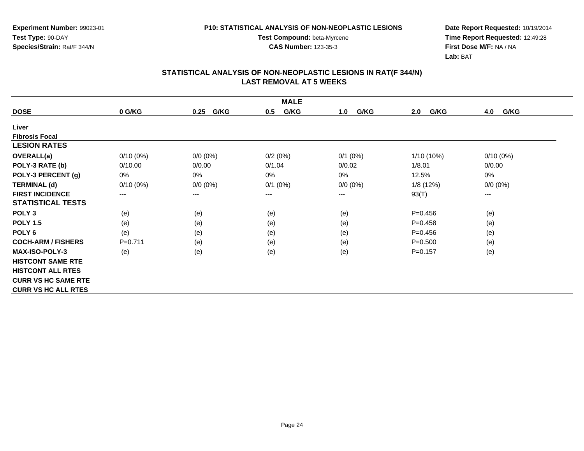**Experiment Number:** 99023-01**Test Type:** 90-DAY**Species/Strain:** Rat/F 344/N

**Test Compound:** beta-Myrcene**CAS Number:** 123-35-3

**Date Report Requested:** 10/19/2014 **Time Report Requested:** 12:49:28**First Dose M/F:** NA / NA**Lab:** BAT

| <b>MALE</b>                |             |              |              |             |              |                        |  |  |
|----------------------------|-------------|--------------|--------------|-------------|--------------|------------------------|--|--|
| <b>DOSE</b>                | 0 G/KG      | G/KG<br>0.25 | G/KG<br>0.5  | G/KG<br>1.0 | G/KG<br>2.0  | G/KG<br>4.0            |  |  |
| Liver                      |             |              |              |             |              |                        |  |  |
| <b>Fibrosis Focal</b>      |             |              |              |             |              |                        |  |  |
| <b>LESION RATES</b>        |             |              |              |             |              |                        |  |  |
| <b>OVERALL(a)</b>          | $0/10(0\%)$ | $0/0 (0\%)$  | 0/2(0%)      | $0/1$ (0%)  | $1/10(10\%)$ | $0/10(0\%)$            |  |  |
| POLY-3 RATE (b)            | 0/10.00     | 0/0.00       | 0/1.04       | 0/0.02      | 1/8.01       | 0/0.00                 |  |  |
| POLY-3 PERCENT (g)         | 0%          | 0%           | 0%           | 0%          | 12.5%        | 0%                     |  |  |
| <b>TERMINAL (d)</b>        | $0/10(0\%)$ | $0/0 (0\%)$  | $0/1$ $(0%)$ | $0/0 (0\%)$ | 1/8(12%)     | $0/0 (0\%)$            |  |  |
| <b>FIRST INCIDENCE</b>     | $---$       | $\cdots$     | ---          | ---         | 93(T)        | $\qquad \qquad \cdots$ |  |  |
| <b>STATISTICAL TESTS</b>   |             |              |              |             |              |                        |  |  |
| POLY <sub>3</sub>          | (e)         | (e)          | (e)          | (e)         | $P = 0.456$  | (e)                    |  |  |
| <b>POLY 1.5</b>            | (e)         | (e)          | (e)          | (e)         | $P=0.458$    | (e)                    |  |  |
| POLY <sub>6</sub>          | (e)         | (e)          | (e)          | (e)         | $P=0.456$    | (e)                    |  |  |
| <b>COCH-ARM / FISHERS</b>  | $P = 0.711$ | (e)          | (e)          | (e)         | $P = 0.500$  | (e)                    |  |  |
| <b>MAX-ISO-POLY-3</b>      | (e)         | (e)          | (e)          | (e)         | $P = 0.157$  | (e)                    |  |  |
| <b>HISTCONT SAME RTE</b>   |             |              |              |             |              |                        |  |  |
| <b>HISTCONT ALL RTES</b>   |             |              |              |             |              |                        |  |  |
| <b>CURR VS HC SAME RTE</b> |             |              |              |             |              |                        |  |  |
| <b>CURR VS HC ALL RTES</b> |             |              |              |             |              |                        |  |  |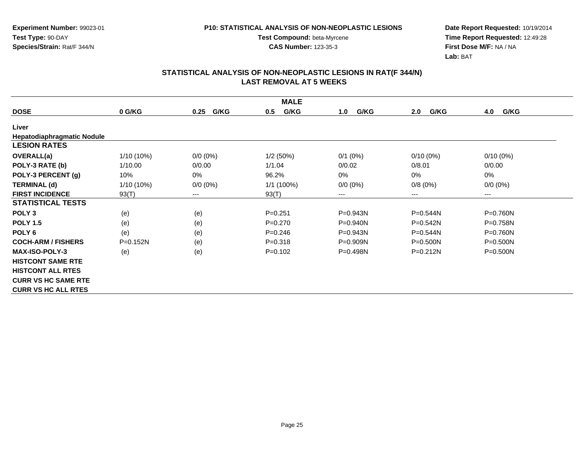**Experiment Number:** 99023-01**Test Type:** 90-DAY**Species/Strain:** Rat/F 344/N

**Date Report Requested:** 10/19/2014 **Time Report Requested:** 12:49:28**First Dose M/F:** NA / NA**Lab:** BAT

|                                   | <b>MALE</b> |              |             |              |              |              |  |  |
|-----------------------------------|-------------|--------------|-------------|--------------|--------------|--------------|--|--|
| <b>DOSE</b>                       | 0 G/KG      | G/KG<br>0.25 | G/KG<br>0.5 | G/KG<br>1.0  | 2.0<br>G/KG  | G/KG<br>4.0  |  |  |
| Liver                             |             |              |             |              |              |              |  |  |
| <b>Hepatodiaphragmatic Nodule</b> |             |              |             |              |              |              |  |  |
| <b>LESION RATES</b>               |             |              |             |              |              |              |  |  |
| <b>OVERALL(a)</b>                 | 1/10 (10%)  | $0/0 (0\%)$  | 1/2(50%)    | $0/1$ (0%)   | $0/10(0\%)$  | $0/10(0\%)$  |  |  |
| POLY-3 RATE (b)                   | 1/10.00     | 0/0.00       | 1/1.04      | 0/0.02       | 0/8.01       | 0/0.00       |  |  |
| POLY-3 PERCENT (g)                | 10%         | 0%           | 96.2%       | 0%           | $0\%$        | 0%           |  |  |
| <b>TERMINAL (d)</b>               | 1/10 (10%)  | $0/0 (0\%)$  | 1/1 (100%)  | $0/0 (0\%)$  | 0/8(0%)      | $0/0 (0\%)$  |  |  |
| <b>FIRST INCIDENCE</b>            | 93(T)       | $---$        | 93(T)       | ---          | $---$        | $---$        |  |  |
| <b>STATISTICAL TESTS</b>          |             |              |             |              |              |              |  |  |
| POLY <sub>3</sub>                 | (e)         | (e)          | $P = 0.251$ | $P = 0.943N$ | $P = 0.544N$ | $P = 0.760N$ |  |  |
| <b>POLY 1.5</b>                   | (e)         | (e)          | $P=0.270$   | $P = 0.940N$ | $P = 0.542N$ | $P = 0.758N$ |  |  |
| POLY <sub>6</sub>                 | (e)         | (e)          | $P = 0.246$ | P=0.943N     | $P = 0.544N$ | $P = 0.760N$ |  |  |
| <b>COCH-ARM / FISHERS</b>         | $P=0.152N$  | (e)          | $P = 0.318$ | $P = 0.909N$ | $P = 0.500N$ | $P = 0.500N$ |  |  |
| <b>MAX-ISO-POLY-3</b>             | (e)         | (e)          | $P = 0.102$ | $P = 0.498N$ | $P = 0.212N$ | $P = 0.500N$ |  |  |
| <b>HISTCONT SAME RTE</b>          |             |              |             |              |              |              |  |  |
| <b>HISTCONT ALL RTES</b>          |             |              |             |              |              |              |  |  |
| <b>CURR VS HC SAME RTE</b>        |             |              |             |              |              |              |  |  |
| <b>CURR VS HC ALL RTES</b>        |             |              |             |              |              |              |  |  |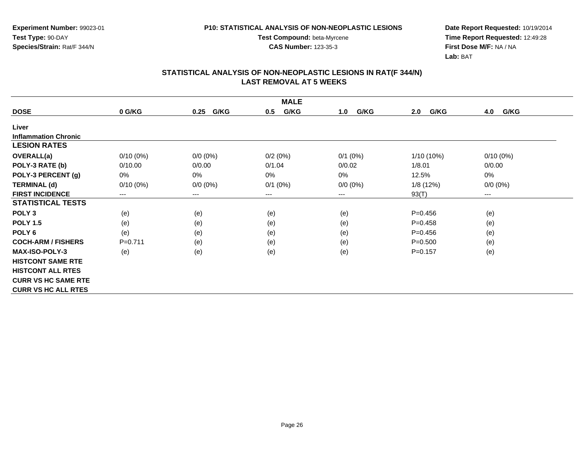**Experiment Number:** 99023-01**Test Type:** 90-DAY**Species/Strain:** Rat/F 344/N

**Test Compound:** beta-Myrcene**CAS Number:** 123-35-3

**Date Report Requested:** 10/19/2014 **Time Report Requested:** 12:49:28**First Dose M/F:** NA / NA**Lab:** BAT

|                             | <b>MALE</b> |              |              |             |             |             |  |  |  |
|-----------------------------|-------------|--------------|--------------|-------------|-------------|-------------|--|--|--|
| <b>DOSE</b>                 | 0 G/KG      | G/KG<br>0.25 | G/KG<br>0.5  | G/KG<br>1.0 | G/KG<br>2.0 | 4.0<br>G/KG |  |  |  |
| Liver                       |             |              |              |             |             |             |  |  |  |
| <b>Inflammation Chronic</b> |             |              |              |             |             |             |  |  |  |
| <b>LESION RATES</b>         |             |              |              |             |             |             |  |  |  |
| <b>OVERALL(a)</b>           | $0/10(0\%)$ | $0/0 (0\%)$  | 0/2(0%)      | $0/1$ (0%)  | 1/10 (10%)  | $0/10(0\%)$ |  |  |  |
| POLY-3 RATE (b)             | 0/10.00     | 0/0.00       | 0/1.04       | 0/0.02      | 1/8.01      | 0/0.00      |  |  |  |
| POLY-3 PERCENT (g)          | 0%          | 0%           | $0\%$        | 0%          | 12.5%       | 0%          |  |  |  |
| <b>TERMINAL (d)</b>         | $0/10(0\%)$ | $0/0 (0\%)$  | $0/1$ $(0%)$ | $0/0 (0\%)$ | 1/8(12%)    | $0/0 (0\%)$ |  |  |  |
| <b>FIRST INCIDENCE</b>      | $---$       | $--$         | ---          | ---         | 93(T)       | $---$       |  |  |  |
| <b>STATISTICAL TESTS</b>    |             |              |              |             |             |             |  |  |  |
| POLY <sub>3</sub>           | (e)         | (e)          | (e)          | (e)         | $P = 0.456$ | (e)         |  |  |  |
| <b>POLY 1.5</b>             | (e)         | (e)          | (e)          | (e)         | $P=0.458$   | (e)         |  |  |  |
| POLY <sub>6</sub>           | (e)         | (e)          | (e)          | (e)         | $P=0.456$   | (e)         |  |  |  |
| <b>COCH-ARM / FISHERS</b>   | $P=0.711$   | (e)          | (e)          | (e)         | $P = 0.500$ | (e)         |  |  |  |
| <b>MAX-ISO-POLY-3</b>       | (e)         | (e)          | (e)          | (e)         | $P=0.157$   | (e)         |  |  |  |
| <b>HISTCONT SAME RTE</b>    |             |              |              |             |             |             |  |  |  |
| <b>HISTCONT ALL RTES</b>    |             |              |              |             |             |             |  |  |  |
| <b>CURR VS HC SAME RTE</b>  |             |              |              |             |             |             |  |  |  |
| <b>CURR VS HC ALL RTES</b>  |             |              |              |             |             |             |  |  |  |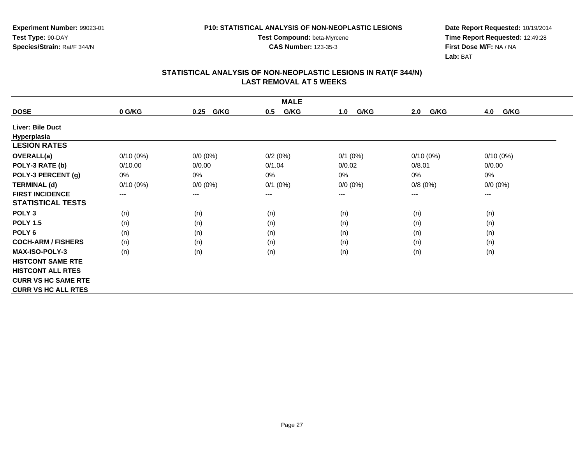**Experiment Number:** 99023-01**Test Type:** 90-DAY**Species/Strain:** Rat/F 344/N

**Test Compound:** beta-Myrcene**CAS Number:** 123-35-3

**Date Report Requested:** 10/19/2014 **Time Report Requested:** 12:49:28**First Dose M/F:** NA / NA**Lab:** BAT

|                            |             |              | <b>MALE</b> |             |             |             |
|----------------------------|-------------|--------------|-------------|-------------|-------------|-------------|
| <b>DOSE</b>                | 0 G/KG      | G/KG<br>0.25 | G/KG<br>0.5 | G/KG<br>1.0 | G/KG<br>2.0 | G/KG<br>4.0 |
| <b>Liver: Bile Duct</b>    |             |              |             |             |             |             |
| Hyperplasia                |             |              |             |             |             |             |
| <b>LESION RATES</b>        |             |              |             |             |             |             |
| <b>OVERALL(a)</b>          | $0/10(0\%)$ | $0/0 (0\%)$  | 0/2(0%)     | $0/1$ (0%)  | $0/10(0\%)$ | $0/10(0\%)$ |
| POLY-3 RATE (b)            | 0/10.00     | 0/0.00       | 0/1.04      | 0/0.02      | 0/8.01      | 0/0.00      |
| POLY-3 PERCENT (g)         | 0%          | 0%           | $0\%$       | 0%          | 0%          | 0%          |
| <b>TERMINAL (d)</b>        | $0/10(0\%)$ | $0/0 (0\%)$  | $0/1$ (0%)  | $0/0 (0\%)$ | 0/8(0%)     | $0/0 (0\%)$ |
| <b>FIRST INCIDENCE</b>     | ---         | $--$         | ---         | ---         | $---$       | ---         |
| <b>STATISTICAL TESTS</b>   |             |              |             |             |             |             |
| POLY <sub>3</sub>          | (n)         | (n)          | (n)         | (n)         | (n)         | (n)         |
| <b>POLY 1.5</b>            | (n)         | (n)          | (n)         | (n)         | (n)         | (n)         |
| POLY <sub>6</sub>          | (n)         | (n)          | (n)         | (n)         | (n)         | (n)         |
| <b>COCH-ARM / FISHERS</b>  | (n)         | (n)          | (n)         | (n)         | (n)         | (n)         |
| <b>MAX-ISO-POLY-3</b>      | (n)         | (n)          | (n)         | (n)         | (n)         | (n)         |
| <b>HISTCONT SAME RTE</b>   |             |              |             |             |             |             |
| <b>HISTCONT ALL RTES</b>   |             |              |             |             |             |             |
| <b>CURR VS HC SAME RTE</b> |             |              |             |             |             |             |
| <b>CURR VS HC ALL RTES</b> |             |              |             |             |             |             |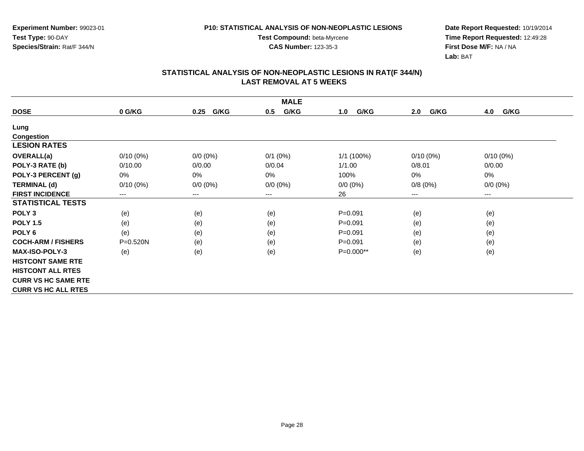**Experiment Number:** 99023-01**Test Type:** 90-DAY**Species/Strain:** Rat/F 344/N

**Test Compound:** beta-Myrcene**CAS Number:** 123-35-3

**Date Report Requested:** 10/19/2014 **Time Report Requested:** 12:49:28**First Dose M/F:** NA / NA**Lab:** BAT

|                            |                        |                        | <b>MALE</b>  |              |                        |             |
|----------------------------|------------------------|------------------------|--------------|--------------|------------------------|-------------|
| <b>DOSE</b>                | 0 G/KG                 | G/KG<br>0.25           | G/KG<br>0.5  | G/KG<br>1.0  | G/KG<br>2.0            | 4.0<br>G/KG |
| Lung                       |                        |                        |              |              |                        |             |
| <b>Congestion</b>          |                        |                        |              |              |                        |             |
| <b>LESION RATES</b>        |                        |                        |              |              |                        |             |
| OVERALL(a)                 | $0/10(0\%)$            | $0/0 (0\%)$            | $0/1$ $(0%)$ | $1/1$ (100%) | $0/10(0\%)$            | $0/10(0\%)$ |
| POLY-3 RATE (b)            | 0/10.00                | 0/0.00                 | 0/0.04       | 1/1.00       | 0/8.01                 | 0/0.00      |
| POLY-3 PERCENT (g)         | 0%                     | 0%                     | 0%           | 100%         | 0%                     | 0%          |
| <b>TERMINAL (d)</b>        | $0/10(0\%)$            | $0/0 (0\%)$            | $0/0 (0\%)$  | $0/0 (0\%)$  | 0/8(0%)                | $0/0 (0\%)$ |
| <b>FIRST INCIDENCE</b>     | $\qquad \qquad \cdots$ | $\qquad \qquad \cdots$ | ---          | 26           | $\qquad \qquad \cdots$ | $\cdots$    |
| <b>STATISTICAL TESTS</b>   |                        |                        |              |              |                        |             |
| POLY <sub>3</sub>          | (e)                    | (e)                    | (e)          | $P = 0.091$  | (e)                    | (e)         |
| <b>POLY 1.5</b>            | (e)                    | (e)                    | (e)          | $P = 0.091$  | (e)                    | (e)         |
| POLY <sub>6</sub>          | (e)                    | (e)                    | (e)          | $P = 0.091$  | (e)                    | (e)         |
| <b>COCH-ARM / FISHERS</b>  | P=0.520N               | (e)                    | (e)          | $P = 0.091$  | (e)                    | (e)         |
| <b>MAX-ISO-POLY-3</b>      | (e)                    | (e)                    | (e)          | P=0.000**    | (e)                    | (e)         |
| <b>HISTCONT SAME RTE</b>   |                        |                        |              |              |                        |             |
| <b>HISTCONT ALL RTES</b>   |                        |                        |              |              |                        |             |
| <b>CURR VS HC SAME RTE</b> |                        |                        |              |              |                        |             |
| <b>CURR VS HC ALL RTES</b> |                        |                        |              |              |                        |             |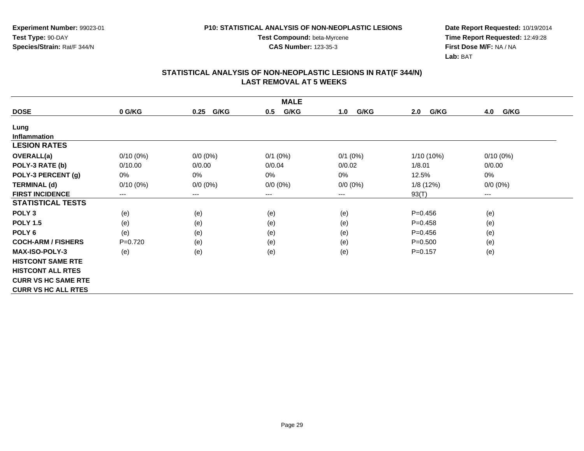**Experiment Number:** 99023-01**Test Type:** 90-DAY**Species/Strain:** Rat/F 344/N

**Test Compound:** beta-Myrcene**CAS Number:** 123-35-3

**Date Report Requested:** 10/19/2014 **Time Report Requested:** 12:49:28**First Dose M/F:** NA / NA**Lab:** BAT

|                            |             |                        | <b>MALE</b>  |             |             |                        |
|----------------------------|-------------|------------------------|--------------|-------------|-------------|------------------------|
| <b>DOSE</b>                | 0 G/KG      | G/KG<br>0.25           | G/KG<br>0.5  | G/KG<br>1.0 | G/KG<br>2.0 | G/KG<br>4.0            |
| Lung                       |             |                        |              |             |             |                        |
| <b>Inflammation</b>        |             |                        |              |             |             |                        |
| <b>LESION RATES</b>        |             |                        |              |             |             |                        |
| <b>OVERALL(a)</b>          | $0/10(0\%)$ | $0/0 (0\%)$            | $0/1$ $(0%)$ | $0/1$ (0%)  | 1/10 (10%)  | $0/10(0\%)$            |
| POLY-3 RATE (b)            | 0/10.00     | 0/0.00                 | 0/0.04       | 0/0.02      | 1/8.01      | 0/0.00                 |
| POLY-3 PERCENT (g)         | 0%          | 0%                     | 0%           | 0%          | 12.5%       | 0%                     |
| <b>TERMINAL (d)</b>        | $0/10(0\%)$ | $0/0 (0\%)$            | $0/0 (0\%)$  | $0/0 (0\%)$ | 1/8(12%)    | $0/0 (0\%)$            |
| <b>FIRST INCIDENCE</b>     | $---$       | $\qquad \qquad \cdots$ | ---          | $---$       | 93(T)       | $\qquad \qquad \cdots$ |
| <b>STATISTICAL TESTS</b>   |             |                        |              |             |             |                        |
| POLY <sub>3</sub>          | (e)         | (e)                    | (e)          | (e)         | $P=0.456$   | (e)                    |
| <b>POLY 1.5</b>            | (e)         | (e)                    | (e)          | (e)         | $P=0.458$   | (e)                    |
| POLY <sub>6</sub>          | (e)         | (e)                    | (e)          | (e)         | $P=0.456$   | (e)                    |
| <b>COCH-ARM / FISHERS</b>  | $P=0.720$   | (e)                    | (e)          | (e)         | $P = 0.500$ | (e)                    |
| <b>MAX-ISO-POLY-3</b>      | (e)         | (e)                    | (e)          | (e)         | $P=0.157$   | (e)                    |
| <b>HISTCONT SAME RTE</b>   |             |                        |              |             |             |                        |
| <b>HISTCONT ALL RTES</b>   |             |                        |              |             |             |                        |
| <b>CURR VS HC SAME RTE</b> |             |                        |              |             |             |                        |
| <b>CURR VS HC ALL RTES</b> |             |                        |              |             |             |                        |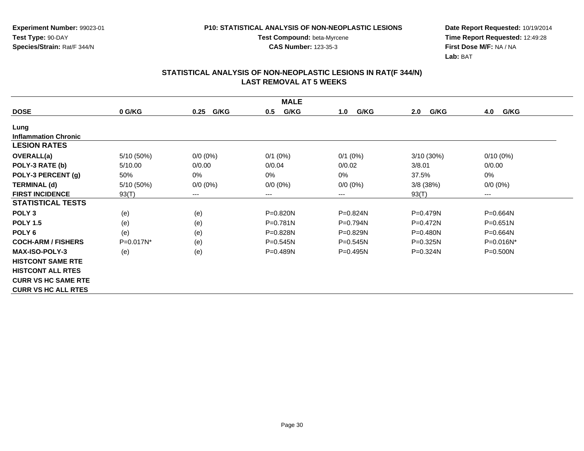**CAS Number:** 123-35-3

**Experiment Number:** 99023-01**Test Type:** 90-DAY**Species/Strain:** Rat/F 344/N

**Date Report Requested:** 10/19/2014 **Time Report Requested:** 12:49:28**First Dose M/F:** NA / NA**Lab:** BAT

|                             |            |              | <b>MALE</b>  |              |              |              |
|-----------------------------|------------|--------------|--------------|--------------|--------------|--------------|
| <b>DOSE</b>                 | 0 G/KG     | G/KG<br>0.25 | G/KG<br>0.5  | G/KG<br>1.0  | G/KG<br>2.0  | G/KG<br>4.0  |
| Lung                        |            |              |              |              |              |              |
| <b>Inflammation Chronic</b> |            |              |              |              |              |              |
| <b>LESION RATES</b>         |            |              |              |              |              |              |
| <b>OVERALL(a)</b>           | 5/10 (50%) | $0/0 (0\%)$  | $0/1$ (0%)   | $0/1$ (0%)   | 3/10(30%)    | $0/10(0\%)$  |
| POLY-3 RATE (b)             | 5/10.00    | 0/0.00       | 0/0.04       | 0/0.02       | 3/8.01       | 0/0.00       |
| POLY-3 PERCENT (g)          | 50%        | $0\%$        | 0%           | 0%           | 37.5%        | 0%           |
| <b>TERMINAL (d)</b>         | 5/10 (50%) | $0/0 (0\%)$  | $0/0 (0\%)$  | $0/0 (0\%)$  | $3/8$ (38%)  | $0/0 (0\%)$  |
| <b>FIRST INCIDENCE</b>      | 93(T)      | $---$        | ---          | ---          | 93(T)        | $--$         |
| <b>STATISTICAL TESTS</b>    |            |              |              |              |              |              |
| POLY <sub>3</sub>           | (e)        | (e)          | $P = 0.820N$ | $P = 0.824N$ | $P = 0.479N$ | $P = 0.664N$ |
| <b>POLY 1.5</b>             | (e)        | (e)          | $P=0.781N$   | $P=0.794N$   | $P = 0.472N$ | $P = 0.651N$ |
| POLY <sub>6</sub>           | (e)        | (e)          | P=0.828N     | P=0.829N     | P=0.480N     | P=0.664N     |
| <b>COCH-ARM / FISHERS</b>   | P=0.017N*  | (e)          | $P = 0.545N$ | $P = 0.545N$ | $P = 0.325N$ | $P=0.016N^*$ |
| <b>MAX-ISO-POLY-3</b>       | (e)        | (e)          | $P = 0.489N$ | $P = 0.495N$ | $P = 0.324N$ | $P = 0.500N$ |
| <b>HISTCONT SAME RTE</b>    |            |              |              |              |              |              |
| <b>HISTCONT ALL RTES</b>    |            |              |              |              |              |              |
| <b>CURR VS HC SAME RTE</b>  |            |              |              |              |              |              |
| <b>CURR VS HC ALL RTES</b>  |            |              |              |              |              |              |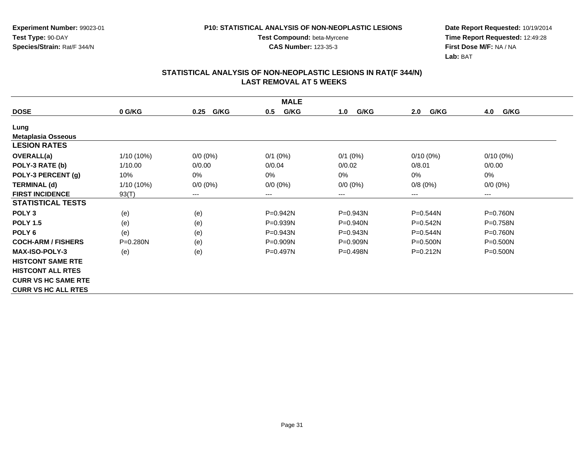**Experiment Number:** 99023-01**Test Type:** 90-DAY**Species/Strain:** Rat/F 344/N

**Test Compound:** beta-Myrcene**CAS Number:** 123-35-3

**Date Report Requested:** 10/19/2014 **Time Report Requested:** 12:49:28**First Dose M/F:** NA / NA**Lab:** BAT

|                            |              |              | <b>MALE</b> |              |              |              |
|----------------------------|--------------|--------------|-------------|--------------|--------------|--------------|
| <b>DOSE</b>                | 0 G/KG       | G/KG<br>0.25 | G/KG<br>0.5 | G/KG<br>1.0  | G/KG<br>2.0  | G/KG<br>4.0  |
| Lung                       |              |              |             |              |              |              |
| <b>Metaplasia Osseous</b>  |              |              |             |              |              |              |
| <b>LESION RATES</b>        |              |              |             |              |              |              |
| OVERALL(a)                 | 1/10 (10%)   | $0/0 (0\%)$  | $0/1$ (0%)  | $0/1$ (0%)   | $0/10(0\%)$  | $0/10(0\%)$  |
| POLY-3 RATE (b)            | 1/10.00      | 0/0.00       | 0/0.04      | 0/0.02       | 0/8.01       | 0/0.00       |
| POLY-3 PERCENT (g)         | 10%          | 0%           | 0%          | 0%           | 0%           | 0%           |
| <b>TERMINAL (d)</b>        | 1/10 (10%)   | $0/0 (0\%)$  | $0/0 (0\%)$ | $0/0 (0\%)$  | 0/8(0%)      | 0/0 (0%)     |
| <b>FIRST INCIDENCE</b>     | 93(T)        | ---          | $--$        | ---          | ---          | $---$        |
| <b>STATISTICAL TESTS</b>   |              |              |             |              |              |              |
| POLY <sub>3</sub>          | (e)          | (e)          | P=0.942N    | P=0.943N     | $P = 0.544N$ | P=0.760N     |
| <b>POLY 1.5</b>            | (e)          | (e)          | P=0.939N    | P=0.940N     | $P = 0.542N$ | P=0.758N     |
| POLY <sub>6</sub>          | (e)          | (e)          | P=0.943N    | $P = 0.943N$ | $P = 0.544N$ | P=0.760N     |
| <b>COCH-ARM / FISHERS</b>  | $P = 0.280N$ | (e)          | P=0.909N    | $P = 0.909N$ | $P = 0.500N$ | $P = 0.500N$ |
| <b>MAX-ISO-POLY-3</b>      | (e)          | (e)          | P=0.497N    | $P = 0.498N$ | $P = 0.212N$ | $P = 0.500N$ |
| <b>HISTCONT SAME RTE</b>   |              |              |             |              |              |              |
| <b>HISTCONT ALL RTES</b>   |              |              |             |              |              |              |
| <b>CURR VS HC SAME RTE</b> |              |              |             |              |              |              |
| <b>CURR VS HC ALL RTES</b> |              |              |             |              |              |              |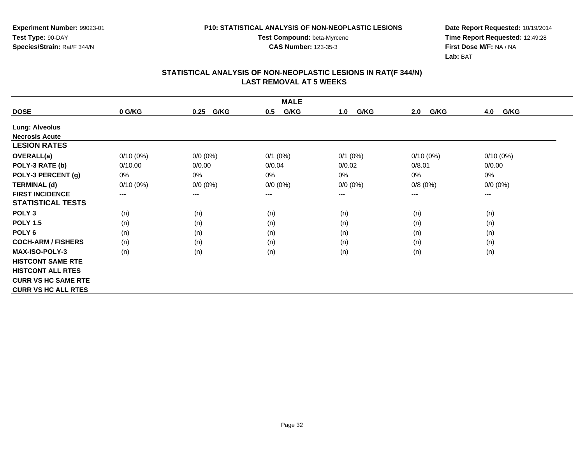**Experiment Number:** 99023-01**Test Type:** 90-DAY**Species/Strain:** Rat/F 344/N

**Test Compound:** beta-Myrcene**CAS Number:** 123-35-3

**Date Report Requested:** 10/19/2014 **Time Report Requested:** 12:49:28**First Dose M/F:** NA / NA**Lab:** BAT

|                            |             |                        | <b>MALE</b> |             |             |             |
|----------------------------|-------------|------------------------|-------------|-------------|-------------|-------------|
| <b>DOSE</b>                | 0 G/KG      | G/KG<br>0.25           | G/KG<br>0.5 | G/KG<br>1.0 | G/KG<br>2.0 | G/KG<br>4.0 |
| <b>Lung: Alveolus</b>      |             |                        |             |             |             |             |
| <b>Necrosis Acute</b>      |             |                        |             |             |             |             |
| <b>LESION RATES</b>        |             |                        |             |             |             |             |
| <b>OVERALL(a)</b>          | $0/10(0\%)$ | $0/0 (0\%)$            | $0/1$ (0%)  | $0/1$ (0%)  | $0/10(0\%)$ | $0/10(0\%)$ |
| POLY-3 RATE (b)            | 0/10.00     | 0/0.00                 | 0/0.04      | 0/0.02      | 0/8.01      | 0/0.00      |
| POLY-3 PERCENT (g)         | 0%          | 0%                     | 0%          | 0%          | 0%          | 0%          |
| <b>TERMINAL (d)</b>        | $0/10(0\%)$ | $0/0 (0\%)$            | $0/0 (0\%)$ | $0/0 (0\%)$ | 0/8(0%)     | $0/0 (0\%)$ |
| <b>FIRST INCIDENCE</b>     | ---         | $\qquad \qquad \cdots$ | $--$        | ---         | ---         | ---         |
| <b>STATISTICAL TESTS</b>   |             |                        |             |             |             |             |
| POLY <sub>3</sub>          | (n)         | (n)                    | (n)         | (n)         | (n)         | (n)         |
| <b>POLY 1.5</b>            | (n)         | (n)                    | (n)         | (n)         | (n)         | (n)         |
| POLY <sub>6</sub>          | (n)         | (n)                    | (n)         | (n)         | (n)         | (n)         |
| <b>COCH-ARM / FISHERS</b>  | (n)         | (n)                    | (n)         | (n)         | (n)         | (n)         |
| <b>MAX-ISO-POLY-3</b>      | (n)         | (n)                    | (n)         | (n)         | (n)         | (n)         |
| <b>HISTCONT SAME RTE</b>   |             |                        |             |             |             |             |
| <b>HISTCONT ALL RTES</b>   |             |                        |             |             |             |             |
| <b>CURR VS HC SAME RTE</b> |             |                        |             |             |             |             |
| <b>CURR VS HC ALL RTES</b> |             |                        |             |             |             |             |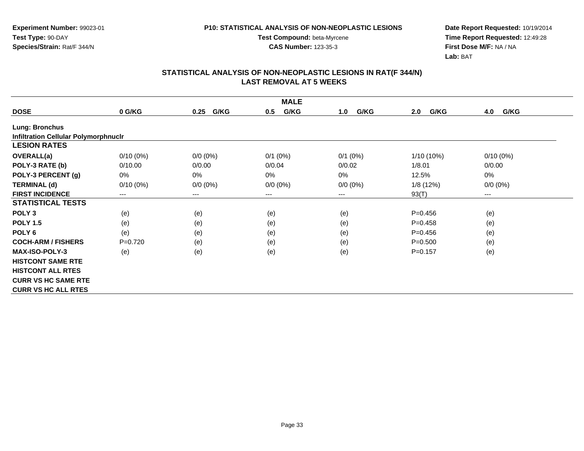**Test Compound:** beta-Myrcene**CAS Number:** 123-35-3

**Date Report Requested:** 10/19/2014 **Time Report Requested:** 12:49:28**First Dose M/F:** NA / NA**Lab:** BAT

|                                             |             |              | <b>MALE</b>  |             |              |             |
|---------------------------------------------|-------------|--------------|--------------|-------------|--------------|-------------|
| <b>DOSE</b>                                 | 0 G/KG      | G/KG<br>0.25 | G/KG<br>0.5  | G/KG<br>1.0 | G/KG<br>2.0  | G/KG<br>4.0 |
| <b>Lung: Bronchus</b>                       |             |              |              |             |              |             |
| <b>Infiltration Cellular Polymorphnuclr</b> |             |              |              |             |              |             |
| <b>LESION RATES</b>                         |             |              |              |             |              |             |
| OVERALL(a)                                  | $0/10(0\%)$ | $0/0 (0\%)$  | $0/1$ $(0%)$ | $0/1$ (0%)  | $1/10(10\%)$ | $0/10(0\%)$ |
| POLY-3 RATE (b)                             | 0/10.00     | 0/0.00       | 0/0.04       | 0/0.02      | 1/8.01       | 0/0.00      |
| POLY-3 PERCENT (g)                          | 0%          | $0\%$        | 0%           | $0\%$       | 12.5%        | 0%          |
| <b>TERMINAL (d)</b>                         | $0/10(0\%)$ | $0/0 (0\%)$  | $0/0 (0\%)$  | $0/0 (0\%)$ | 1/8(12%)     | $0/0 (0\%)$ |
| <b>FIRST INCIDENCE</b>                      | $---$       | $---$        | ---          | ---         | 93(T)        | $---$       |
| <b>STATISTICAL TESTS</b>                    |             |              |              |             |              |             |
| POLY <sub>3</sub>                           | (e)         | (e)          | (e)          | (e)         | $P=0.456$    | (e)         |
| <b>POLY 1.5</b>                             | (e)         | (e)          | (e)          | (e)         | $P=0.458$    | (e)         |
| POLY <sub>6</sub>                           | (e)         | (e)          | (e)          | (e)         | $P=0.456$    | (e)         |
| <b>COCH-ARM / FISHERS</b>                   | $P=0.720$   | (e)          | (e)          | (e)         | $P = 0.500$  | (e)         |
| <b>MAX-ISO-POLY-3</b>                       | (e)         | (e)          | (e)          | (e)         | $P=0.157$    | (e)         |
| <b>HISTCONT SAME RTE</b>                    |             |              |              |             |              |             |
| <b>HISTCONT ALL RTES</b>                    |             |              |              |             |              |             |
| <b>CURR VS HC SAME RTE</b>                  |             |              |              |             |              |             |
| <b>CURR VS HC ALL RTES</b>                  |             |              |              |             |              |             |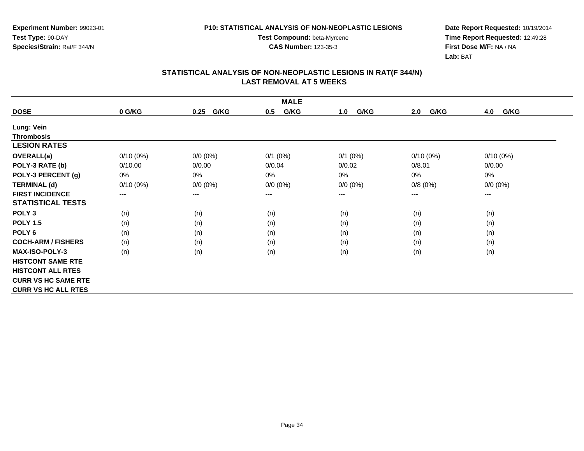**Experiment Number:** 99023-01**Test Type:** 90-DAY**Species/Strain:** Rat/F 344/N

**Test Compound:** beta-Myrcene**CAS Number:** 123-35-3

**Date Report Requested:** 10/19/2014 **Time Report Requested:** 12:49:28**First Dose M/F:** NA / NA**Lab:** BAT

|                            |             |                        | <b>MALE</b> |             |             |             |
|----------------------------|-------------|------------------------|-------------|-------------|-------------|-------------|
| <b>DOSE</b>                | 0 G/KG      | G/KG<br>0.25           | G/KG<br>0.5 | G/KG<br>1.0 | G/KG<br>2.0 | G/KG<br>4.0 |
| Lung: Vein                 |             |                        |             |             |             |             |
| <b>Thrombosis</b>          |             |                        |             |             |             |             |
| <b>LESION RATES</b>        |             |                        |             |             |             |             |
| <b>OVERALL(a)</b>          | $0/10(0\%)$ | $0/0 (0\%)$            | $0/1$ (0%)  | $0/1$ (0%)  | $0/10(0\%)$ | $0/10(0\%)$ |
| POLY-3 RATE (b)            | 0/10.00     | 0/0.00                 | 0/0.04      | 0/0.02      | 0/8.01      | 0/0.00      |
| POLY-3 PERCENT (g)         | 0%          | 0%                     | 0%          | 0%          | 0%          | 0%          |
| <b>TERMINAL (d)</b>        | $0/10(0\%)$ | $0/0 (0\%)$            | $0/0 (0\%)$ | $0/0 (0\%)$ | 0/8(0%)     | $0/0 (0\%)$ |
| <b>FIRST INCIDENCE</b>     | ---         | $\qquad \qquad \cdots$ | ---         | ---         | $---$       | ---         |
| <b>STATISTICAL TESTS</b>   |             |                        |             |             |             |             |
| POLY <sub>3</sub>          | (n)         | (n)                    | (n)         | (n)         | (n)         | (n)         |
| <b>POLY 1.5</b>            | (n)         | (n)                    | (n)         | (n)         | (n)         | (n)         |
| POLY <sub>6</sub>          | (n)         | (n)                    | (n)         | (n)         | (n)         | (n)         |
| <b>COCH-ARM / FISHERS</b>  | (n)         | (n)                    | (n)         | (n)         | (n)         | (n)         |
| <b>MAX-ISO-POLY-3</b>      | (n)         | (n)                    | (n)         | (n)         | (n)         | (n)         |
| <b>HISTCONT SAME RTE</b>   |             |                        |             |             |             |             |
| <b>HISTCONT ALL RTES</b>   |             |                        |             |             |             |             |
| <b>CURR VS HC SAME RTE</b> |             |                        |             |             |             |             |
| <b>CURR VS HC ALL RTES</b> |             |                        |             |             |             |             |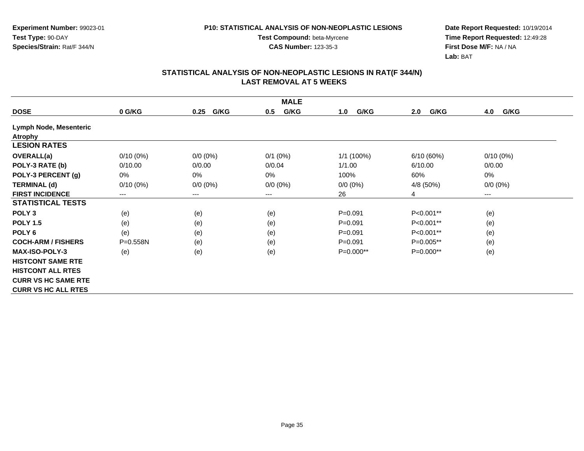**Experiment Number:** 99023-01**Test Type:** 90-DAY**Species/Strain:** Rat/F 344/N

**Test Compound:** beta-Myrcene

**Date Report Requested:** 10/19/2014 **Time Report Requested:** 12:49:28**First Dose M/F:** NA / NA**Lab:** BAT

|                            |              |              | <b>MALE</b> |              |             |             |
|----------------------------|--------------|--------------|-------------|--------------|-------------|-------------|
| <b>DOSE</b>                | 0 G/KG       | G/KG<br>0.25 | G/KG<br>0.5 | G/KG<br>1.0  | G/KG<br>2.0 | 4.0<br>G/KG |
| Lymph Node, Mesenteric     |              |              |             |              |             |             |
| <b>Atrophy</b>             |              |              |             |              |             |             |
| <b>LESION RATES</b>        |              |              |             |              |             |             |
| OVERALL(a)                 | $0/10(0\%)$  | $0/0 (0\%)$  | $0/1$ (0%)  | $1/1$ (100%) | 6/10(60%)   | $0/10(0\%)$ |
| POLY-3 RATE (b)            | 0/10.00      | 0/0.00       | 0/0.04      | 1/1.00       | 6/10.00     | 0/0.00      |
| POLY-3 PERCENT (g)         | 0%           | $0\%$        | 0%          | 100%         | 60%         | 0%          |
| <b>TERMINAL (d)</b>        | $0/10(0\%)$  | $0/0 (0\%)$  | $0/0 (0\%)$ | $0/0 (0\%)$  | 4/8 (50%)   | $0/0 (0\%)$ |
| <b>FIRST INCIDENCE</b>     | $---$        | $---$        | ---         | 26           | 4           | $--$        |
| <b>STATISTICAL TESTS</b>   |              |              |             |              |             |             |
| POLY <sub>3</sub>          | (e)          | (e)          | (e)         | $P = 0.091$  | P<0.001**   | (e)         |
| <b>POLY 1.5</b>            | (e)          | (e)          | (e)         | $P = 0.091$  | P<0.001**   | (e)         |
| POLY <sub>6</sub>          | (e)          | (e)          | (e)         | $P = 0.091$  | P<0.001**   | (e)         |
| <b>COCH-ARM / FISHERS</b>  | $P = 0.558N$ | (e)          | (e)         | $P = 0.091$  | $P=0.005**$ | (e)         |
| <b>MAX-ISO-POLY-3</b>      | (e)          | (e)          | (e)         | $P=0.000**$  | $P=0.000**$ | (e)         |
| <b>HISTCONT SAME RTE</b>   |              |              |             |              |             |             |
| <b>HISTCONT ALL RTES</b>   |              |              |             |              |             |             |
| <b>CURR VS HC SAME RTE</b> |              |              |             |              |             |             |
| <b>CURR VS HC ALL RTES</b> |              |              |             |              |             |             |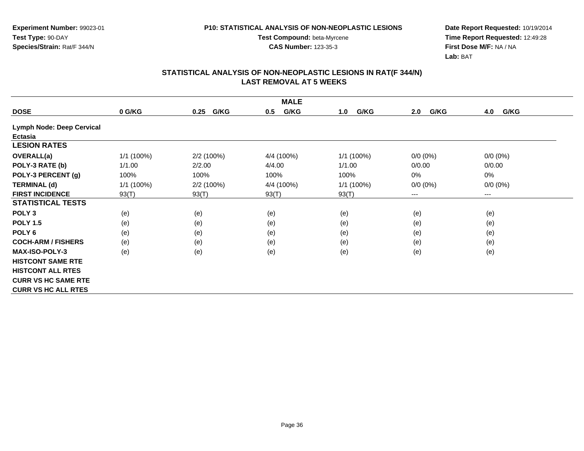**Date Report Requested:** 10/19/2014 **Time Report Requested:** 12:49:28**First Dose M/F:** NA / NA**Lab:** BAT

| <b>MALE</b>                      |            |              |             |              |             |                        |  |  |
|----------------------------------|------------|--------------|-------------|--------------|-------------|------------------------|--|--|
| <b>DOSE</b>                      | 0 G/KG     | G/KG<br>0.25 | G/KG<br>0.5 | G/KG<br>1.0  | G/KG<br>2.0 | 4.0<br>G/KG            |  |  |
| <b>Lymph Node: Deep Cervical</b> |            |              |             |              |             |                        |  |  |
| Ectasia                          |            |              |             |              |             |                        |  |  |
| <b>LESION RATES</b>              |            |              |             |              |             |                        |  |  |
| <b>OVERALL(a)</b>                | 1/1 (100%) | 2/2 (100%)   | 4/4 (100%)  | 1/1 (100%)   | $0/0(0\%)$  | $0/0(0\%)$             |  |  |
| POLY-3 RATE (b)                  | 1/1.00     | 2/2.00       | 4/4.00      | 1/1.00       | 0/0.00      | 0/0.00                 |  |  |
| POLY-3 PERCENT (g)               | 100%       | 100%         | 100%        | 100%         | 0%          | 0%                     |  |  |
| <b>TERMINAL (d)</b>              | 1/1 (100%) | 2/2 (100%)   | 4/4 (100%)  | $1/1$ (100%) | $0/0 (0\%)$ | $0/0 (0\%)$            |  |  |
| <b>FIRST INCIDENCE</b>           | 93(T)      | 93(T)        | 93(T)       | 93(T)        | ---         | $\qquad \qquad \cdots$ |  |  |
| <b>STATISTICAL TESTS</b>         |            |              |             |              |             |                        |  |  |
| POLY <sub>3</sub>                | (e)        | (e)          | (e)         | (e)          | (e)         | (e)                    |  |  |
| <b>POLY 1.5</b>                  | (e)        | (e)          | (e)         | (e)          | (e)         | (e)                    |  |  |
| POLY <sub>6</sub>                | (e)        | (e)          | (e)         | (e)          | (e)         | (e)                    |  |  |
| <b>COCH-ARM / FISHERS</b>        | (e)        | (e)          | (e)         | (e)          | (e)         | (e)                    |  |  |
| <b>MAX-ISO-POLY-3</b>            | (e)        | (e)          | (e)         | (e)          | (e)         | (e)                    |  |  |
| <b>HISTCONT SAME RTE</b>         |            |              |             |              |             |                        |  |  |
| <b>HISTCONT ALL RTES</b>         |            |              |             |              |             |                        |  |  |
| <b>CURR VS HC SAME RTE</b>       |            |              |             |              |             |                        |  |  |
| <b>CURR VS HC ALL RTES</b>       |            |              |             |              |             |                        |  |  |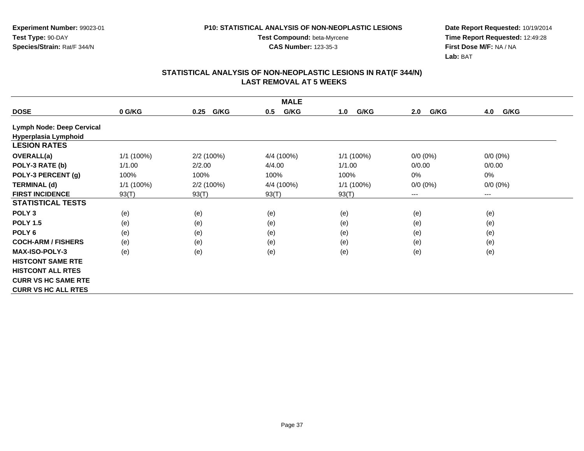**Experiment Number:** 99023-01**Test Type:** 90-DAY**Species/Strain:** Rat/F 344/N

**Test Compound:** beta-Myrcene**CAS Number:** 123-35-3

**Date Report Requested:** 10/19/2014 **Time Report Requested:** 12:49:28**First Dose M/F:** NA / NA**Lab:** BAT

| <b>MALE</b>                |            |              |             |              |             |             |  |  |
|----------------------------|------------|--------------|-------------|--------------|-------------|-------------|--|--|
| <b>DOSE</b>                | 0 G/KG     | G/KG<br>0.25 | G/KG<br>0.5 | G/KG<br>1.0  | G/KG<br>2.0 | G/KG<br>4.0 |  |  |
| Lymph Node: Deep Cervical  |            |              |             |              |             |             |  |  |
| Hyperplasia Lymphoid       |            |              |             |              |             |             |  |  |
| <b>LESION RATES</b>        |            |              |             |              |             |             |  |  |
| OVERALL(a)                 | 1/1 (100%) | 2/2(100%)    | 4/4 (100%)  | $1/1$ (100%) | $0/0 (0\%)$ | $0/0 (0\%)$ |  |  |
| POLY-3 RATE (b)            | 1/1.00     | 2/2.00       | 4/4.00      | 1/1.00       | 0/0.00      | 0/0.00      |  |  |
| POLY-3 PERCENT (g)         | 100%       | 100%         | 100%        | 100%         | 0%          | 0%          |  |  |
| <b>TERMINAL (d)</b>        | 1/1 (100%) | 2/2(100%)    | 4/4 (100%)  | $1/1$ (100%) | $0/0 (0\%)$ | $0/0 (0\%)$ |  |  |
| <b>FIRST INCIDENCE</b>     | 93(T)      | 93(T)        | 93(T)       | 93(T)        | $---$       | $--$        |  |  |
| <b>STATISTICAL TESTS</b>   |            |              |             |              |             |             |  |  |
| POLY <sub>3</sub>          | (e)        | (e)          | (e)         | (e)          | (e)         | (e)         |  |  |
| <b>POLY 1.5</b>            | (e)        | (e)          | (e)         | (e)          | (e)         | (e)         |  |  |
| POLY <sub>6</sub>          | (e)        | (e)          | (e)         | (e)          | (e)         | (e)         |  |  |
| <b>COCH-ARM / FISHERS</b>  | (e)        | (e)          | (e)         | (e)          | (e)         | (e)         |  |  |
| <b>MAX-ISO-POLY-3</b>      | (e)        | (e)          | (e)         | (e)          | (e)         | (e)         |  |  |
| <b>HISTCONT SAME RTE</b>   |            |              |             |              |             |             |  |  |
| <b>HISTCONT ALL RTES</b>   |            |              |             |              |             |             |  |  |
| <b>CURR VS HC SAME RTE</b> |            |              |             |              |             |             |  |  |
| <b>CURR VS HC ALL RTES</b> |            |              |             |              |             |             |  |  |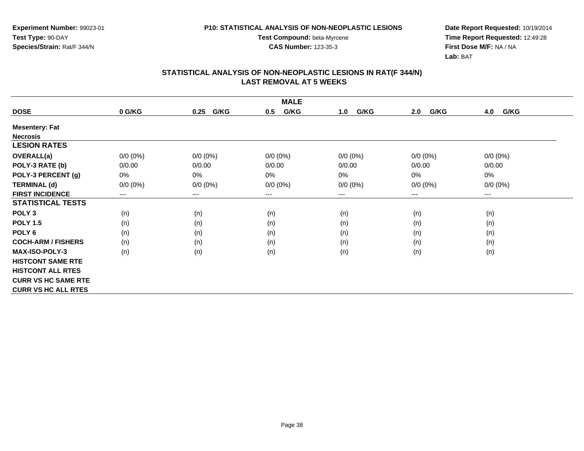**CAS Number:** 123-35-3

**Experiment Number:** 99023-01**Test Type:** 90-DAY**Species/Strain:** Rat/F 344/N

**Date Report Requested:** 10/19/2014 **Time Report Requested:** 12:49:28**First Dose M/F:** NA / NA**Lab:** BAT

| <b>MALE</b>                |             |              |                        |             |             |                        |  |  |
|----------------------------|-------------|--------------|------------------------|-------------|-------------|------------------------|--|--|
| <b>DOSE</b>                | 0 G/KG      | G/KG<br>0.25 | G/KG<br>0.5            | G/KG<br>1.0 | G/KG<br>2.0 | G/KG<br>4.0            |  |  |
| <b>Mesentery: Fat</b>      |             |              |                        |             |             |                        |  |  |
| <b>Necrosis</b>            |             |              |                        |             |             |                        |  |  |
| <b>LESION RATES</b>        |             |              |                        |             |             |                        |  |  |
| OVERALL(a)                 | $0/0 (0\%)$ | $0/0 (0\%)$  | $0/0 (0\%)$            | $0/0 (0\%)$ | $0/0 (0\%)$ | $0/0 (0\%)$            |  |  |
| POLY-3 RATE (b)            | 0/0.00      | 0/0.00       | 0/0.00                 | 0/0.00      | 0/0.00      | 0/0.00                 |  |  |
| POLY-3 PERCENT (g)         | 0%          | 0%           | 0%                     | 0%          | $0\%$       | 0%                     |  |  |
| <b>TERMINAL (d)</b>        | $0/0 (0\%)$ | $0/0 (0\%)$  | $0/0 (0\%)$            | $0/0 (0\%)$ | $0/0 (0\%)$ | $0/0 (0\%)$            |  |  |
| <b>FIRST INCIDENCE</b>     | $---$       | $---$        | $\qquad \qquad \cdots$ | ---         | ---         | $\qquad \qquad \cdots$ |  |  |
| <b>STATISTICAL TESTS</b>   |             |              |                        |             |             |                        |  |  |
| POLY <sub>3</sub>          | (n)         | (n)          | (n)                    | (n)         | (n)         | (n)                    |  |  |
| <b>POLY 1.5</b>            | (n)         | (n)          | (n)                    | (n)         | (n)         | (n)                    |  |  |
| POLY 6                     | (n)         | (n)          | (n)                    | (n)         | (n)         | (n)                    |  |  |
| <b>COCH-ARM / FISHERS</b>  | (n)         | (n)          | (n)                    | (n)         | (n)         | (n)                    |  |  |
| <b>MAX-ISO-POLY-3</b>      | (n)         | (n)          | (n)                    | (n)         | (n)         | (n)                    |  |  |
| <b>HISTCONT SAME RTE</b>   |             |              |                        |             |             |                        |  |  |
| <b>HISTCONT ALL RTES</b>   |             |              |                        |             |             |                        |  |  |
| <b>CURR VS HC SAME RTE</b> |             |              |                        |             |             |                        |  |  |
| <b>CURR VS HC ALL RTES</b> |             |              |                        |             |             |                        |  |  |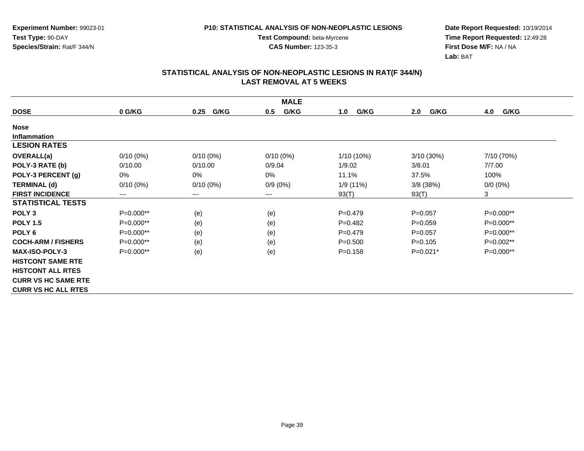**Experiment Number:** 99023-01**Test Type:** 90-DAY**Species/Strain:** Rat/F 344/N

**Test Compound:** beta-Myrcene**CAS Number:** 123-35-3

**Date Report Requested:** 10/19/2014 **Time Report Requested:** 12:49:28**First Dose M/F:** NA / NA**Lab:** BAT

| <b>MALE</b>                |                        |              |             |             |              |             |  |  |
|----------------------------|------------------------|--------------|-------------|-------------|--------------|-------------|--|--|
| <b>DOSE</b>                | 0 G/KG                 | G/KG<br>0.25 | G/KG<br>0.5 | G/KG<br>1.0 | G/KG<br>2.0  | G/KG<br>4.0 |  |  |
| <b>Nose</b>                |                        |              |             |             |              |             |  |  |
| <b>Inflammation</b>        |                        |              |             |             |              |             |  |  |
| <b>LESION RATES</b>        |                        |              |             |             |              |             |  |  |
| <b>OVERALL(a)</b>          | $0/10(0\%)$            | $0/10(0\%)$  | $0/10(0\%)$ | 1/10 (10%)  | $3/10(30\%)$ | 7/10 (70%)  |  |  |
| POLY-3 RATE (b)            | 0/10.00                | 0/10.00      | 0/9.04      | 1/9.02      | 3/8.01       | 7/7.00      |  |  |
| POLY-3 PERCENT (g)         | 0%                     | 0%           | 0%          | 11.1%       | 37.5%        | 100%        |  |  |
| <b>TERMINAL (d)</b>        | $0/10(0\%)$            | $0/10(0\%)$  | $0/9(0\%)$  | 1/9 (11%)   | $3/8$ (38%)  | $0/0 (0\%)$ |  |  |
| <b>FIRST INCIDENCE</b>     | $\qquad \qquad \cdots$ | $---$        | ---         | 93(T)       | 93(T)        | 3           |  |  |
| <b>STATISTICAL TESTS</b>   |                        |              |             |             |              |             |  |  |
| POLY <sub>3</sub>          | P=0.000**              | (e)          | (e)         | $P=0.479$   | $P=0.057$    | P=0.000**   |  |  |
| <b>POLY 1.5</b>            | P=0.000**              | (e)          | (e)         | $P=0.482$   | $P = 0.059$  | P=0.000**   |  |  |
| POLY <sub>6</sub>          | P=0.000**              | (e)          | (e)         | $P = 0.479$ | $P=0.057$    | P=0.000**   |  |  |
| <b>COCH-ARM / FISHERS</b>  | P=0.000**              | (e)          | (e)         | $P = 0.500$ | $P = 0.105$  | P=0.002**   |  |  |
| <b>MAX-ISO-POLY-3</b>      | $P=0.000**$            | (e)          | (e)         | $P = 0.158$ | $P=0.021*$   | P=0.000**   |  |  |
| <b>HISTCONT SAME RTE</b>   |                        |              |             |             |              |             |  |  |
| <b>HISTCONT ALL RTES</b>   |                        |              |             |             |              |             |  |  |
| <b>CURR VS HC SAME RTE</b> |                        |              |             |             |              |             |  |  |
| <b>CURR VS HC ALL RTES</b> |                        |              |             |             |              |             |  |  |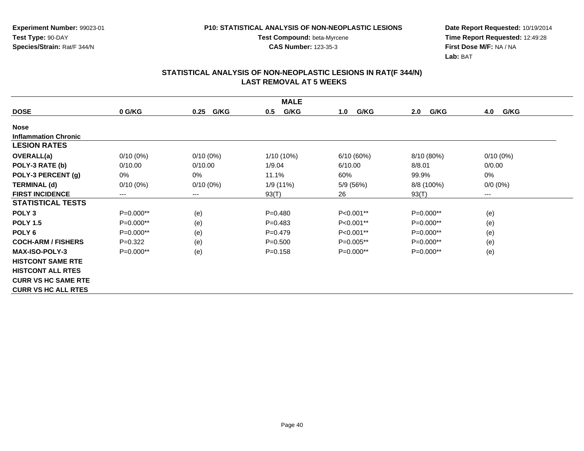**CAS Number:** 123-35-3

**Experiment Number:** 99023-01**Test Type:** 90-DAY**Species/Strain:** Rat/F 344/N

**Date Report Requested:** 10/19/2014 **Time Report Requested:** 12:49:28**First Dose M/F:** NA / NA**Lab:** BAT

| <b>MALE</b>                 |             |              |              |             |             |                      |  |  |
|-----------------------------|-------------|--------------|--------------|-------------|-------------|----------------------|--|--|
| <b>DOSE</b>                 | 0 G/KG      | G/KG<br>0.25 | G/KG<br>0.5  | G/KG<br>1.0 | G/KG<br>2.0 | <b>G/KG</b><br>4.0   |  |  |
| <b>Nose</b>                 |             |              |              |             |             |                      |  |  |
| <b>Inflammation Chronic</b> |             |              |              |             |             |                      |  |  |
| <b>LESION RATES</b>         |             |              |              |             |             |                      |  |  |
| OVERALL(a)                  | $0/10(0\%)$ | $0/10(0\%)$  | $1/10(10\%)$ | 6/10(60%)   | 8/10 (80%)  | $0/10(0\%)$          |  |  |
| POLY-3 RATE (b)             | 0/10.00     | 0/10.00      | 1/9.04       | 6/10.00     | 8/8.01      | 0/0.00               |  |  |
| POLY-3 PERCENT (g)          | 0%          | 0%           | 11.1%        | 60%         | 99.9%       | 0%                   |  |  |
| <b>TERMINAL (d)</b>         | $0/10(0\%)$ | $0/10(0\%)$  | 1/9 (11%)    | 5/9 (56%)   | 8/8 (100%)  | $0/0 (0\%)$          |  |  |
| <b>FIRST INCIDENCE</b>      | $---$       | $---$        | 93(T)        | 26          | 93(T)       | $\scriptstyle\cdots$ |  |  |
| <b>STATISTICAL TESTS</b>    |             |              |              |             |             |                      |  |  |
| POLY <sub>3</sub>           | $P=0.000**$ | (e)          | $P=0.480$    | $P<0.001**$ | $P=0.000**$ | (e)                  |  |  |
| <b>POLY 1.5</b>             | $P=0.000**$ | (e)          | $P=0.483$    | P<0.001**   | P=0.000**   | (e)                  |  |  |
| POLY <sub>6</sub>           | P=0.000**   | (e)          | $P=0.479$    | P<0.001**   | $P=0.000**$ | (e)                  |  |  |
| <b>COCH-ARM / FISHERS</b>   | $P=0.322$   | (e)          | $P = 0.500$  | $P=0.005**$ | $P=0.000**$ | (e)                  |  |  |
| <b>MAX-ISO-POLY-3</b>       | $P=0.000**$ | (e)          | $P = 0.158$  | $P=0.000**$ | $P=0.000**$ | (e)                  |  |  |
| <b>HISTCONT SAME RTE</b>    |             |              |              |             |             |                      |  |  |
| <b>HISTCONT ALL RTES</b>    |             |              |              |             |             |                      |  |  |
| <b>CURR VS HC SAME RTE</b>  |             |              |              |             |             |                      |  |  |
| <b>CURR VS HC ALL RTES</b>  |             |              |              |             |             |                      |  |  |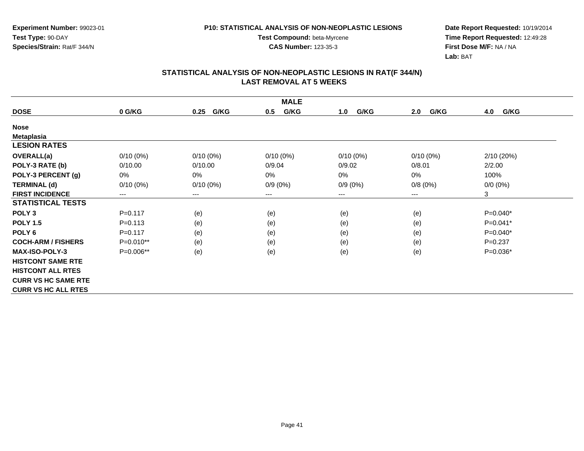**CAS Number:** 123-35-3

**Experiment Number:** 99023-01**Test Type:** 90-DAY**Species/Strain:** Rat/F 344/N

**Date Report Requested:** 10/19/2014 **Time Report Requested:** 12:49:28**First Dose M/F:** NA / NA**Lab:** BAT

|                            | <b>MALE</b> |              |             |             |                            |             |  |  |  |
|----------------------------|-------------|--------------|-------------|-------------|----------------------------|-------------|--|--|--|
| <b>DOSE</b>                | 0 G/KG      | G/KG<br>0.25 | G/KG<br>0.5 | G/KG<br>1.0 | 2.0<br>G/KG                | 4.0<br>G/KG |  |  |  |
| <b>Nose</b>                |             |              |             |             |                            |             |  |  |  |
| <b>Metaplasia</b>          |             |              |             |             |                            |             |  |  |  |
| <b>LESION RATES</b>        |             |              |             |             |                            |             |  |  |  |
| <b>OVERALL(a)</b>          | $0/10(0\%)$ | $0/10(0\%)$  | $0/10(0\%)$ | $0/10(0\%)$ | $0/10(0\%)$                | 2/10(20%)   |  |  |  |
| POLY-3 RATE (b)            | 0/10.00     | 0/10.00      | 0/9.04      | 0/9.02      | 0/8.01                     | 2/2.00      |  |  |  |
| POLY-3 PERCENT (g)         | 0%          | 0%           | 0%          | 0%          | $0\%$                      | 100%        |  |  |  |
| <b>TERMINAL (d)</b>        | $0/10(0\%)$ | $0/10(0\%)$  | $0/9(0\%)$  | $0/9(0\%)$  | 0/8(0%)                    | $0/0 (0\%)$ |  |  |  |
| <b>FIRST INCIDENCE</b>     | ---         | $\cdots$     | $---$       | $---$       | $\qquad \qquad - \qquad -$ | 3           |  |  |  |
| <b>STATISTICAL TESTS</b>   |             |              |             |             |                            |             |  |  |  |
| POLY <sub>3</sub>          | $P=0.117$   | (e)          | (e)         | (e)         | (e)                        | $P=0.040*$  |  |  |  |
| <b>POLY 1.5</b>            | $P = 0.113$ | (e)          | (e)         | (e)         | (e)                        | $P=0.041*$  |  |  |  |
| POLY <sub>6</sub>          | $P=0.117$   | (e)          | (e)         | (e)         | (e)                        | $P=0.040*$  |  |  |  |
| <b>COCH-ARM / FISHERS</b>  | $P=0.010**$ | (e)          | (e)         | (e)         | (e)                        | $P=0.237$   |  |  |  |
| <b>MAX-ISO-POLY-3</b>      | P=0.006**   | (e)          | (e)         | (e)         | (e)                        | P=0.036*    |  |  |  |
| <b>HISTCONT SAME RTE</b>   |             |              |             |             |                            |             |  |  |  |
| <b>HISTCONT ALL RTES</b>   |             |              |             |             |                            |             |  |  |  |
| <b>CURR VS HC SAME RTE</b> |             |              |             |             |                            |             |  |  |  |
| <b>CURR VS HC ALL RTES</b> |             |              |             |             |                            |             |  |  |  |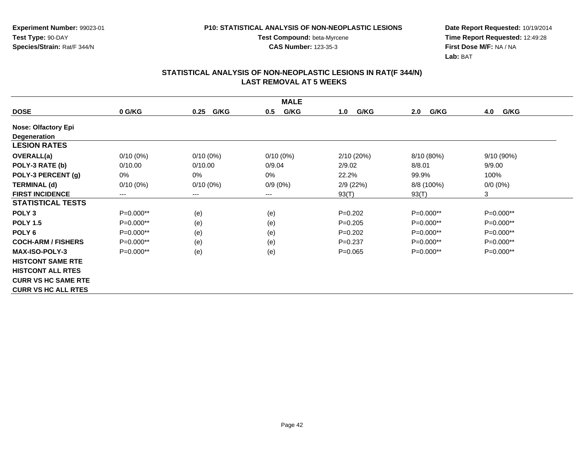**CAS Number:** 123-35-3

**Experiment Number:** 99023-01**Test Type:** 90-DAY**Species/Strain:** Rat/F 344/N

**Date Report Requested:** 10/19/2014 **Time Report Requested:** 12:49:28**First Dose M/F:** NA / NA**Lab:** BAT

| <b>MALE</b>                |             |              |             |             |             |             |  |  |
|----------------------------|-------------|--------------|-------------|-------------|-------------|-------------|--|--|
| <b>DOSE</b>                | 0 G/KG      | G/KG<br>0.25 | G/KG<br>0.5 | G/KG<br>1.0 | G/KG<br>2.0 | G/KG<br>4.0 |  |  |
| <b>Nose: Olfactory Epi</b> |             |              |             |             |             |             |  |  |
| Degeneration               |             |              |             |             |             |             |  |  |
| <b>LESION RATES</b>        |             |              |             |             |             |             |  |  |
| <b>OVERALL(a)</b>          | $0/10(0\%)$ | $0/10(0\%)$  | $0/10(0\%)$ | 2/10(20%)   | 8/10 (80%)  | 9/10(90%)   |  |  |
| POLY-3 RATE (b)            | 0/10.00     | 0/10.00      | 0/9.04      | 2/9.02      | 8/8.01      | 9/9.00      |  |  |
| POLY-3 PERCENT (g)         | 0%          | 0%           | 0%          | 22.2%       | 99.9%       | 100%        |  |  |
| <b>TERMINAL (d)</b>        | $0/10(0\%)$ | $0/10(0\%)$  | $0/9(0\%)$  | 2/9(22%)    | 8/8 (100%)  | $0/0 (0\%)$ |  |  |
| <b>FIRST INCIDENCE</b>     | $---$       | $---$        | ---         | 93(T)       | 93(T)       | 3           |  |  |
| <b>STATISTICAL TESTS</b>   |             |              |             |             |             |             |  |  |
| POLY <sub>3</sub>          | $P=0.000**$ | (e)          | (e)         | $P=0.202$   | $P=0.000**$ | P=0.000**   |  |  |
| <b>POLY 1.5</b>            | P=0.000**   | (e)          | (e)         | $P=0.205$   | P=0.000**   | P=0.000**   |  |  |
| POLY <sub>6</sub>          | P=0.000**   | (e)          | (e)         | $P=0.202$   | P=0.000**   | P=0.000**   |  |  |
| <b>COCH-ARM / FISHERS</b>  | $P=0.000**$ | (e)          | (e)         | $P=0.237$   | $P=0.000**$ | $P=0.000**$ |  |  |
| <b>MAX-ISO-POLY-3</b>      | $P=0.000**$ | (e)          | (e)         | $P = 0.065$ | $P=0.000**$ | $P=0.000**$ |  |  |
| <b>HISTCONT SAME RTE</b>   |             |              |             |             |             |             |  |  |
| <b>HISTCONT ALL RTES</b>   |             |              |             |             |             |             |  |  |
| <b>CURR VS HC SAME RTE</b> |             |              |             |             |             |             |  |  |
| <b>CURR VS HC ALL RTES</b> |             |              |             |             |             |             |  |  |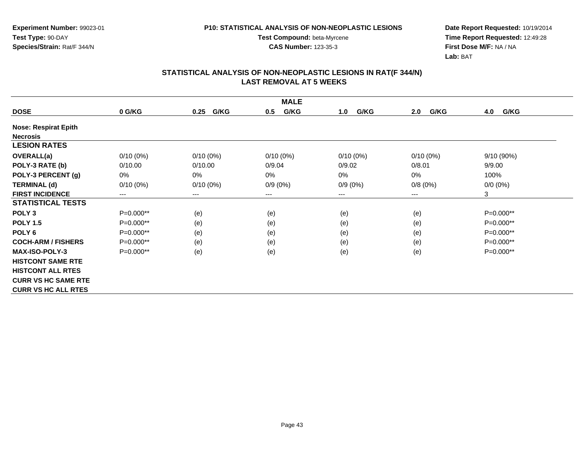**CAS Number:** 123-35-3

**Experiment Number:** 99023-01**Test Type:** 90-DAY**Species/Strain:** Rat/F 344/N

**Date Report Requested:** 10/19/2014 **Time Report Requested:** 12:49:28**First Dose M/F:** NA / NA**Lab:** BAT

| <b>MALE</b>                 |             |              |             |             |             |              |  |  |
|-----------------------------|-------------|--------------|-------------|-------------|-------------|--------------|--|--|
| <b>DOSE</b>                 | 0 G/KG      | G/KG<br>0.25 | G/KG<br>0.5 | G/KG<br>1.0 | G/KG<br>2.0 | 4.0<br>G/KG  |  |  |
| <b>Nose: Respirat Epith</b> |             |              |             |             |             |              |  |  |
| <b>Necrosis</b>             |             |              |             |             |             |              |  |  |
| <b>LESION RATES</b>         |             |              |             |             |             |              |  |  |
| OVERALL(a)                  | $0/10(0\%)$ | $0/10(0\%)$  | $0/10(0\%)$ | $0/10(0\%)$ | $0/10(0\%)$ | $9/10(90\%)$ |  |  |
| POLY-3 RATE (b)             | 0/10.00     | 0/10.00      | 0/9.04      | 0/9.02      | 0/8.01      | 9/9.00       |  |  |
| POLY-3 PERCENT (g)          | 0%          | 0%           | 0%          | 0%          | 0%          | 100%         |  |  |
| <b>TERMINAL (d)</b>         | $0/10(0\%)$ | $0/10(0\%)$  | $0/9(0\%)$  | $0/9(0\%)$  | 0/8(0%)     | $0/0 (0\%)$  |  |  |
| <b>FIRST INCIDENCE</b>      | $---$       | $---$        | ---         | $---$       | ---         | 3            |  |  |
| <b>STATISTICAL TESTS</b>    |             |              |             |             |             |              |  |  |
| POLY <sub>3</sub>           | P=0.000**   | (e)          | (e)         | (e)         | (e)         | $P=0.000**$  |  |  |
| <b>POLY 1.5</b>             | P=0.000**   | (e)          | (e)         | (e)         | (e)         | $P=0.000**$  |  |  |
| POLY <sub>6</sub>           | P=0.000**   | (e)          | (e)         | (e)         | (e)         | P=0.000**    |  |  |
| <b>COCH-ARM / FISHERS</b>   | $P=0.000**$ | (e)          | (e)         | (e)         | (e)         | $P=0.000**$  |  |  |
| <b>MAX-ISO-POLY-3</b>       | P=0.000**   | (e)          | (e)         | (e)         | (e)         | P=0.000**    |  |  |
| <b>HISTCONT SAME RTE</b>    |             |              |             |             |             |              |  |  |
| <b>HISTCONT ALL RTES</b>    |             |              |             |             |             |              |  |  |
| <b>CURR VS HC SAME RTE</b>  |             |              |             |             |             |              |  |  |
| <b>CURR VS HC ALL RTES</b>  |             |              |             |             |             |              |  |  |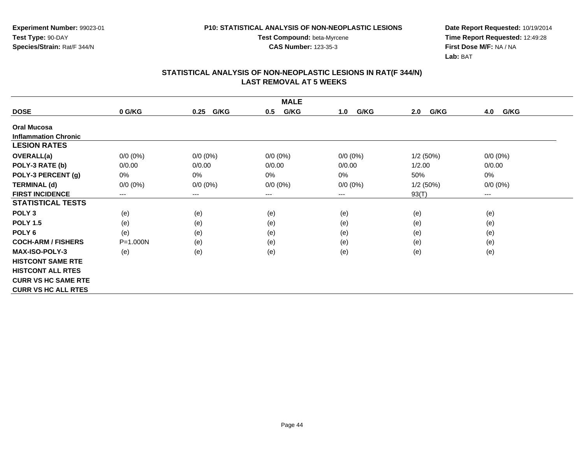**Experiment Number:** 99023-01**Test Type:** 90-DAY**Species/Strain:** Rat/F 344/N

**Test Compound:** beta-Myrcene**CAS Number:** 123-35-3

**Date Report Requested:** 10/19/2014 **Time Report Requested:** 12:49:28**First Dose M/F:** NA / NA**Lab:** BAT

|                             | <b>MALE</b>                |              |             |             |             |             |  |  |  |
|-----------------------------|----------------------------|--------------|-------------|-------------|-------------|-------------|--|--|--|
| <b>DOSE</b>                 | 0 G/KG                     | G/KG<br>0.25 | G/KG<br>0.5 | G/KG<br>1.0 | G/KG<br>2.0 | 4.0<br>G/KG |  |  |  |
| <b>Oral Mucosa</b>          |                            |              |             |             |             |             |  |  |  |
| <b>Inflammation Chronic</b> |                            |              |             |             |             |             |  |  |  |
| <b>LESION RATES</b>         |                            |              |             |             |             |             |  |  |  |
| <b>OVERALL(a)</b>           | 0/0 (0%)                   | $0/0 (0\%)$  | $0/0 (0\%)$ | $0/0 (0\%)$ | 1/2(50%)    | $0/0 (0\%)$ |  |  |  |
| POLY-3 RATE (b)             | 0/0.00                     | 0/0.00       | 0/0.00      | 0/0.00      | 1/2.00      | 0/0.00      |  |  |  |
| POLY-3 PERCENT (g)          | 0%                         | 0%           | 0%          | 0%          | 50%         | 0%          |  |  |  |
| <b>TERMINAL (d)</b>         | $0/0 (0\%)$                | $0/0 (0\%)$  | $0/0 (0\%)$ | $0/0 (0\%)$ | 1/2(50%)    | $0/0 (0\%)$ |  |  |  |
| <b>FIRST INCIDENCE</b>      | $\qquad \qquad - \qquad -$ | $---$        | ---         | $---$       | 93(T)       | $--$        |  |  |  |
| <b>STATISTICAL TESTS</b>    |                            |              |             |             |             |             |  |  |  |
| POLY <sub>3</sub>           | (e)                        | (e)          | (e)         | (e)         | (e)         | (e)         |  |  |  |
| <b>POLY 1.5</b>             | (e)                        | (e)          | (e)         | (e)         | (e)         | (e)         |  |  |  |
| POLY <sub>6</sub>           | (e)                        | (e)          | (e)         | (e)         | (e)         | (e)         |  |  |  |
| <b>COCH-ARM / FISHERS</b>   | $P = 1.000N$               | (e)          | (e)         | (e)         | (e)         | (e)         |  |  |  |
| <b>MAX-ISO-POLY-3</b>       | (e)                        | (e)          | (e)         | (e)         | (e)         | (e)         |  |  |  |
| <b>HISTCONT SAME RTE</b>    |                            |              |             |             |             |             |  |  |  |
| <b>HISTCONT ALL RTES</b>    |                            |              |             |             |             |             |  |  |  |
| <b>CURR VS HC SAME RTE</b>  |                            |              |             |             |             |             |  |  |  |
| <b>CURR VS HC ALL RTES</b>  |                            |              |             |             |             |             |  |  |  |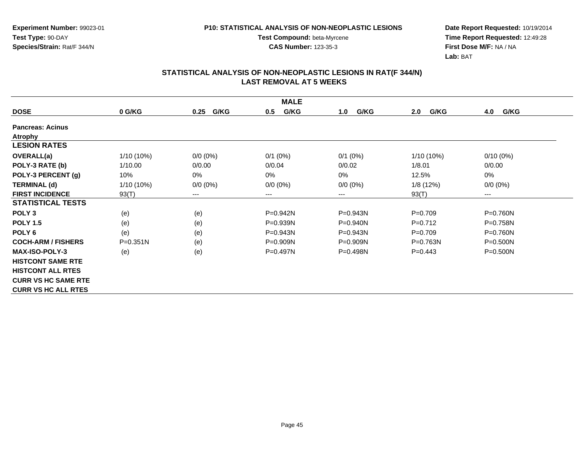**Experiment Number:** 99023-01**Test Type:** 90-DAY**Species/Strain:** Rat/F 344/N

**Test Compound:** beta-Myrcene**CAS Number:** 123-35-3

**Date Report Requested:** 10/19/2014 **Time Report Requested:** 12:49:28**First Dose M/F:** NA / NA**Lab:** BAT

| <b>MALE</b>                |              |              |              |              |              |              |  |  |
|----------------------------|--------------|--------------|--------------|--------------|--------------|--------------|--|--|
| <b>DOSE</b>                | 0 G/KG       | G/KG<br>0.25 | G/KG<br>0.5  | G/KG<br>1.0  | G/KG<br>2.0  | G/KG<br>4.0  |  |  |
| <b>Pancreas: Acinus</b>    |              |              |              |              |              |              |  |  |
| <b>Atrophy</b>             |              |              |              |              |              |              |  |  |
| <b>LESION RATES</b>        |              |              |              |              |              |              |  |  |
| <b>OVERALL(a)</b>          | $1/10(10\%)$ | $0/0 (0\%)$  | $0/1$ (0%)   | $0/1$ (0%)   | $1/10(10\%)$ | $0/10(0\%)$  |  |  |
| POLY-3 RATE (b)            | 1/10.00      | 0/0.00       | 0/0.04       | 0/0.02       | 1/8.01       | 0/0.00       |  |  |
| POLY-3 PERCENT (g)         | 10%          | 0%           | 0%           | $0\%$        | 12.5%        | 0%           |  |  |
| <b>TERMINAL (d)</b>        | $1/10(10\%)$ | $0/0 (0\%)$  | $0/0 (0\%)$  | $0/0 (0\%)$  | 1/8(12%)     | $0/0(0\%)$   |  |  |
| <b>FIRST INCIDENCE</b>     | 93(T)        | $--$         | ---          | ---          | 93(T)        | $---$        |  |  |
| <b>STATISTICAL TESTS</b>   |              |              |              |              |              |              |  |  |
| POLY <sub>3</sub>          | (e)          | (e)          | P=0.942N     | P=0.943N     | $P=0.709$    | P=0.760N     |  |  |
| <b>POLY 1.5</b>            | (e)          | (e)          | P=0.939N     | $P=0.940N$   | $P=0.712$    | $P = 0.758N$ |  |  |
| POLY <sub>6</sub>          | (e)          | (e)          | P=0.943N     | $P = 0.943N$ | $P=0.709$    | P=0.760N     |  |  |
| <b>COCH-ARM / FISHERS</b>  | $P = 0.351N$ | (e)          | $P=0.909N$   | $P = 0.909N$ | $P = 0.763N$ | $P = 0.500N$ |  |  |
| <b>MAX-ISO-POLY-3</b>      | (e)          | (e)          | $P = 0.497N$ | $P = 0.498N$ | $P=0.443$    | $P = 0.500N$ |  |  |
| <b>HISTCONT SAME RTE</b>   |              |              |              |              |              |              |  |  |
| <b>HISTCONT ALL RTES</b>   |              |              |              |              |              |              |  |  |
| <b>CURR VS HC SAME RTE</b> |              |              |              |              |              |              |  |  |
| <b>CURR VS HC ALL RTES</b> |              |              |              |              |              |              |  |  |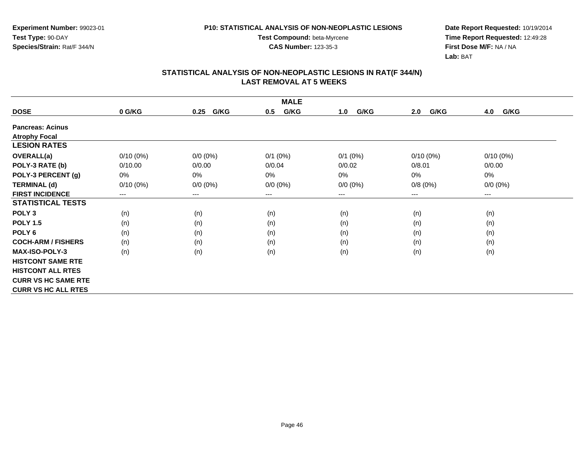**Experiment Number:** 99023-01**Test Type:** 90-DAY**Species/Strain:** Rat/F 344/N

**Test Compound:** beta-Myrcene**CAS Number:** 123-35-3

**Date Report Requested:** 10/19/2014 **Time Report Requested:** 12:49:28**First Dose M/F:** NA / NA**Lab:** BAT

| <b>MALE</b>                |             |                        |             |             |             |             |  |  |
|----------------------------|-------------|------------------------|-------------|-------------|-------------|-------------|--|--|
| <b>DOSE</b>                | 0 G/KG      | G/KG<br>0.25           | G/KG<br>0.5 | G/KG<br>1.0 | G/KG<br>2.0 | G/KG<br>4.0 |  |  |
| <b>Pancreas: Acinus</b>    |             |                        |             |             |             |             |  |  |
| <b>Atrophy Focal</b>       |             |                        |             |             |             |             |  |  |
| <b>LESION RATES</b>        |             |                        |             |             |             |             |  |  |
| OVERALL(a)                 | $0/10(0\%)$ | $0/0 (0\%)$            | $0/1$ (0%)  | $0/1$ (0%)  | $0/10(0\%)$ | $0/10(0\%)$ |  |  |
| POLY-3 RATE (b)            | 0/10.00     | 0/0.00                 | 0/0.04      | 0/0.02      | 0/8.01      | 0/0.00      |  |  |
| POLY-3 PERCENT (g)         | 0%          | 0%                     | 0%          | 0%          | 0%          | 0%          |  |  |
| <b>TERMINAL (d)</b>        | $0/10(0\%)$ | $0/0 (0\%)$            | $0/0 (0\%)$ | $0/0 (0\%)$ | 0/8(0%)     | $0/0 (0\%)$ |  |  |
| <b>FIRST INCIDENCE</b>     | $---$       | $\qquad \qquad \cdots$ | $--$        | ---         | ---         | ---         |  |  |
| <b>STATISTICAL TESTS</b>   |             |                        |             |             |             |             |  |  |
| POLY <sub>3</sub>          | (n)         | (n)                    | (n)         | (n)         | (n)         | (n)         |  |  |
| <b>POLY 1.5</b>            | (n)         | (n)                    | (n)         | (n)         | (n)         | (n)         |  |  |
| POLY <sub>6</sub>          | (n)         | (n)                    | (n)         | (n)         | (n)         | (n)         |  |  |
| <b>COCH-ARM / FISHERS</b>  | (n)         | (n)                    | (n)         | (n)         | (n)         | (n)         |  |  |
| <b>MAX-ISO-POLY-3</b>      | (n)         | (n)                    | (n)         | (n)         | (n)         | (n)         |  |  |
| <b>HISTCONT SAME RTE</b>   |             |                        |             |             |             |             |  |  |
| <b>HISTCONT ALL RTES</b>   |             |                        |             |             |             |             |  |  |
| <b>CURR VS HC SAME RTE</b> |             |                        |             |             |             |             |  |  |
| <b>CURR VS HC ALL RTES</b> |             |                        |             |             |             |             |  |  |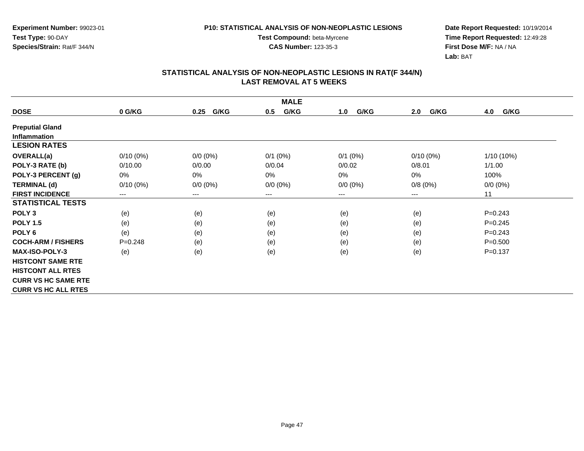**CAS Number:** 123-35-3

**Experiment Number:** 99023-01**Test Type:** 90-DAY**Species/Strain:** Rat/F 344/N

**Date Report Requested:** 10/19/2014 **Time Report Requested:** 12:49:28**First Dose M/F:** NA / NA**Lab:** BAT

| <b>MALE</b>                |             |                        |             |             |             |             |  |  |
|----------------------------|-------------|------------------------|-------------|-------------|-------------|-------------|--|--|
| <b>DOSE</b>                | 0 G/KG      | G/KG<br>0.25           | G/KG<br>0.5 | G/KG<br>1.0 | G/KG<br>2.0 | G/KG<br>4.0 |  |  |
| <b>Preputial Gland</b>     |             |                        |             |             |             |             |  |  |
| <b>Inflammation</b>        |             |                        |             |             |             |             |  |  |
| <b>LESION RATES</b>        |             |                        |             |             |             |             |  |  |
| OVERALL(a)                 | $0/10(0\%)$ | $0/0 (0\%)$            | $0/1$ (0%)  | $0/1$ (0%)  | $0/10(0\%)$ | 1/10 (10%)  |  |  |
| POLY-3 RATE (b)            | 0/10.00     | 0/0.00                 | 0/0.04      | 0/0.02      | 0/8.01      | 1/1.00      |  |  |
| POLY-3 PERCENT (g)         | 0%          | 0%                     | 0%          | 0%          | 0%          | 100%        |  |  |
| <b>TERMINAL (d)</b>        | $0/10(0\%)$ | $0/0 (0\%)$            | $0/0 (0\%)$ | $0/0 (0\%)$ | 0/8(0%)     | $0/0 (0\%)$ |  |  |
| <b>FIRST INCIDENCE</b>     | ---         | $\qquad \qquad \cdots$ | $--$        | ---         | ---         | 11          |  |  |
| <b>STATISTICAL TESTS</b>   |             |                        |             |             |             |             |  |  |
| POLY <sub>3</sub>          | (e)         | (e)                    | (e)         | (e)         | (e)         | $P = 0.243$ |  |  |
| <b>POLY 1.5</b>            | (e)         | (e)                    | (e)         | (e)         | (e)         | $P = 0.245$ |  |  |
| POLY <sub>6</sub>          | (e)         | (e)                    | (e)         | (e)         | (e)         | $P=0.243$   |  |  |
| <b>COCH-ARM / FISHERS</b>  | $P = 0.248$ | (e)                    | (e)         | (e)         | (e)         | $P = 0.500$ |  |  |
| <b>MAX-ISO-POLY-3</b>      | (e)         | (e)                    | (e)         | (e)         | (e)         | $P = 0.137$ |  |  |
| <b>HISTCONT SAME RTE</b>   |             |                        |             |             |             |             |  |  |
| <b>HISTCONT ALL RTES</b>   |             |                        |             |             |             |             |  |  |
| <b>CURR VS HC SAME RTE</b> |             |                        |             |             |             |             |  |  |
| <b>CURR VS HC ALL RTES</b> |             |                        |             |             |             |             |  |  |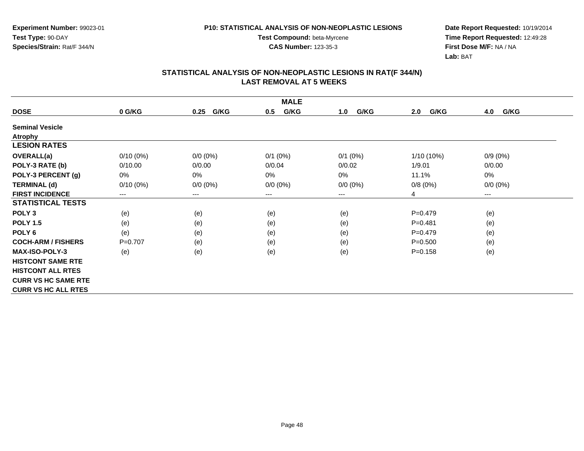**Experiment Number:** 99023-01**Test Type:** 90-DAY**Species/Strain:** Rat/F 344/N

**Test Compound:** beta-Myrcene**CAS Number:** 123-35-3

**Date Report Requested:** 10/19/2014 **Time Report Requested:** 12:49:28**First Dose M/F:** NA / NA**Lab:** BAT

| <b>MALE</b>                |             |                        |             |             |              |             |  |  |
|----------------------------|-------------|------------------------|-------------|-------------|--------------|-------------|--|--|
| <b>DOSE</b>                | 0 G/KG      | G/KG<br>0.25           | G/KG<br>0.5 | G/KG<br>1.0 | G/KG<br>2.0  | G/KG<br>4.0 |  |  |
| <b>Seminal Vesicle</b>     |             |                        |             |             |              |             |  |  |
| <b>Atrophy</b>             |             |                        |             |             |              |             |  |  |
| <b>LESION RATES</b>        |             |                        |             |             |              |             |  |  |
| OVERALL(a)                 | $0/10(0\%)$ | $0/0 (0\%)$            | $0/1$ (0%)  | $0/1$ (0%)  | $1/10(10\%)$ | $0/9(0\%)$  |  |  |
| POLY-3 RATE (b)            | 0/10.00     | 0/0.00                 | 0/0.04      | 0/0.02      | 1/9.01       | 0/0.00      |  |  |
| POLY-3 PERCENT (g)         | 0%          | 0%                     | 0%          | 0%          | 11.1%        | 0%          |  |  |
| <b>TERMINAL (d)</b>        | $0/10(0\%)$ | $0/0 (0\%)$            | $0/0 (0\%)$ | $0/0 (0\%)$ | 0/8(0%)      | $0/0 (0\%)$ |  |  |
| <b>FIRST INCIDENCE</b>     | ---         | $\qquad \qquad \cdots$ | $--$        | ---         | 4            | $--$        |  |  |
| <b>STATISTICAL TESTS</b>   |             |                        |             |             |              |             |  |  |
| POLY <sub>3</sub>          | (e)         | (e)                    | (e)         | (e)         | $P=0.479$    | (e)         |  |  |
| <b>POLY 1.5</b>            | (e)         | (e)                    | (e)         | (e)         | $P = 0.481$  | (e)         |  |  |
| POLY <sub>6</sub>          | (e)         | (e)                    | (e)         | (e)         | $P=0.479$    | (e)         |  |  |
| <b>COCH-ARM / FISHERS</b>  | $P=0.707$   | (e)                    | (e)         | (e)         | $P = 0.500$  | (e)         |  |  |
| <b>MAX-ISO-POLY-3</b>      | (e)         | (e)                    | (e)         | (e)         | $P = 0.158$  | (e)         |  |  |
| <b>HISTCONT SAME RTE</b>   |             |                        |             |             |              |             |  |  |
| <b>HISTCONT ALL RTES</b>   |             |                        |             |             |              |             |  |  |
| <b>CURR VS HC SAME RTE</b> |             |                        |             |             |              |             |  |  |
| <b>CURR VS HC ALL RTES</b> |             |                        |             |             |              |             |  |  |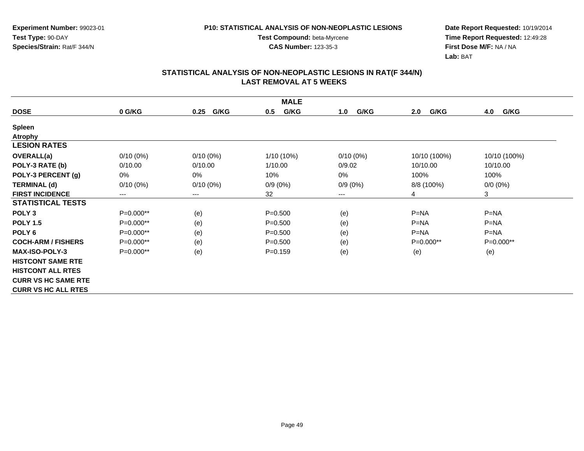**CAS Number:** 123-35-3

**Experiment Number:** 99023-01**Test Type:** 90-DAY**Species/Strain:** Rat/F 344/N

**Date Report Requested:** 10/19/2014 **Time Report Requested:** 12:49:28**First Dose M/F:** NA / NA**Lab:** BAT

| <b>MALE</b>                |                        |              |             |             |              |              |  |  |
|----------------------------|------------------------|--------------|-------------|-------------|--------------|--------------|--|--|
| <b>DOSE</b>                | 0 G/KG                 | G/KG<br>0.25 | G/KG<br>0.5 | G/KG<br>1.0 | 2.0<br>G/KG  | 4.0<br>G/KG  |  |  |
| <b>Spleen</b>              |                        |              |             |             |              |              |  |  |
| <b>Atrophy</b>             |                        |              |             |             |              |              |  |  |
| <b>LESION RATES</b>        |                        |              |             |             |              |              |  |  |
| OVERALL(a)                 | $0/10(0\%)$            | $0/10(0\%)$  | 1/10 (10%)  | $0/10(0\%)$ | 10/10 (100%) | 10/10 (100%) |  |  |
| POLY-3 RATE (b)            | 0/10.00                | 0/10.00      | 1/10.00     | 0/9.02      | 10/10.00     | 10/10.00     |  |  |
| POLY-3 PERCENT (g)         | 0%                     | 0%           | 10%         | 0%          | 100%         | 100%         |  |  |
| <b>TERMINAL (d)</b>        | $0/10(0\%)$            | $0/10(0\%)$  | $0/9(0\%)$  | $0/9(0\%)$  | 8/8 (100%)   | $0/0 (0\%)$  |  |  |
| <b>FIRST INCIDENCE</b>     | $\qquad \qquad \cdots$ | $\cdots$     | 32          | ---         | 4            | 3            |  |  |
| <b>STATISTICAL TESTS</b>   |                        |              |             |             |              |              |  |  |
| POLY <sub>3</sub>          | P=0.000**              | (e)          | $P = 0.500$ | (e)         | $P = NA$     | $P=NA$       |  |  |
| <b>POLY 1.5</b>            | P=0.000**              | (e)          | $P = 0.500$ | (e)         | $P = NA$     | $P=NA$       |  |  |
| POLY <sub>6</sub>          | P=0.000**              | (e)          | $P = 0.500$ | (e)         | $P = NA$     | $P = NA$     |  |  |
| <b>COCH-ARM / FISHERS</b>  | $P=0.000**$            | (e)          | $P = 0.500$ | (e)         | $P=0.000**$  | $P=0.000**$  |  |  |
| <b>MAX-ISO-POLY-3</b>      | $P=0.000**$            | (e)          | $P = 0.159$ | (e)         | (e)          | (e)          |  |  |
| <b>HISTCONT SAME RTE</b>   |                        |              |             |             |              |              |  |  |
| <b>HISTCONT ALL RTES</b>   |                        |              |             |             |              |              |  |  |
| <b>CURR VS HC SAME RTE</b> |                        |              |             |             |              |              |  |  |
| <b>CURR VS HC ALL RTES</b> |                        |              |             |             |              |              |  |  |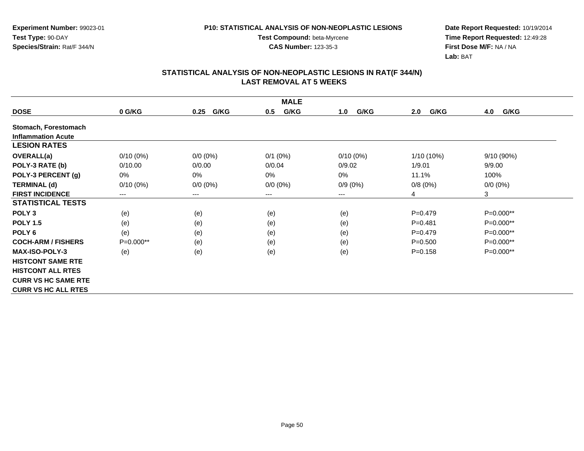**CAS Number:** 123-35-3

**Experiment Number:** 99023-01**Test Type:** 90-DAY**Species/Strain:** Rat/F 344/N

**Date Report Requested:** 10/19/2014 **Time Report Requested:** 12:49:28**First Dose M/F:** NA / NA**Lab:** BAT

|                            | <b>MALE</b> |              |              |             |                |              |  |  |  |
|----------------------------|-------------|--------------|--------------|-------------|----------------|--------------|--|--|--|
| <b>DOSE</b>                | 0 G/KG      | G/KG<br>0.25 | G/KG<br>0.5  | G/KG<br>1.0 | G/KG<br>2.0    | 4.0<br>G/KG  |  |  |  |
| Stomach, Forestomach       |             |              |              |             |                |              |  |  |  |
| <b>Inflammation Acute</b>  |             |              |              |             |                |              |  |  |  |
| <b>LESION RATES</b>        |             |              |              |             |                |              |  |  |  |
| <b>OVERALL(a)</b>          | $0/10(0\%)$ | $0/0 (0\%)$  | $0/1$ $(0%)$ | $0/10(0\%)$ | 1/10 (10%)     | $9/10(90\%)$ |  |  |  |
| POLY-3 RATE (b)            | 0/10.00     | 0/0.00       | 0/0.04       | 0/9.02      | 1/9.01         | 9/9.00       |  |  |  |
| POLY-3 PERCENT (g)         | 0%          | 0%           | 0%           | 0%          | 11.1%          | 100%         |  |  |  |
| <b>TERMINAL (d)</b>        | $0/10(0\%)$ | $0/0 (0\%)$  | $0/0 (0\%)$  | $0/9(0\%)$  | 0/8(0%)        | $0/0(0\%)$   |  |  |  |
| <b>FIRST INCIDENCE</b>     | $---$       | $---$        | ---          | ---         | $\overline{4}$ | $\mathbf{3}$ |  |  |  |
| <b>STATISTICAL TESTS</b>   |             |              |              |             |                |              |  |  |  |
| POLY <sub>3</sub>          | (e)         | (e)          | (e)          | (e)         | $P=0.479$      | P=0.000**    |  |  |  |
| <b>POLY 1.5</b>            | (e)         | (e)          | (e)          | (e)         | $P = 0.481$    | P=0.000**    |  |  |  |
| POLY <sub>6</sub>          | (e)         | (e)          | (e)          | (e)         | $P=0.479$      | P=0.000**    |  |  |  |
| <b>COCH-ARM / FISHERS</b>  | $P=0.000**$ | (e)          | (e)          | (e)         | $P = 0.500$    | $P=0.000**$  |  |  |  |
| <b>MAX-ISO-POLY-3</b>      | (e)         | (e)          | (e)          | (e)         | $P = 0.158$    | P=0.000**    |  |  |  |
| <b>HISTCONT SAME RTE</b>   |             |              |              |             |                |              |  |  |  |
| <b>HISTCONT ALL RTES</b>   |             |              |              |             |                |              |  |  |  |
| <b>CURR VS HC SAME RTE</b> |             |              |              |             |                |              |  |  |  |
| <b>CURR VS HC ALL RTES</b> |             |              |              |             |                |              |  |  |  |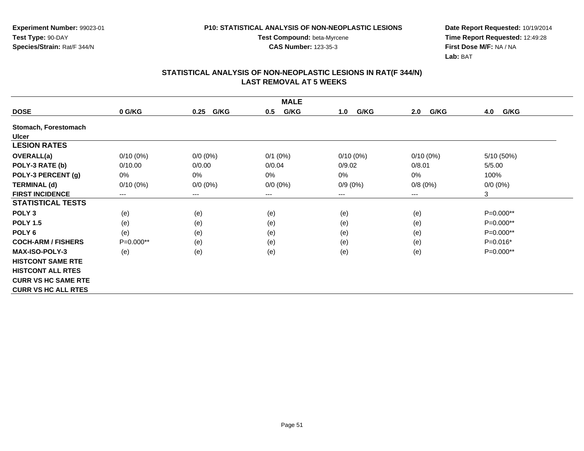**Experiment Number:** 99023-01**Test Type:** 90-DAY**Species/Strain:** Rat/F 344/N

**Test Compound:** beta-Myrcene**CAS Number:** 123-35-3

**Date Report Requested:** 10/19/2014 **Time Report Requested:** 12:49:28**First Dose M/F:** NA / NA**Lab:** BAT

|                            | <b>MALE</b> |              |              |             |             |             |  |  |  |
|----------------------------|-------------|--------------|--------------|-------------|-------------|-------------|--|--|--|
| <b>DOSE</b>                | 0 G/KG      | G/KG<br>0.25 | G/KG<br>0.5  | G/KG<br>1.0 | G/KG<br>2.0 | G/KG<br>4.0 |  |  |  |
| Stomach, Forestomach       |             |              |              |             |             |             |  |  |  |
| <b>Ulcer</b>               |             |              |              |             |             |             |  |  |  |
| <b>LESION RATES</b>        |             |              |              |             |             |             |  |  |  |
| <b>OVERALL(a)</b>          | $0/10(0\%)$ | $0/0 (0\%)$  | $0/1$ $(0%)$ | $0/10(0\%)$ | $0/10(0\%)$ | 5/10 (50%)  |  |  |  |
| POLY-3 RATE (b)            | 0/10.00     | 0/0.00       | 0/0.04       | 0/9.02      | 0/8.01      | 5/5.00      |  |  |  |
| POLY-3 PERCENT (g)         | 0%          | 0%           | 0%           | 0%          | 0%          | 100%        |  |  |  |
| <b>TERMINAL (d)</b>        | $0/10(0\%)$ | $0/0 (0\%)$  | $0/0 (0\%)$  | $0/9(0\%)$  | 0/8(0%)     | $0/0 (0\%)$ |  |  |  |
| <b>FIRST INCIDENCE</b>     | $---$       | ---          | $---$        | ---         | $---$       | 3           |  |  |  |
| <b>STATISTICAL TESTS</b>   |             |              |              |             |             |             |  |  |  |
| POLY <sub>3</sub>          | (e)         | (e)          | (e)          | (e)         | (e)         | P=0.000**   |  |  |  |
| <b>POLY 1.5</b>            | (e)         | (e)          | (e)          | (e)         | (e)         | P=0.000**   |  |  |  |
| POLY <sub>6</sub>          | (e)         | (e)          | (e)          | (e)         | (e)         | P=0.000**   |  |  |  |
| <b>COCH-ARM / FISHERS</b>  | P=0.000**   | (e)          | (e)          | (e)         | (e)         | $P=0.016*$  |  |  |  |
| <b>MAX-ISO-POLY-3</b>      | (e)         | (e)          | (e)          | (e)         | (e)         | P=0.000**   |  |  |  |
| <b>HISTCONT SAME RTE</b>   |             |              |              |             |             |             |  |  |  |
| <b>HISTCONT ALL RTES</b>   |             |              |              |             |             |             |  |  |  |
| <b>CURR VS HC SAME RTE</b> |             |              |              |             |             |             |  |  |  |
| <b>CURR VS HC ALL RTES</b> |             |              |              |             |             |             |  |  |  |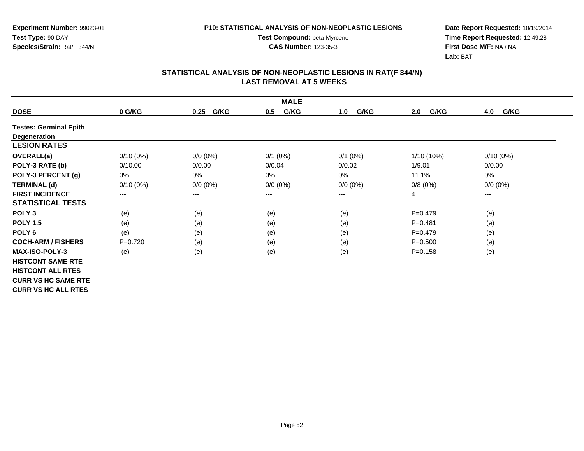**CAS Number:** 123-35-3

**Experiment Number:** 99023-01**Test Type:** 90-DAY**Species/Strain:** Rat/F 344/N

**Date Report Requested:** 10/19/2014 **Time Report Requested:** 12:49:28**First Dose M/F:** NA / NA**Lab:** BAT

| <b>MALE</b>                   |             |              |              |             |              |                        |  |  |
|-------------------------------|-------------|--------------|--------------|-------------|--------------|------------------------|--|--|
| <b>DOSE</b>                   | 0 G/KG      | G/KG<br>0.25 | G/KG<br>0.5  | G/KG<br>1.0 | G/KG<br>2.0  | G/KG<br>4.0            |  |  |
| <b>Testes: Germinal Epith</b> |             |              |              |             |              |                        |  |  |
| <b>Degeneration</b>           |             |              |              |             |              |                        |  |  |
| <b>LESION RATES</b>           |             |              |              |             |              |                        |  |  |
| <b>OVERALL(a)</b>             | $0/10(0\%)$ | $0/0 (0\%)$  | $0/1$ $(0%)$ | $0/1$ (0%)  | $1/10(10\%)$ | $0/10(0\%)$            |  |  |
| POLY-3 RATE (b)               | 0/10.00     | 0/0.00       | 0/0.04       | 0/0.02      | 1/9.01       | 0/0.00                 |  |  |
| POLY-3 PERCENT (g)            | 0%          | $0\%$        | 0%           | $0\%$       | 11.1%        | 0%                     |  |  |
| <b>TERMINAL (d)</b>           | $0/10(0\%)$ | $0/0 (0\%)$  | $0/0 (0\%)$  | $0/0 (0\%)$ | 0/8(0%)      | $0/0 (0\%)$            |  |  |
| <b>FIRST INCIDENCE</b>        | $---$       | $---$        | ---          | ---         | 4            | $\qquad \qquad \cdots$ |  |  |
| <b>STATISTICAL TESTS</b>      |             |              |              |             |              |                        |  |  |
| POLY <sub>3</sub>             | (e)         | (e)          | (e)          | (e)         | $P=0.479$    | (e)                    |  |  |
| <b>POLY 1.5</b>               | (e)         | (e)          | (e)          | (e)         | $P = 0.481$  | (e)                    |  |  |
| POLY <sub>6</sub>             | (e)         | (e)          | (e)          | (e)         | $P = 0.479$  | (e)                    |  |  |
| <b>COCH-ARM / FISHERS</b>     | $P=0.720$   | (e)          | (e)          | (e)         | $P = 0.500$  | (e)                    |  |  |
| <b>MAX-ISO-POLY-3</b>         | (e)         | (e)          | (e)          | (e)         | $P = 0.158$  | (e)                    |  |  |
| <b>HISTCONT SAME RTE</b>      |             |              |              |             |              |                        |  |  |
| <b>HISTCONT ALL RTES</b>      |             |              |              |             |              |                        |  |  |
| <b>CURR VS HC SAME RTE</b>    |             |              |              |             |              |                        |  |  |
| <b>CURR VS HC ALL RTES</b>    |             |              |              |             |              |                        |  |  |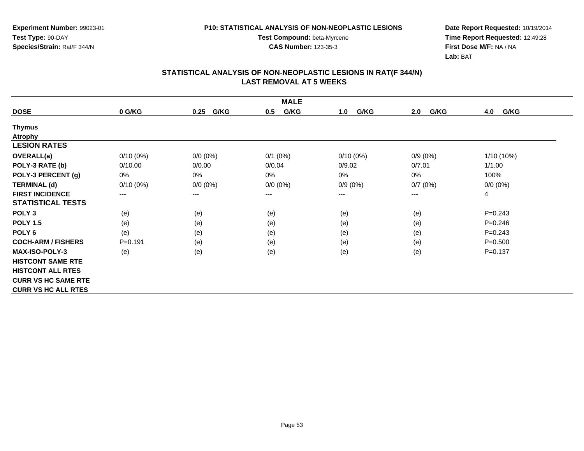**CAS Number:** 123-35-3

**Experiment Number:** 99023-01**Test Type:** 90-DAY**Species/Strain:** Rat/F 344/N

**Date Report Requested:** 10/19/2014 **Time Report Requested:** 12:49:28**First Dose M/F:** NA / NA**Lab:** BAT

| <b>MALE</b>                |             |              |              |             |             |              |  |  |
|----------------------------|-------------|--------------|--------------|-------------|-------------|--------------|--|--|
| <b>DOSE</b>                | 0 G/KG      | G/KG<br>0.25 | G/KG<br>0.5  | G/KG<br>1.0 | G/KG<br>2.0 | G/KG<br>4.0  |  |  |
| <b>Thymus</b>              |             |              |              |             |             |              |  |  |
| Atrophy                    |             |              |              |             |             |              |  |  |
| <b>LESION RATES</b>        |             |              |              |             |             |              |  |  |
| <b>OVERALL(a)</b>          | $0/10(0\%)$ | $0/0 (0\%)$  | $0/1$ $(0%)$ | $0/10(0\%)$ | $0/9(0\%)$  | $1/10(10\%)$ |  |  |
| POLY-3 RATE (b)            | 0/10.00     | 0/0.00       | 0/0.04       | 0/9.02      | 0/7.01      | 1/1.00       |  |  |
| POLY-3 PERCENT (g)         | 0%          | 0%           | 0%           | 0%          | 0%          | 100%         |  |  |
| <b>TERMINAL (d)</b>        | $0/10(0\%)$ | $0/0 (0\%)$  | $0/0 (0\%)$  | $0/9(0\%)$  | 0/7(0%)     | $0/0 (0\%)$  |  |  |
| <b>FIRST INCIDENCE</b>     | $---$       | $---$        | ---          | ---         | ---         | 4            |  |  |
| <b>STATISTICAL TESTS</b>   |             |              |              |             |             |              |  |  |
| POLY <sub>3</sub>          | (e)         | (e)          | (e)          | (e)         | (e)         | $P = 0.243$  |  |  |
| <b>POLY 1.5</b>            | (e)         | (e)          | (e)          | (e)         | (e)         | $P = 0.246$  |  |  |
| POLY <sub>6</sub>          | (e)         | (e)          | (e)          | (e)         | (e)         | $P = 0.243$  |  |  |
| <b>COCH-ARM / FISHERS</b>  | $P = 0.191$ | (e)          | (e)          | (e)         | (e)         | $P = 0.500$  |  |  |
| <b>MAX-ISO-POLY-3</b>      | (e)         | (e)          | (e)          | (e)         | (e)         | $P = 0.137$  |  |  |
| <b>HISTCONT SAME RTE</b>   |             |              |              |             |             |              |  |  |
| <b>HISTCONT ALL RTES</b>   |             |              |              |             |             |              |  |  |
| <b>CURR VS HC SAME RTE</b> |             |              |              |             |             |              |  |  |
| <b>CURR VS HC ALL RTES</b> |             |              |              |             |             |              |  |  |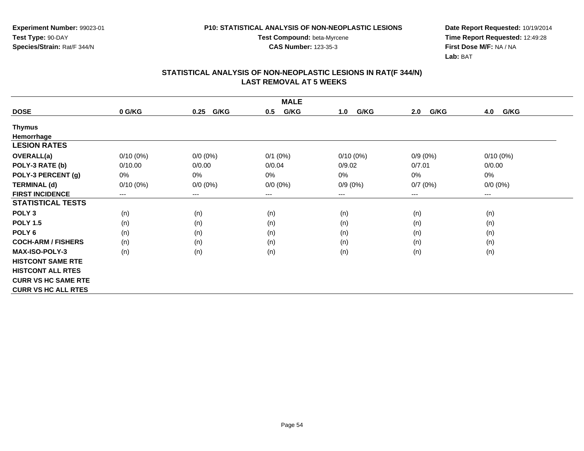**CAS Number:** 123-35-3

**Experiment Number:** 99023-01**Test Type:** 90-DAY**Species/Strain:** Rat/F 344/N

**Date Report Requested:** 10/19/2014 **Time Report Requested:** 12:49:28**First Dose M/F:** NA / NA**Lab:** BAT

| <b>MALE</b>                |             |              |             |             |             |             |  |  |
|----------------------------|-------------|--------------|-------------|-------------|-------------|-------------|--|--|
| <b>DOSE</b>                | 0 G/KG      | G/KG<br>0.25 | G/KG<br>0.5 | G/KG<br>1.0 | G/KG<br>2.0 | G/KG<br>4.0 |  |  |
| <b>Thymus</b>              |             |              |             |             |             |             |  |  |
| Hemorrhage                 |             |              |             |             |             |             |  |  |
| <b>LESION RATES</b>        |             |              |             |             |             |             |  |  |
| <b>OVERALL(a)</b>          | $0/10(0\%)$ | $0/0 (0\%)$  | $0/1$ (0%)  | $0/10(0\%)$ | $0/9(0\%)$  | $0/10(0\%)$ |  |  |
| POLY-3 RATE (b)            | 0/10.00     | 0/0.00       | 0/0.04      | 0/9.02      | 0/7.01      | 0/0.00      |  |  |
| POLY-3 PERCENT (g)         | 0%          | 0%           | 0%          | 0%          | 0%          | 0%          |  |  |
| <b>TERMINAL (d)</b>        | $0/10(0\%)$ | $0/0 (0\%)$  | $0/0 (0\%)$ | $0/9(0\%)$  | 0/7(0%)     | $0/0 (0\%)$ |  |  |
| <b>FIRST INCIDENCE</b>     | $---$       | $---$        | ---         | $---$       | ---         | ---         |  |  |
| <b>STATISTICAL TESTS</b>   |             |              |             |             |             |             |  |  |
| POLY <sub>3</sub>          | (n)         | (n)          | (n)         | (n)         | (n)         | (n)         |  |  |
| <b>POLY 1.5</b>            | (n)         | (n)          | (n)         | (n)         | (n)         | (n)         |  |  |
| POLY <sub>6</sub>          | (n)         | (n)          | (n)         | (n)         | (n)         | (n)         |  |  |
| <b>COCH-ARM / FISHERS</b>  | (n)         | (n)          | (n)         | (n)         | (n)         | (n)         |  |  |
| <b>MAX-ISO-POLY-3</b>      | (n)         | (n)          | (n)         | (n)         | (n)         | (n)         |  |  |
| <b>HISTCONT SAME RTE</b>   |             |              |             |             |             |             |  |  |
| <b>HISTCONT ALL RTES</b>   |             |              |             |             |             |             |  |  |
| <b>CURR VS HC SAME RTE</b> |             |              |             |             |             |             |  |  |
| <b>CURR VS HC ALL RTES</b> |             |              |             |             |             |             |  |  |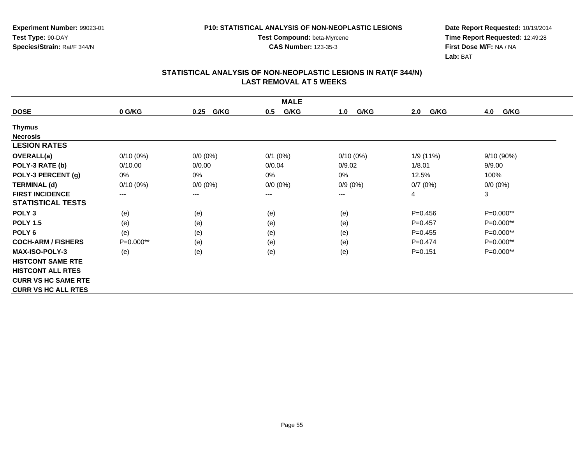**Experiment Number:** 99023-01**Test Type:** 90-DAY**Species/Strain:** Rat/F 344/N

**Test Compound:** beta-Myrcene**CAS Number:** 123-35-3

**Date Report Requested:** 10/19/2014 **Time Report Requested:** 12:49:28**First Dose M/F:** NA / NA**Lab:** BAT

| <b>MALE</b>                |             |                        |             |             |             |             |  |
|----------------------------|-------------|------------------------|-------------|-------------|-------------|-------------|--|
| <b>DOSE</b>                | 0 G/KG      | G/KG<br>0.25           | G/KG<br>0.5 | G/KG<br>1.0 | G/KG<br>2.0 | G/KG<br>4.0 |  |
| <b>Thymus</b>              |             |                        |             |             |             |             |  |
| <b>Necrosis</b>            |             |                        |             |             |             |             |  |
| <b>LESION RATES</b>        |             |                        |             |             |             |             |  |
| <b>OVERALL(a)</b>          | $0/10(0\%)$ | $0/0 (0\%)$            | $0/1$ (0%)  | $0/10(0\%)$ | 1/9(11%)    | 9/10(90%)   |  |
| POLY-3 RATE (b)            | 0/10.00     | 0/0.00                 | 0/0.04      | 0/9.02      | 1/8.01      | 9/9.00      |  |
| POLY-3 PERCENT (g)         | 0%          | 0%                     | 0%          | 0%          | 12.5%       | 100%        |  |
| <b>TERMINAL (d)</b>        | $0/10(0\%)$ | $0/0 (0\%)$            | $0/0 (0\%)$ | $0/9(0\%)$  | 0/7(0%)     | $0/0(0\%)$  |  |
| <b>FIRST INCIDENCE</b>     | $---$       | $\qquad \qquad \cdots$ | $--$        | ---         | 4           | 3           |  |
| <b>STATISTICAL TESTS</b>   |             |                        |             |             |             |             |  |
| POLY <sub>3</sub>          | (e)         | (e)                    | (e)         | (e)         | $P=0.456$   | P=0.000**   |  |
| <b>POLY 1.5</b>            | (e)         | (e)                    | (e)         | (e)         | $P=0.457$   | P=0.000**   |  |
| POLY <sub>6</sub>          | (e)         | (e)                    | (e)         | (e)         | $P=0.455$   | P=0.000**   |  |
| <b>COCH-ARM / FISHERS</b>  | P=0.000**   | (e)                    | (e)         | (e)         | $P=0.474$   | P=0.000**   |  |
| <b>MAX-ISO-POLY-3</b>      | (e)         | (e)                    | (e)         | (e)         | $P = 0.151$ | P=0.000**   |  |
| <b>HISTCONT SAME RTE</b>   |             |                        |             |             |             |             |  |
| <b>HISTCONT ALL RTES</b>   |             |                        |             |             |             |             |  |
| <b>CURR VS HC SAME RTE</b> |             |                        |             |             |             |             |  |
| <b>CURR VS HC ALL RTES</b> |             |                        |             |             |             |             |  |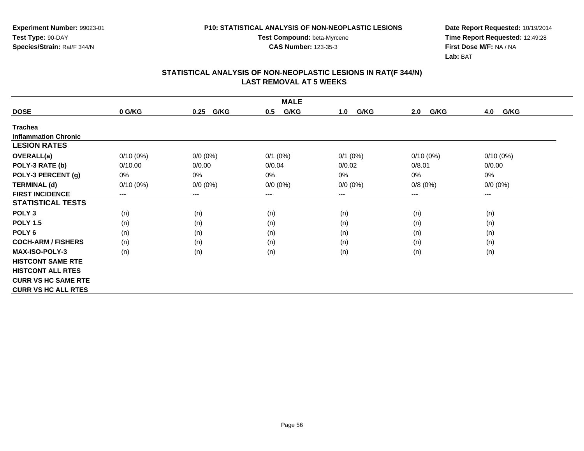**Experiment Number:** 99023-01**Test Type:** 90-DAY**Species/Strain:** Rat/F 344/N

**Test Compound:** beta-Myrcene**CAS Number:** 123-35-3

**Date Report Requested:** 10/19/2014 **Time Report Requested:** 12:49:28**First Dose M/F:** NA / NA**Lab:** BAT

| <b>MALE</b>                 |                            |              |              |             |             |             |  |  |
|-----------------------------|----------------------------|--------------|--------------|-------------|-------------|-------------|--|--|
| <b>DOSE</b>                 | 0 G/KG                     | G/KG<br>0.25 | G/KG<br>0.5  | G/KG<br>1.0 | G/KG<br>2.0 | G/KG<br>4.0 |  |  |
| <b>Trachea</b>              |                            |              |              |             |             |             |  |  |
| <b>Inflammation Chronic</b> |                            |              |              |             |             |             |  |  |
| <b>LESION RATES</b>         |                            |              |              |             |             |             |  |  |
| <b>OVERALL(a)</b>           | $0/10(0\%)$                | $0/0 (0\%)$  | $0/1$ $(0%)$ | $0/1$ (0%)  | $0/10(0\%)$ | $0/10(0\%)$ |  |  |
| POLY-3 RATE (b)             | 0/10.00                    | 0/0.00       | 0/0.04       | 0/0.02      | 0/8.01      | 0/0.00      |  |  |
| POLY-3 PERCENT (g)          | 0%                         | 0%           | 0%           | 0%          | 0%          | 0%          |  |  |
| <b>TERMINAL (d)</b>         | $0/10(0\%)$                | $0/0 (0\%)$  | $0/0 (0\%)$  | $0/0 (0\%)$ | 0/8(0%)     | $0/0 (0\%)$ |  |  |
| <b>FIRST INCIDENCE</b>      | $\qquad \qquad - \qquad -$ | $---$        | ---          | $---$       | $---$       | $--$        |  |  |
| <b>STATISTICAL TESTS</b>    |                            |              |              |             |             |             |  |  |
| POLY <sub>3</sub>           | (n)                        | (n)          | (n)          | (n)         | (n)         | (n)         |  |  |
| <b>POLY 1.5</b>             | (n)                        | (n)          | (n)          | (n)         | (n)         | (n)         |  |  |
| POLY <sub>6</sub>           | (n)                        | (n)          | (n)          | (n)         | (n)         | (n)         |  |  |
| <b>COCH-ARM / FISHERS</b>   | (n)                        | (n)          | (n)          | (n)         | (n)         | (n)         |  |  |
| <b>MAX-ISO-POLY-3</b>       | (n)                        | (n)          | (n)          | (n)         | (n)         | (n)         |  |  |
| <b>HISTCONT SAME RTE</b>    |                            |              |              |             |             |             |  |  |
| <b>HISTCONT ALL RTES</b>    |                            |              |              |             |             |             |  |  |
| <b>CURR VS HC SAME RTE</b>  |                            |              |              |             |             |             |  |  |
| <b>CURR VS HC ALL RTES</b>  |                            |              |              |             |             |             |  |  |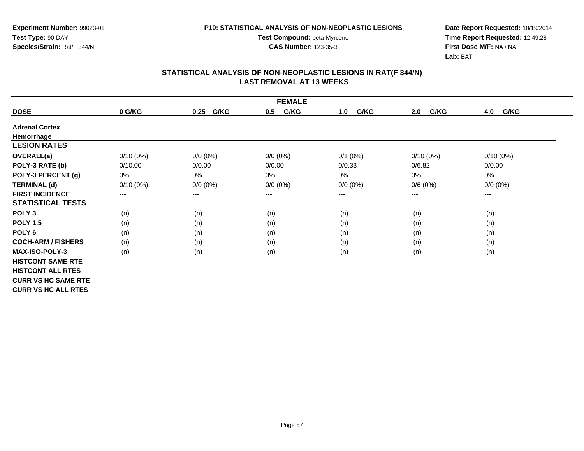**Experiment Number:** 99023-01**Test Type:** 90-DAY**Species/Strain:** Rat/F 344/N

**Test Compound:** beta-Myrcene**CAS Number:** 123-35-3

**Date Report Requested:** 10/19/2014 **Time Report Requested:** 12:49:28**First Dose M/F:** NA / NA**Lab:** BAT

| <b>FEMALE</b>              |             |                        |             |             |             |             |  |  |
|----------------------------|-------------|------------------------|-------------|-------------|-------------|-------------|--|--|
| <b>DOSE</b>                | 0 G/KG      | G/KG<br>0.25           | G/KG<br>0.5 | G/KG<br>1.0 | G/KG<br>2.0 | G/KG<br>4.0 |  |  |
| <b>Adrenal Cortex</b>      |             |                        |             |             |             |             |  |  |
| Hemorrhage                 |             |                        |             |             |             |             |  |  |
| <b>LESION RATES</b>        |             |                        |             |             |             |             |  |  |
| <b>OVERALL(a)</b>          | $0/10(0\%)$ | $0/0 (0\%)$            | $0/0 (0\%)$ | $0/1$ (0%)  | $0/10(0\%)$ | $0/10(0\%)$ |  |  |
| POLY-3 RATE (b)            | 0/10.00     | 0/0.00                 | 0/0.00      | 0/0.33      | 0/6.82      | 0/0.00      |  |  |
| POLY-3 PERCENT (g)         | 0%          | 0%                     | 0%          | 0%          | 0%          | 0%          |  |  |
| <b>TERMINAL (d)</b>        | $0/10(0\%)$ | $0/0 (0\%)$            | $0/0 (0\%)$ | $0/0 (0\%)$ | 0/6(0%)     | $0/0 (0\%)$ |  |  |
| <b>FIRST INCIDENCE</b>     | ---         | $\qquad \qquad \cdots$ | $--$        | ---         | ---         | ---         |  |  |
| <b>STATISTICAL TESTS</b>   |             |                        |             |             |             |             |  |  |
| POLY <sub>3</sub>          | (n)         | (n)                    | (n)         | (n)         | (n)         | (n)         |  |  |
| <b>POLY 1.5</b>            | (n)         | (n)                    | (n)         | (n)         | (n)         | (n)         |  |  |
| POLY <sub>6</sub>          | (n)         | (n)                    | (n)         | (n)         | (n)         | (n)         |  |  |
| <b>COCH-ARM / FISHERS</b>  | (n)         | (n)                    | (n)         | (n)         | (n)         | (n)         |  |  |
| <b>MAX-ISO-POLY-3</b>      | (n)         | (n)                    | (n)         | (n)         | (n)         | (n)         |  |  |
| <b>HISTCONT SAME RTE</b>   |             |                        |             |             |             |             |  |  |
| <b>HISTCONT ALL RTES</b>   |             |                        |             |             |             |             |  |  |
| <b>CURR VS HC SAME RTE</b> |             |                        |             |             |             |             |  |  |
| <b>CURR VS HC ALL RTES</b> |             |                        |             |             |             |             |  |  |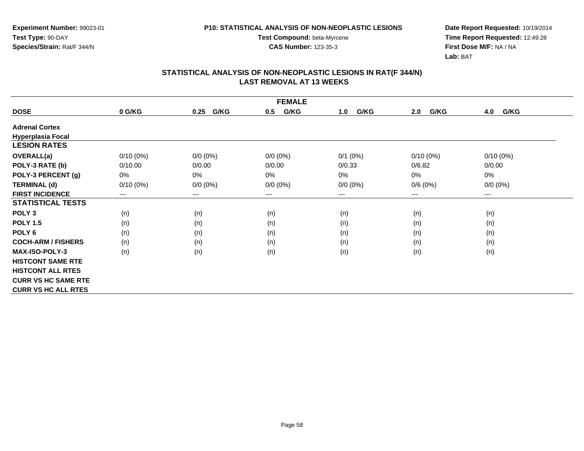**Experiment Number:** 99023-01**Test Type:** 90-DAY**Species/Strain:** Rat/F 344/N

**Test Compound:** beta-Myrcene**CAS Number:** 123-35-3

**Date Report Requested:** 10/19/2014 **Time Report Requested:** 12:49:28**First Dose M/F:** NA / NA**Lab:** BAT

| <b>FEMALE</b>              |             |                        |             |             |             |             |  |  |
|----------------------------|-------------|------------------------|-------------|-------------|-------------|-------------|--|--|
| <b>DOSE</b>                | 0 G/KG      | G/KG<br>0.25           | G/KG<br>0.5 | G/KG<br>1.0 | G/KG<br>2.0 | G/KG<br>4.0 |  |  |
| <b>Adrenal Cortex</b>      |             |                        |             |             |             |             |  |  |
| <b>Hyperplasia Focal</b>   |             |                        |             |             |             |             |  |  |
| <b>LESION RATES</b>        |             |                        |             |             |             |             |  |  |
| <b>OVERALL(a)</b>          | $0/10(0\%)$ | $0/0 (0\%)$            | $0/0 (0\%)$ | $0/1$ (0%)  | $0/10(0\%)$ | $0/10(0\%)$ |  |  |
| POLY-3 RATE (b)            | 0/10.00     | 0/0.00                 | 0/0.00      | 0/0.33      | 0/6.82      | 0/0.00      |  |  |
| POLY-3 PERCENT (g)         | 0%          | 0%                     | 0%          | 0%          | 0%          | 0%          |  |  |
| <b>TERMINAL (d)</b>        | $0/10(0\%)$ | $0/0 (0\%)$            | $0/0 (0\%)$ | $0/0 (0\%)$ | 0/6(0%)     | $0/0 (0\%)$ |  |  |
| <b>FIRST INCIDENCE</b>     | ---         | $\qquad \qquad \cdots$ | $--$        | ---         | ---         | ---         |  |  |
| <b>STATISTICAL TESTS</b>   |             |                        |             |             |             |             |  |  |
| POLY <sub>3</sub>          | (n)         | (n)                    | (n)         | (n)         | (n)         | (n)         |  |  |
| <b>POLY 1.5</b>            | (n)         | (n)                    | (n)         | (n)         | (n)         | (n)         |  |  |
| POLY <sub>6</sub>          | (n)         | (n)                    | (n)         | (n)         | (n)         | (n)         |  |  |
| <b>COCH-ARM / FISHERS</b>  | (n)         | (n)                    | (n)         | (n)         | (n)         | (n)         |  |  |
| <b>MAX-ISO-POLY-3</b>      | (n)         | (n)                    | (n)         | (n)         | (n)         | (n)         |  |  |
| <b>HISTCONT SAME RTE</b>   |             |                        |             |             |             |             |  |  |
| <b>HISTCONT ALL RTES</b>   |             |                        |             |             |             |             |  |  |
| <b>CURR VS HC SAME RTE</b> |             |                        |             |             |             |             |  |  |
| <b>CURR VS HC ALL RTES</b> |             |                        |             |             |             |             |  |  |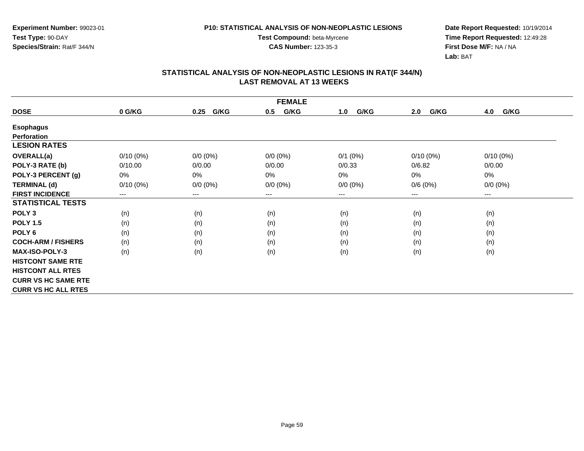**Experiment Number:** 99023-01**Test Type:** 90-DAY**Species/Strain:** Rat/F 344/N

**Test Compound:** beta-Myrcene**CAS Number:** 123-35-3

**Date Report Requested:** 10/19/2014 **Time Report Requested:** 12:49:28**First Dose M/F:** NA / NA**Lab:** BAT

| <b>FEMALE</b>              |             |                        |             |             |             |             |  |  |
|----------------------------|-------------|------------------------|-------------|-------------|-------------|-------------|--|--|
| <b>DOSE</b>                | 0 G/KG      | G/KG<br>0.25           | G/KG<br>0.5 | G/KG<br>1.0 | G/KG<br>2.0 | G/KG<br>4.0 |  |  |
| <b>Esophagus</b>           |             |                        |             |             |             |             |  |  |
| <b>Perforation</b>         |             |                        |             |             |             |             |  |  |
| <b>LESION RATES</b>        |             |                        |             |             |             |             |  |  |
| <b>OVERALL(a)</b>          | $0/10(0\%)$ | $0/0 (0\%)$            | $0/0 (0\%)$ | $0/1$ (0%)  | $0/10(0\%)$ | $0/10(0\%)$ |  |  |
| POLY-3 RATE (b)            | 0/10.00     | 0/0.00                 | 0/0.00      | 0/0.33      | 0/6.82      | 0/0.00      |  |  |
| POLY-3 PERCENT (g)         | 0%          | 0%                     | $0\%$       | 0%          | 0%          | 0%          |  |  |
| <b>TERMINAL (d)</b>        | $0/10(0\%)$ | $0/0 (0\%)$            | $0/0 (0\%)$ | $0/0 (0\%)$ | 0/6(0%)     | $0/0 (0\%)$ |  |  |
| <b>FIRST INCIDENCE</b>     | ---         | $\qquad \qquad \cdots$ | ---         | ---         | ---         | ---         |  |  |
| <b>STATISTICAL TESTS</b>   |             |                        |             |             |             |             |  |  |
| POLY <sub>3</sub>          | (n)         | (n)                    | (n)         | (n)         | (n)         | (n)         |  |  |
| <b>POLY 1.5</b>            | (n)         | (n)                    | (n)         | (n)         | (n)         | (n)         |  |  |
| POLY <sub>6</sub>          | (n)         | (n)                    | (n)         | (n)         | (n)         | (n)         |  |  |
| <b>COCH-ARM / FISHERS</b>  | (n)         | (n)                    | (n)         | (n)         | (n)         | (n)         |  |  |
| <b>MAX-ISO-POLY-3</b>      | (n)         | (n)                    | (n)         | (n)         | (n)         | (n)         |  |  |
| <b>HISTCONT SAME RTE</b>   |             |                        |             |             |             |             |  |  |
| <b>HISTCONT ALL RTES</b>   |             |                        |             |             |             |             |  |  |
| <b>CURR VS HC SAME RTE</b> |             |                        |             |             |             |             |  |  |
| <b>CURR VS HC ALL RTES</b> |             |                        |             |             |             |             |  |  |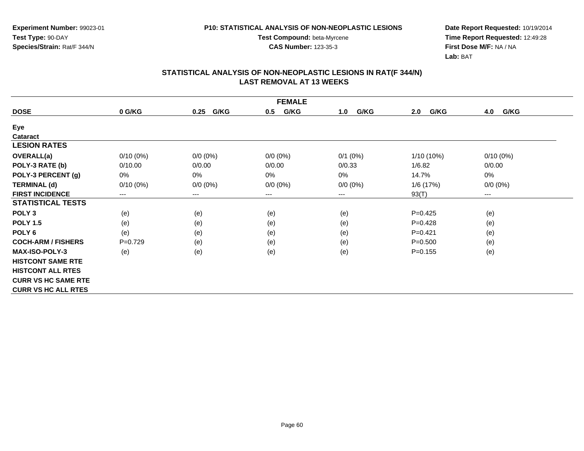**Experiment Number:** 99023-01**Test Type:** 90-DAY**Species/Strain:** Rat/F 344/N

**Test Compound:** beta-Myrcene**CAS Number:** 123-35-3

**Date Report Requested:** 10/19/2014 **Time Report Requested:** 12:49:28**First Dose M/F:** NA / NA**Lab:** BAT

| <b>FEMALE</b>              |             |              |             |             |              |                        |  |  |
|----------------------------|-------------|--------------|-------------|-------------|--------------|------------------------|--|--|
| <b>DOSE</b>                | 0 G/KG      | G/KG<br>0.25 | G/KG<br>0.5 | G/KG<br>1.0 | G/KG<br>2.0  | 4.0<br>G/KG            |  |  |
| Eye                        |             |              |             |             |              |                        |  |  |
| <b>Cataract</b>            |             |              |             |             |              |                        |  |  |
| <b>LESION RATES</b>        |             |              |             |             |              |                        |  |  |
| <b>OVERALL(a)</b>          | $0/10(0\%)$ | $0/0 (0\%)$  | $0/0 (0\%)$ | $0/1$ (0%)  | $1/10(10\%)$ | $0/10(0\%)$            |  |  |
| POLY-3 RATE (b)            | 0/10.00     | 0/0.00       | 0/0.00      | 0/0.33      | 1/6.82       | 0/0.00                 |  |  |
| POLY-3 PERCENT (g)         | 0%          | $0\%$        | 0%          | 0%          | 14.7%        | 0%                     |  |  |
| <b>TERMINAL (d)</b>        | $0/10(0\%)$ | $0/0 (0\%)$  | $0/0 (0\%)$ | $0/0 (0\%)$ | 1/6(17%)     | $0/0 (0\%)$            |  |  |
| <b>FIRST INCIDENCE</b>     | $---$       | $---$        | ---         | ---         | 93(T)        | $\qquad \qquad \cdots$ |  |  |
| <b>STATISTICAL TESTS</b>   |             |              |             |             |              |                        |  |  |
| POLY <sub>3</sub>          | (e)         | (e)          | (e)         | (e)         | $P=0.425$    | (e)                    |  |  |
| <b>POLY 1.5</b>            | (e)         | (e)          | (e)         | (e)         | $P=0.428$    | (e)                    |  |  |
| POLY <sub>6</sub>          | (e)         | (e)          | (e)         | (e)         | $P = 0.421$  | (e)                    |  |  |
| <b>COCH-ARM / FISHERS</b>  | $P=0.729$   | (e)          | (e)         | (e)         | $P = 0.500$  | (e)                    |  |  |
| <b>MAX-ISO-POLY-3</b>      | (e)         | (e)          | (e)         | (e)         | $P = 0.155$  | (e)                    |  |  |
| <b>HISTCONT SAME RTE</b>   |             |              |             |             |              |                        |  |  |
| <b>HISTCONT ALL RTES</b>   |             |              |             |             |              |                        |  |  |
| <b>CURR VS HC SAME RTE</b> |             |              |             |             |              |                        |  |  |
| <b>CURR VS HC ALL RTES</b> |             |              |             |             |              |                        |  |  |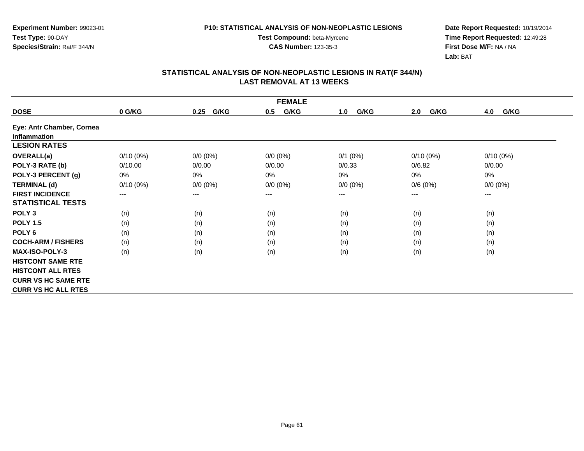**Test Compound:** beta-Myrcene**CAS Number:** 123-35-3

**Date Report Requested:** 10/19/2014 **Time Report Requested:** 12:49:28**First Dose M/F:** NA / NA**Lab:** BAT

| <b>FEMALE</b>              |             |              |             |             |             |             |  |  |  |
|----------------------------|-------------|--------------|-------------|-------------|-------------|-------------|--|--|--|
| <b>DOSE</b>                | 0 G/KG      | G/KG<br>0.25 | G/KG<br>0.5 | G/KG<br>1.0 | G/KG<br>2.0 | G/KG<br>4.0 |  |  |  |
| Eye: Antr Chamber, Cornea  |             |              |             |             |             |             |  |  |  |
| <b>Inflammation</b>        |             |              |             |             |             |             |  |  |  |
| <b>LESION RATES</b>        |             |              |             |             |             |             |  |  |  |
| <b>OVERALL(a)</b>          | $0/10(0\%)$ | $0/0 (0\%)$  | $0/0 (0\%)$ | $0/1$ (0%)  | $0/10(0\%)$ | $0/10(0\%)$ |  |  |  |
| POLY-3 RATE (b)            | 0/10.00     | 0/0.00       | 0/0.00      | 0/0.33      | 0/6.82      | 0/0.00      |  |  |  |
| POLY-3 PERCENT (g)         | 0%          | 0%           | 0%          | $0\%$       | 0%          | 0%          |  |  |  |
| <b>TERMINAL (d)</b>        | $0/10(0\%)$ | $0/0 (0\%)$  | $0/0 (0\%)$ | $0/0 (0\%)$ | 0/6(0%)     | $0/0 (0\%)$ |  |  |  |
| <b>FIRST INCIDENCE</b>     | $---$       | $---$        | ---         | ---         | ---         | $---$       |  |  |  |
| <b>STATISTICAL TESTS</b>   |             |              |             |             |             |             |  |  |  |
| POLY <sub>3</sub>          | (n)         | (n)          | (n)         | (n)         | (n)         | (n)         |  |  |  |
| <b>POLY 1.5</b>            | (n)         | (n)          | (n)         | (n)         | (n)         | (n)         |  |  |  |
| POLY <sub>6</sub>          | (n)         | (n)          | (n)         | (n)         | (n)         | (n)         |  |  |  |
| <b>COCH-ARM / FISHERS</b>  | (n)         | (n)          | (n)         | (n)         | (n)         | (n)         |  |  |  |
| <b>MAX-ISO-POLY-3</b>      | (n)         | (n)          | (n)         | (n)         | (n)         | (n)         |  |  |  |
| <b>HISTCONT SAME RTE</b>   |             |              |             |             |             |             |  |  |  |
| <b>HISTCONT ALL RTES</b>   |             |              |             |             |             |             |  |  |  |
| <b>CURR VS HC SAME RTE</b> |             |              |             |             |             |             |  |  |  |
| <b>CURR VS HC ALL RTES</b> |             |              |             |             |             |             |  |  |  |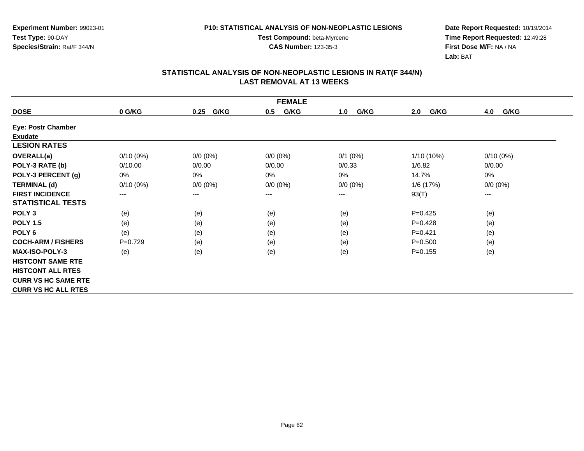**Experiment Number:** 99023-01**Test Type:** 90-DAY**Species/Strain:** Rat/F 344/N

**Test Compound:** beta-Myrcene**CAS Number:** 123-35-3

**Date Report Requested:** 10/19/2014 **Time Report Requested:** 12:49:28**First Dose M/F:** NA / NA**Lab:** BAT

| <b>FEMALE</b>              |             |              |             |              |              |             |  |  |  |
|----------------------------|-------------|--------------|-------------|--------------|--------------|-------------|--|--|--|
| <b>DOSE</b>                | 0 G/KG      | G/KG<br>0.25 | G/KG<br>0.5 | G/KG<br>1.0  | G/KG<br>2.0  | 4.0<br>G/KG |  |  |  |
| <b>Eye: Postr Chamber</b>  |             |              |             |              |              |             |  |  |  |
| Exudate                    |             |              |             |              |              |             |  |  |  |
| <b>LESION RATES</b>        |             |              |             |              |              |             |  |  |  |
| <b>OVERALL(a)</b>          | $0/10(0\%)$ | $0/0 (0\%)$  | $0/0 (0\%)$ | $0/1$ $(0%)$ | $1/10(10\%)$ | $0/10(0\%)$ |  |  |  |
| POLY-3 RATE (b)            | 0/10.00     | 0/0.00       | 0/0.00      | 0/0.33       | 1/6.82       | 0/0.00      |  |  |  |
| POLY-3 PERCENT (g)         | 0%          | 0%           | 0%          | 0%           | 14.7%        | 0%          |  |  |  |
| <b>TERMINAL (d)</b>        | $0/10(0\%)$ | $0/0 (0\%)$  | $0/0 (0\%)$ | $0/0 (0\%)$  | 1/6 (17%)    | $0/0 (0\%)$ |  |  |  |
| <b>FIRST INCIDENCE</b>     | ---         | $---$        | $---$       | ---          | 93(T)        | ---         |  |  |  |
| <b>STATISTICAL TESTS</b>   |             |              |             |              |              |             |  |  |  |
| POLY <sub>3</sub>          | (e)         | (e)          | (e)         | (e)          | $P=0.425$    | (e)         |  |  |  |
| <b>POLY 1.5</b>            | (e)         | (e)          | (e)         | (e)          | $P=0.428$    | (e)         |  |  |  |
| POLY <sub>6</sub>          | (e)         | (e)          | (e)         | (e)          | $P=0.421$    | (e)         |  |  |  |
| <b>COCH-ARM / FISHERS</b>  | $P=0.729$   | (e)          | (e)         | (e)          | $P = 0.500$  | (e)         |  |  |  |
| <b>MAX-ISO-POLY-3</b>      | (e)         | (e)          | (e)         | (e)          | $P = 0.155$  | (e)         |  |  |  |
| <b>HISTCONT SAME RTE</b>   |             |              |             |              |              |             |  |  |  |
| <b>HISTCONT ALL RTES</b>   |             |              |             |              |              |             |  |  |  |
| <b>CURR VS HC SAME RTE</b> |             |              |             |              |              |             |  |  |  |
| <b>CURR VS HC ALL RTES</b> |             |              |             |              |              |             |  |  |  |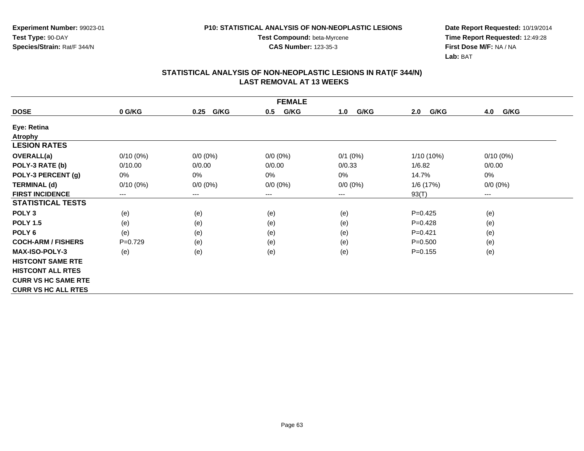**Experiment Number:** 99023-01**Test Type:** 90-DAY**Species/Strain:** Rat/F 344/N

**Test Compound:** beta-Myrcene**CAS Number:** 123-35-3

**Date Report Requested:** 10/19/2014 **Time Report Requested:** 12:49:28**First Dose M/F:** NA / NA**Lab:** BAT

| <b>FEMALE</b>              |             |              |             |             |              |             |  |  |
|----------------------------|-------------|--------------|-------------|-------------|--------------|-------------|--|--|
| <b>DOSE</b>                | 0 G/KG      | G/KG<br>0.25 | G/KG<br>0.5 | G/KG<br>1.0 | G/KG<br>2.0  | 4.0<br>G/KG |  |  |
| Eye: Retina                |             |              |             |             |              |             |  |  |
| <b>Atrophy</b>             |             |              |             |             |              |             |  |  |
| <b>LESION RATES</b>        |             |              |             |             |              |             |  |  |
| <b>OVERALL(a)</b>          | $0/10(0\%)$ | $0/0 (0\%)$  | $0/0 (0\%)$ | $0/1$ (0%)  | $1/10(10\%)$ | $0/10(0\%)$ |  |  |
| POLY-3 RATE (b)            | 0/10.00     | 0/0.00       | 0/0.00      | 0/0.33      | 1/6.82       | 0/0.00      |  |  |
| POLY-3 PERCENT (g)         | 0%          | 0%           | 0%          | 0%          | 14.7%        | 0%          |  |  |
| <b>TERMINAL (d)</b>        | $0/10(0\%)$ | $0/0 (0\%)$  | $0/0 (0\%)$ | $0/0 (0\%)$ | 1/6 (17%)    | $0/0 (0\%)$ |  |  |
| <b>FIRST INCIDENCE</b>     | ---         | $\cdots$     | $---$       | ---         | 93(T)        | ---         |  |  |
| <b>STATISTICAL TESTS</b>   |             |              |             |             |              |             |  |  |
| POLY <sub>3</sub>          | (e)         | (e)          | (e)         | (e)         | $P=0.425$    | (e)         |  |  |
| <b>POLY 1.5</b>            | (e)         | (e)          | (e)         | (e)         | $P=0.428$    | (e)         |  |  |
| POLY <sub>6</sub>          | (e)         | (e)          | (e)         | (e)         | $P=0.421$    | (e)         |  |  |
| <b>COCH-ARM / FISHERS</b>  | $P=0.729$   | (e)          | (e)         | (e)         | $P = 0.500$  | (e)         |  |  |
| <b>MAX-ISO-POLY-3</b>      | (e)         | (e)          | (e)         | (e)         | $P=0.155$    | (e)         |  |  |
| <b>HISTCONT SAME RTE</b>   |             |              |             |             |              |             |  |  |
| <b>HISTCONT ALL RTES</b>   |             |              |             |             |              |             |  |  |
| <b>CURR VS HC SAME RTE</b> |             |              |             |             |              |             |  |  |
| <b>CURR VS HC ALL RTES</b> |             |              |             |             |              |             |  |  |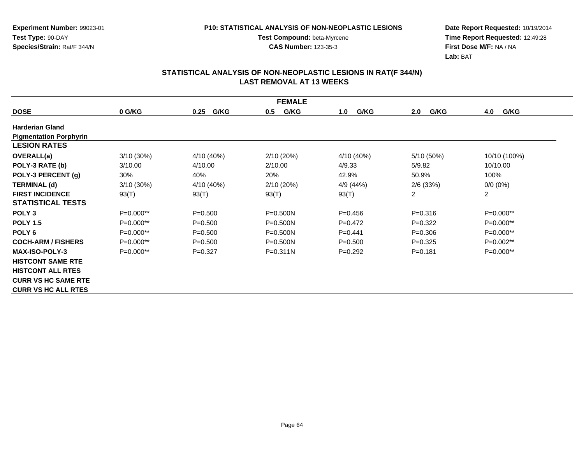**Test Compound:** beta-Myrcene**CAS Number:** 123-35-3

**Date Report Requested:** 10/19/2014 **Time Report Requested:** 12:49:28**First Dose M/F:** NA / NA**Lab:** BAT

| <b>FEMALE</b>                 |              |              |              |             |             |                |  |  |  |
|-------------------------------|--------------|--------------|--------------|-------------|-------------|----------------|--|--|--|
| <b>DOSE</b>                   | 0 G/KG       | G/KG<br>0.25 | G/KG<br>0.5  | G/KG<br>1.0 | 2.0<br>G/KG | 4.0<br>G/KG    |  |  |  |
| <b>Harderian Gland</b>        |              |              |              |             |             |                |  |  |  |
| <b>Pigmentation Porphyrin</b> |              |              |              |             |             |                |  |  |  |
| <b>LESION RATES</b>           |              |              |              |             |             |                |  |  |  |
| <b>OVERALL(a)</b>             | $3/10(30\%)$ | 4/10 (40%)   | 2/10(20%)    | 4/10 (40%)  | 5/10 (50%)  | 10/10 (100%)   |  |  |  |
| POLY-3 RATE (b)               | 3/10.00      | 4/10.00      | 2/10.00      | 4/9.33      | 5/9.82      | 10/10.00       |  |  |  |
| POLY-3 PERCENT (g)            | 30%          | 40%          | 20%          | 42.9%       | 50.9%       | 100%           |  |  |  |
| <b>TERMINAL (d)</b>           | $3/10(30\%)$ | 4/10 (40%)   | 2/10 (20%)   | 4/9 (44%)   | $2/6$ (33%) | $0/0 (0\%)$    |  |  |  |
| <b>FIRST INCIDENCE</b>        | 93(T)        | 93(T)        | 93(T)        | 93(T)       | 2           | $\overline{2}$ |  |  |  |
| <b>STATISTICAL TESTS</b>      |              |              |              |             |             |                |  |  |  |
| POLY <sub>3</sub>             | $P=0.000**$  | $P = 0.500$  | $P = 0.500N$ | $P=0.456$   | $P = 0.316$ | $P=0.000**$    |  |  |  |
| <b>POLY 1.5</b>               | P=0.000**    | $P = 0.500$  | $P = 0.500N$ | $P=0.472$   | $P=0.322$   | P=0.000**      |  |  |  |
| POLY <sub>6</sub>             | $P=0.000**$  | $P = 0.500$  | $P = 0.500N$ | $P=0.441$   | $P = 0.306$ | $P=0.000**$    |  |  |  |
| <b>COCH-ARM / FISHERS</b>     | $P=0.000**$  | $P = 0.500$  | $P = 0.500N$ | $P = 0.500$ | $P=0.325$   | $P=0.002**$    |  |  |  |
| <b>MAX-ISO-POLY-3</b>         | $P=0.000**$  | $P=0.327$    | $P = 0.311N$ | $P=0.292$   | $P = 0.181$ | $P=0.000**$    |  |  |  |
| <b>HISTCONT SAME RTE</b>      |              |              |              |             |             |                |  |  |  |
| <b>HISTCONT ALL RTES</b>      |              |              |              |             |             |                |  |  |  |
| <b>CURR VS HC SAME RTE</b>    |              |              |              |             |             |                |  |  |  |
| <b>CURR VS HC ALL RTES</b>    |              |              |              |             |             |                |  |  |  |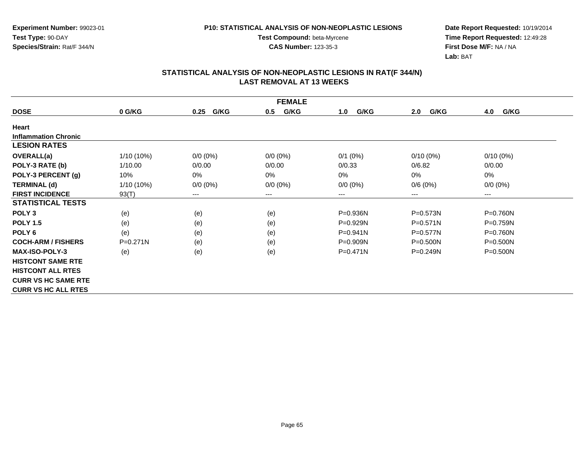**Experiment Number:** 99023-01**Test Type:** 90-DAY**Species/Strain:** Rat/F 344/N

**Test Compound:** beta-Myrcene**CAS Number:** 123-35-3

**Date Report Requested:** 10/19/2014 **Time Report Requested:** 12:49:28**First Dose M/F:** NA / NA**Lab:** BAT

| <b>FEMALE</b>               |              |              |             |              |              |              |  |  |  |
|-----------------------------|--------------|--------------|-------------|--------------|--------------|--------------|--|--|--|
| <b>DOSE</b>                 | 0 G/KG       | G/KG<br>0.25 | G/KG<br>0.5 | G/KG<br>1.0  | G/KG<br>2.0  | G/KG<br>4.0  |  |  |  |
| Heart                       |              |              |             |              |              |              |  |  |  |
| <b>Inflammation Chronic</b> |              |              |             |              |              |              |  |  |  |
| <b>LESION RATES</b>         |              |              |             |              |              |              |  |  |  |
| OVERALL(a)                  | $1/10(10\%)$ | $0/0 (0\%)$  | $0/0 (0\%)$ | $0/1$ (0%)   | $0/10(0\%)$  | $0/10(0\%)$  |  |  |  |
| POLY-3 RATE (b)             | 1/10.00      | 0/0.00       | 0/0.00      | 0/0.33       | 0/6.82       | 0/0.00       |  |  |  |
| POLY-3 PERCENT (g)          | 10%          | 0%           | $0\%$       | 0%           | 0%           | 0%           |  |  |  |
| <b>TERMINAL (d)</b>         | $1/10(10\%)$ | $0/0 (0\%)$  | $0/0 (0\%)$ | $0/0 (0\%)$  | 0/6(0%)      | $0/0 (0\%)$  |  |  |  |
| <b>FIRST INCIDENCE</b>      | 93(T)        | $---$        | ---         | ---          | ---          | $--$         |  |  |  |
| <b>STATISTICAL TESTS</b>    |              |              |             |              |              |              |  |  |  |
| POLY <sub>3</sub>           | (e)          | (e)          | (e)         | $P = 0.936N$ | P=0.573N     | P=0.760N     |  |  |  |
| <b>POLY 1.5</b>             | (e)          | (e)          | (e)         | $P=0.929N$   | $P = 0.571N$ | P=0.759N     |  |  |  |
| POLY <sub>6</sub>           | (e)          | (e)          | (e)         | P=0.941N     | $P = 0.577N$ | P=0.760N     |  |  |  |
| <b>COCH-ARM / FISHERS</b>   | $P = 0.271N$ | (e)          | (e)         | $P = 0.909N$ | $P = 0.500N$ | $P = 0.500N$ |  |  |  |
| <b>MAX-ISO-POLY-3</b>       | (e)          | (e)          | (e)         | $P = 0.471N$ | $P = 0.249N$ | $P = 0.500N$ |  |  |  |
| <b>HISTCONT SAME RTE</b>    |              |              |             |              |              |              |  |  |  |
| <b>HISTCONT ALL RTES</b>    |              |              |             |              |              |              |  |  |  |
| <b>CURR VS HC SAME RTE</b>  |              |              |             |              |              |              |  |  |  |
| <b>CURR VS HC ALL RTES</b>  |              |              |             |              |              |              |  |  |  |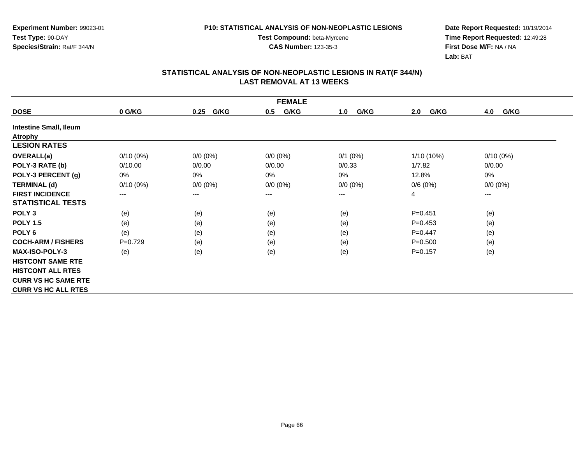**Experiment Number:** 99023-01**Test Type:** 90-DAY**Species/Strain:** Rat/F 344/N

# **P10: STATISTICAL ANALYSIS OF NON-NEOPLASTIC LESIONS**

**Test Compound:** beta-Myrcene

**CAS Number:** 123-35-3

**Date Report Requested:** 10/19/2014 **Time Report Requested:** 12:49:28**First Dose M/F:** NA / NA**Lab:** BAT

| <b>FEMALE</b>                 |                                          |              |             |             |              |                      |  |  |  |
|-------------------------------|------------------------------------------|--------------|-------------|-------------|--------------|----------------------|--|--|--|
| <b>DOSE</b>                   | 0 G/KG                                   | G/KG<br>0.25 | G/KG<br>0.5 | G/KG<br>1.0 | G/KG<br>2.0  | 4.0<br>G/KG          |  |  |  |
| <b>Intestine Small, Ileum</b> |                                          |              |             |             |              |                      |  |  |  |
| <b>Atrophy</b>                |                                          |              |             |             |              |                      |  |  |  |
| <b>LESION RATES</b>           |                                          |              |             |             |              |                      |  |  |  |
| <b>OVERALL(a)</b>             | $0/10(0\%)$                              | $0/0 (0\%)$  | $0/0 (0\%)$ | $0/1$ (0%)  | $1/10(10\%)$ | $0/10(0\%)$          |  |  |  |
| POLY-3 RATE (b)               | 0/10.00                                  | 0/0.00       | 0/0.00      | 0/0.33      | 1/7.82       | 0/0.00               |  |  |  |
| POLY-3 PERCENT (g)            | 0%                                       | 0%           | 0%          | 0%          | 12.8%        | 0%                   |  |  |  |
| <b>TERMINAL (d)</b>           | $0/10(0\%)$                              | $0/0 (0\%)$  | $0/0 (0\%)$ | $0/0 (0\%)$ | 0/6(0%)      | $0/0 (0\%)$          |  |  |  |
| <b>FIRST INCIDENCE</b>        | $\hspace{0.05cm} \ldots \hspace{0.05cm}$ | $\cdots$     | ---         | ---         | 4            | $\scriptstyle\cdots$ |  |  |  |
| <b>STATISTICAL TESTS</b>      |                                          |              |             |             |              |                      |  |  |  |
| POLY <sub>3</sub>             | (e)                                      | (e)          | (e)         | (e)         | $P = 0.451$  | (e)                  |  |  |  |
| <b>POLY 1.5</b>               | (e)                                      | (e)          | (e)         | (e)         | $P=0.453$    | (e)                  |  |  |  |
| POLY <sub>6</sub>             | (e)                                      | (e)          | (e)         | (e)         | $P=0.447$    | (e)                  |  |  |  |
| <b>COCH-ARM / FISHERS</b>     | $P=0.729$                                | (e)          | (e)         | (e)         | $P = 0.500$  | (e)                  |  |  |  |
| <b>MAX-ISO-POLY-3</b>         | (e)                                      | (e)          | (e)         | (e)         | $P=0.157$    | (e)                  |  |  |  |
| <b>HISTCONT SAME RTE</b>      |                                          |              |             |             |              |                      |  |  |  |
| <b>HISTCONT ALL RTES</b>      |                                          |              |             |             |              |                      |  |  |  |
| <b>CURR VS HC SAME RTE</b>    |                                          |              |             |             |              |                      |  |  |  |
| <b>CURR VS HC ALL RTES</b>    |                                          |              |             |             |              |                      |  |  |  |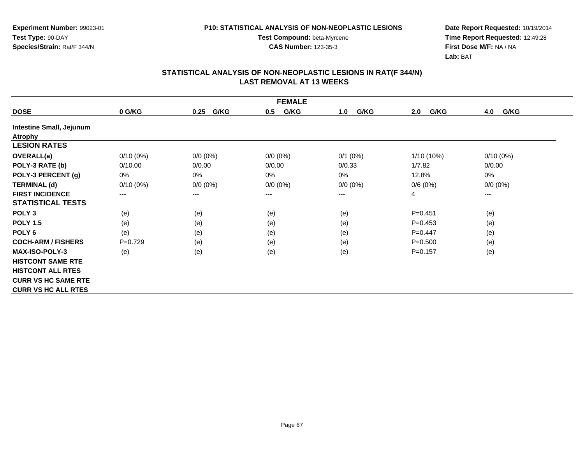**Test Compound:** beta-Myrcene**CAS Number:** 123-35-3

**Date Report Requested:** 10/19/2014 **Time Report Requested:** 12:49:28**First Dose M/F:** NA / NA**Lab:** BAT

| <b>FEMALE</b>                   |             |              |             |             |              |             |  |  |  |
|---------------------------------|-------------|--------------|-------------|-------------|--------------|-------------|--|--|--|
| <b>DOSE</b>                     | 0 G/KG      | G/KG<br>0.25 | G/KG<br>0.5 | G/KG<br>1.0 | G/KG<br>2.0  | 4.0<br>G/KG |  |  |  |
| <b>Intestine Small, Jejunum</b> |             |              |             |             |              |             |  |  |  |
| <b>Atrophy</b>                  |             |              |             |             |              |             |  |  |  |
| <b>LESION RATES</b>             |             |              |             |             |              |             |  |  |  |
| <b>OVERALL(a)</b>               | $0/10(0\%)$ | $0/0 (0\%)$  | $0/0 (0\%)$ | $0/1$ (0%)  | $1/10(10\%)$ | $0/10(0\%)$ |  |  |  |
| POLY-3 RATE (b)                 | 0/10.00     | 0/0.00       | 0/0.00      | 0/0.33      | 1/7.82       | 0/0.00      |  |  |  |
| POLY-3 PERCENT (g)              | 0%          | 0%           | $0\%$       | $0\%$       | 12.8%        | 0%          |  |  |  |
| <b>TERMINAL (d)</b>             | $0/10(0\%)$ | $0/0 (0\%)$  | $0/0 (0\%)$ | $0/0 (0\%)$ | 0/6(0%)      | $0/0 (0\%)$ |  |  |  |
| <b>FIRST INCIDENCE</b>          | $--$        | ---          | ---         | $---$       | 4            | $---$       |  |  |  |
| <b>STATISTICAL TESTS</b>        |             |              |             |             |              |             |  |  |  |
| POLY <sub>3</sub>               | (e)         | (e)          | (e)         | (e)         | $P = 0.451$  | (e)         |  |  |  |
| <b>POLY 1.5</b>                 | (e)         | (e)          | (e)         | (e)         | $P = 0.453$  | (e)         |  |  |  |
| POLY <sub>6</sub>               | (e)         | (e)          | (e)         | (e)         | $P=0.447$    | (e)         |  |  |  |
| <b>COCH-ARM / FISHERS</b>       | $P=0.729$   | (e)          | (e)         | (e)         | $P = 0.500$  | (e)         |  |  |  |
| <b>MAX-ISO-POLY-3</b>           | (e)         | (e)          | (e)         | (e)         | $P = 0.157$  | (e)         |  |  |  |
| <b>HISTCONT SAME RTE</b>        |             |              |             |             |              |             |  |  |  |
| <b>HISTCONT ALL RTES</b>        |             |              |             |             |              |             |  |  |  |
| <b>CURR VS HC SAME RTE</b>      |             |              |             |             |              |             |  |  |  |
| <b>CURR VS HC ALL RTES</b>      |             |              |             |             |              |             |  |  |  |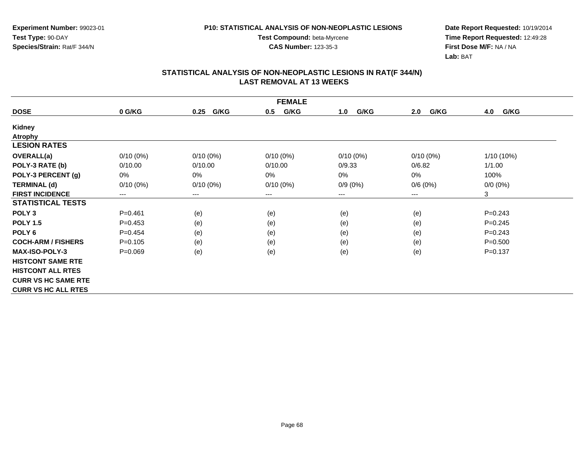**CAS Number:** 123-35-3

**Experiment Number:** 99023-01**Test Type:** 90-DAY**Species/Strain:** Rat/F 344/N

**Date Report Requested:** 10/19/2014 **Time Report Requested:** 12:49:28**First Dose M/F:** NA / NA**Lab:** BAT

| <b>FEMALE</b>              |             |              |             |             |             |             |  |  |  |
|----------------------------|-------------|--------------|-------------|-------------|-------------|-------------|--|--|--|
| <b>DOSE</b>                | 0 G/KG      | G/KG<br>0.25 | G/KG<br>0.5 | G/KG<br>1.0 | G/KG<br>2.0 | G/KG<br>4.0 |  |  |  |
| <b>Kidney</b>              |             |              |             |             |             |             |  |  |  |
| <b>Atrophy</b>             |             |              |             |             |             |             |  |  |  |
| <b>LESION RATES</b>        |             |              |             |             |             |             |  |  |  |
| <b>OVERALL(a)</b>          | $0/10(0\%)$ | $0/10(0\%)$  | $0/10(0\%)$ | $0/10(0\%)$ | $0/10(0\%)$ | 1/10 (10%)  |  |  |  |
| POLY-3 RATE (b)            | 0/10.00     | 0/10.00      | 0/10.00     | 0/9.33      | 0/6.82      | 1/1.00      |  |  |  |
| POLY-3 PERCENT (g)         | 0%          | 0%           | 0%          | 0%          | 0%          | 100%        |  |  |  |
| <b>TERMINAL (d)</b>        | $0/10(0\%)$ | $0/10(0\%)$  | $0/10(0\%)$ | $0/9(0\%)$  | 0/6(0%)     | $0/0(0\%)$  |  |  |  |
| <b>FIRST INCIDENCE</b>     | ---         | $--$         | ---         | ---         | $---$       | 3           |  |  |  |
| <b>STATISTICAL TESTS</b>   |             |              |             |             |             |             |  |  |  |
| POLY <sub>3</sub>          | $P = 0.461$ | (e)          | (e)         | (e)         | (e)         | $P = 0.243$ |  |  |  |
| <b>POLY 1.5</b>            | $P=0.453$   | (e)          | (e)         | (e)         | (e)         | $P = 0.245$ |  |  |  |
| POLY <sub>6</sub>          | $P=0.454$   | (e)          | (e)         | (e)         | (e)         | $P=0.243$   |  |  |  |
| <b>COCH-ARM / FISHERS</b>  | $P = 0.105$ | (e)          | (e)         | (e)         | (e)         | $P = 0.500$ |  |  |  |
| <b>MAX-ISO-POLY-3</b>      | $P = 0.069$ | (e)          | (e)         | (e)         | (e)         | $P = 0.137$ |  |  |  |
| <b>HISTCONT SAME RTE</b>   |             |              |             |             |             |             |  |  |  |
| <b>HISTCONT ALL RTES</b>   |             |              |             |             |             |             |  |  |  |
| <b>CURR VS HC SAME RTE</b> |             |              |             |             |             |             |  |  |  |
| <b>CURR VS HC ALL RTES</b> |             |              |             |             |             |             |  |  |  |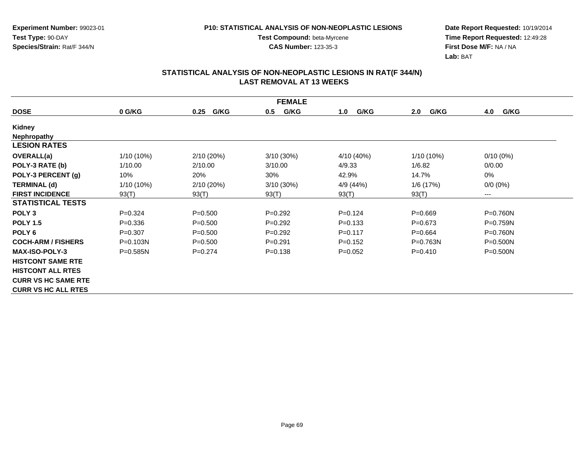**CAS Number:** 123-35-3

**Date Report Requested:** 10/19/2014 **Time Report Requested:** 12:49:28**First Dose M/F:** NA / NA**Lab:** BAT

| <b>FEMALE</b>              |              |              |              |             |              |              |  |  |  |
|----------------------------|--------------|--------------|--------------|-------------|--------------|--------------|--|--|--|
| <b>DOSE</b>                | 0 G/KG       | G/KG<br>0.25 | G/KG<br>0.5  | G/KG<br>1.0 | G/KG<br>2.0  | 4.0<br>G/KG  |  |  |  |
| Kidney                     |              |              |              |             |              |              |  |  |  |
| <b>Nephropathy</b>         |              |              |              |             |              |              |  |  |  |
| <b>LESION RATES</b>        |              |              |              |             |              |              |  |  |  |
| <b>OVERALL(a)</b>          | 1/10 (10%)   | 2/10(20%)    | $3/10(30\%)$ | 4/10 (40%)  | 1/10 (10%)   | $0/10(0\%)$  |  |  |  |
| POLY-3 RATE (b)            | 1/10.00      | 2/10.00      | 3/10.00      | 4/9.33      | 1/6.82       | 0/0.00       |  |  |  |
| POLY-3 PERCENT (g)         | 10%          | 20%          | 30%          | 42.9%       | 14.7%        | 0%           |  |  |  |
| <b>TERMINAL (d)</b>        | $1/10(10\%)$ | 2/10 (20%)   | 3/10 (30%)   | 4/9 (44%)   | 1/6 (17%)    | $0/0 (0\%)$  |  |  |  |
| <b>FIRST INCIDENCE</b>     | 93(T)        | 93(T)        | 93(T)        | 93(T)       | 93(T)        | $--$         |  |  |  |
| <b>STATISTICAL TESTS</b>   |              |              |              |             |              |              |  |  |  |
| POLY <sub>3</sub>          | $P = 0.324$  | $P = 0.500$  | $P=0.292$    | $P=0.124$   | $P = 0.669$  | $P = 0.760N$ |  |  |  |
| <b>POLY 1.5</b>            | $P = 0.336$  | $P = 0.500$  | $P=0.292$    | $P = 0.133$ | $P = 0.673$  | $P=0.759N$   |  |  |  |
| POLY <sub>6</sub>          | $P=0.307$    | $P = 0.500$  | $P=0.292$    | $P=0.117$   | $P=0.664$    | P=0.760N     |  |  |  |
| <b>COCH-ARM / FISHERS</b>  | P=0.103N     | $P = 0.500$  | $P = 0.291$  | $P=0.152$   | $P = 0.763N$ | $P = 0.500N$ |  |  |  |
| <b>MAX-ISO-POLY-3</b>      | $P = 0.585N$ | $P=0.274$    | $P = 0.138$  | $P=0.052$   | $P = 0.410$  | $P = 0.500N$ |  |  |  |
| <b>HISTCONT SAME RTE</b>   |              |              |              |             |              |              |  |  |  |
| <b>HISTCONT ALL RTES</b>   |              |              |              |             |              |              |  |  |  |
| <b>CURR VS HC SAME RTE</b> |              |              |              |             |              |              |  |  |  |
| <b>CURR VS HC ALL RTES</b> |              |              |              |             |              |              |  |  |  |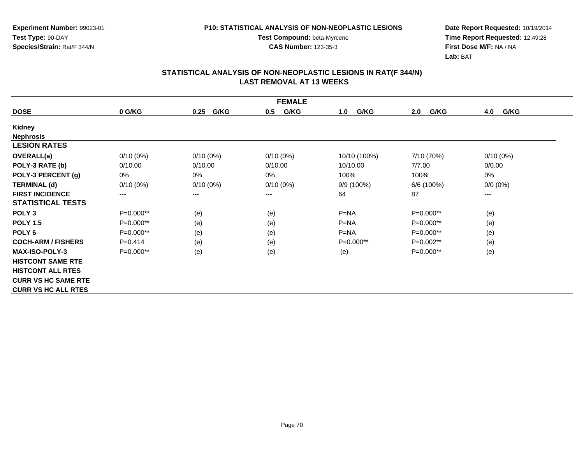**CAS Number:** 123-35-3

**Date Report Requested:** 10/19/2014 **Time Report Requested:** 12:49:28**First Dose M/F:** NA / NA**Lab:** BAT

| <b>FEMALE</b>              |             |              |             |              |             |             |  |  |  |
|----------------------------|-------------|--------------|-------------|--------------|-------------|-------------|--|--|--|
| <b>DOSE</b>                | 0 G/KG      | G/KG<br>0.25 | G/KG<br>0.5 | G/KG<br>1.0  | G/KG<br>2.0 | 4.0<br>G/KG |  |  |  |
| Kidney                     |             |              |             |              |             |             |  |  |  |
| <b>Nephrosis</b>           |             |              |             |              |             |             |  |  |  |
| <b>LESION RATES</b>        |             |              |             |              |             |             |  |  |  |
| <b>OVERALL(a)</b>          | $0/10(0\%)$ | $0/10(0\%)$  | $0/10(0\%)$ | 10/10 (100%) | 7/10 (70%)  | $0/10(0\%)$ |  |  |  |
| POLY-3 RATE (b)            | 0/10.00     | 0/10.00      | 0/10.00     | 10/10.00     | 7/7.00      | 0/0.00      |  |  |  |
| POLY-3 PERCENT (g)         | 0%          | 0%           | 0%          | 100%         | 100%        | 0%          |  |  |  |
| <b>TERMINAL (d)</b>        | $0/10(0\%)$ | $0/10(0\%)$  | $0/10(0\%)$ | 9/9 (100%)   | 6/6 (100%)  | $0/0 (0\%)$ |  |  |  |
| <b>FIRST INCIDENCE</b>     | ---         | $\cdots$     | $---$       | 64           | 87          | ---         |  |  |  |
| <b>STATISTICAL TESTS</b>   |             |              |             |              |             |             |  |  |  |
| POLY <sub>3</sub>          | P=0.000**   | (e)          | (e)         | $P = NA$     | P=0.000**   | (e)         |  |  |  |
| <b>POLY 1.5</b>            | P=0.000**   | (e)          | (e)         | $P=NA$       | P=0.000**   | (e)         |  |  |  |
| POLY <sub>6</sub>          | P=0.000**   | (e)          | (e)         | $P = NA$     | P=0.000**   | (e)         |  |  |  |
| <b>COCH-ARM / FISHERS</b>  | $P=0.414$   | (e)          | (e)         | $P=0.000**$  | $P=0.002**$ | (e)         |  |  |  |
| <b>MAX-ISO-POLY-3</b>      | $P=0.000**$ | (e)          | (e)         | (e)          | $P=0.000**$ | (e)         |  |  |  |
| <b>HISTCONT SAME RTE</b>   |             |              |             |              |             |             |  |  |  |
| <b>HISTCONT ALL RTES</b>   |             |              |             |              |             |             |  |  |  |
| <b>CURR VS HC SAME RTE</b> |             |              |             |              |             |             |  |  |  |
| <b>CURR VS HC ALL RTES</b> |             |              |             |              |             |             |  |  |  |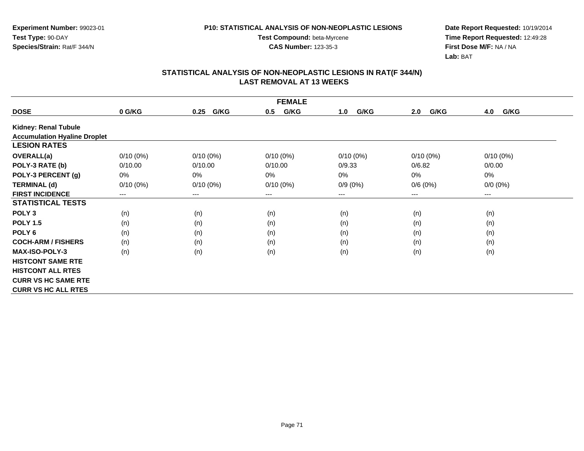**Test Compound:** beta-Myrcene**CAS Number:** 123-35-3

**Date Report Requested:** 10/19/2014 **Time Report Requested:** 12:49:28**First Dose M/F:** NA / NA**Lab:** BAT

| <b>FEMALE</b>                       |             |              |             |             |                        |             |  |  |  |
|-------------------------------------|-------------|--------------|-------------|-------------|------------------------|-------------|--|--|--|
| <b>DOSE</b>                         | 0 G/KG      | G/KG<br>0.25 | G/KG<br>0.5 | G/KG<br>1.0 | G/KG<br>2.0            | G/KG<br>4.0 |  |  |  |
| Kidney: Renal Tubule                |             |              |             |             |                        |             |  |  |  |
| <b>Accumulation Hyaline Droplet</b> |             |              |             |             |                        |             |  |  |  |
| <b>LESION RATES</b>                 |             |              |             |             |                        |             |  |  |  |
| <b>OVERALL(a)</b>                   | $0/10(0\%)$ | $0/10(0\%)$  | $0/10(0\%)$ | $0/10(0\%)$ | $0/10(0\%)$            | $0/10(0\%)$ |  |  |  |
| POLY-3 RATE (b)                     | 0/10.00     | 0/10.00      | 0/10.00     | 0/9.33      | 0/6.82                 | 0/0.00      |  |  |  |
| POLY-3 PERCENT (g)                  | 0%          | 0%           | 0%          | 0%          | $0\%$                  | 0%          |  |  |  |
| <b>TERMINAL (d)</b>                 | $0/10(0\%)$ | $0/10(0\%)$  | $0/10(0\%)$ | $0/9(0\%)$  | 0/6(0%)                | $0/0 (0\%)$ |  |  |  |
| <b>FIRST INCIDENCE</b>              | $---$       | $--$         | ---         | ---         | $\qquad \qquad \cdots$ | ---         |  |  |  |
| <b>STATISTICAL TESTS</b>            |             |              |             |             |                        |             |  |  |  |
| POLY <sub>3</sub>                   | (n)         | (n)          | (n)         | (n)         | (n)                    | (n)         |  |  |  |
| <b>POLY 1.5</b>                     | (n)         | (n)          | (n)         | (n)         | (n)                    | (n)         |  |  |  |
| POLY <sub>6</sub>                   | (n)         | (n)          | (n)         | (n)         | (n)                    | (n)         |  |  |  |
| <b>COCH-ARM / FISHERS</b>           | (n)         | (n)          | (n)         | (n)         | (n)                    | (n)         |  |  |  |
| <b>MAX-ISO-POLY-3</b>               | (n)         | (n)          | (n)         | (n)         | (n)                    | (n)         |  |  |  |
| <b>HISTCONT SAME RTE</b>            |             |              |             |             |                        |             |  |  |  |
| <b>HISTCONT ALL RTES</b>            |             |              |             |             |                        |             |  |  |  |
| <b>CURR VS HC SAME RTE</b>          |             |              |             |             |                        |             |  |  |  |
| <b>CURR VS HC ALL RTES</b>          |             |              |             |             |                        |             |  |  |  |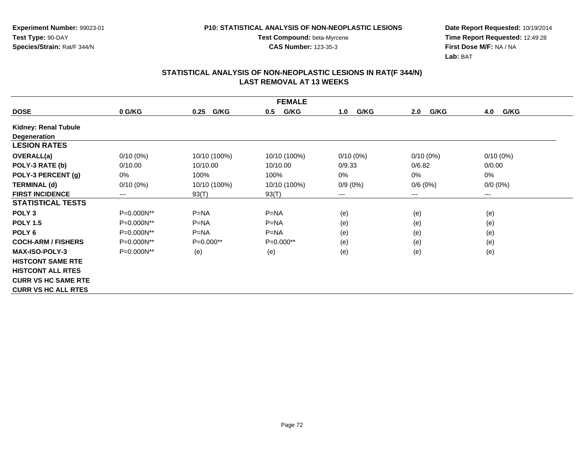**Test Compound:** beta-Myrcene**CAS Number:** 123-35-3

**Date Report Requested:** 10/19/2014 **Time Report Requested:** 12:49:28**First Dose M/F:** NA / NA**Lab:** BAT

| <b>FEMALE</b>              |              |              |              |             |             |             |  |  |  |
|----------------------------|--------------|--------------|--------------|-------------|-------------|-------------|--|--|--|
| <b>DOSE</b>                | 0 G/KG       | G/KG<br>0.25 | G/KG<br>0.5  | G/KG<br>1.0 | G/KG<br>2.0 | G/KG<br>4.0 |  |  |  |
| Kidney: Renal Tubule       |              |              |              |             |             |             |  |  |  |
| Degeneration               |              |              |              |             |             |             |  |  |  |
| <b>LESION RATES</b>        |              |              |              |             |             |             |  |  |  |
| <b>OVERALL(a)</b>          | $0/10(0\%)$  | 10/10 (100%) | 10/10 (100%) | $0/10(0\%)$ | $0/10(0\%)$ | $0/10(0\%)$ |  |  |  |
| POLY-3 RATE (b)            | 0/10.00      | 10/10.00     | 10/10.00     | 0/9.33      | 0/6.82      | 0/0.00      |  |  |  |
| POLY-3 PERCENT (g)         | 0%           | 100%         | 100%         | 0%          | $0\%$       | 0%          |  |  |  |
| <b>TERMINAL (d)</b>        | $0/10(0\%)$  | 10/10 (100%) | 10/10 (100%) | $0/9(0\%)$  | 0/6(0%)     | $0/0 (0\%)$ |  |  |  |
| <b>FIRST INCIDENCE</b>     | $---$        | 93(T)        | 93(T)        | ---         | $---$       | ---         |  |  |  |
| <b>STATISTICAL TESTS</b>   |              |              |              |             |             |             |  |  |  |
| POLY <sub>3</sub>          | P=0.000N**   | $P=NA$       | $P=NA$       | (e)         | (e)         | (e)         |  |  |  |
| <b>POLY 1.5</b>            | P=0.000N**   | $P=NA$       | $P=NA$       | (e)         | (e)         | (e)         |  |  |  |
| POLY <sub>6</sub>          | P=0.000N**   | $P=NA$       | $P=NA$       | (e)         | (e)         | (e)         |  |  |  |
| <b>COCH-ARM / FISHERS</b>  | P=0.000N**   | $P=0.000**$  | P=0.000**    | (e)         | (e)         | (e)         |  |  |  |
| <b>MAX-ISO-POLY-3</b>      | $P=0.000N**$ | (e)          | (e)          | (e)         | (e)         | (e)         |  |  |  |
| <b>HISTCONT SAME RTE</b>   |              |              |              |             |             |             |  |  |  |
| <b>HISTCONT ALL RTES</b>   |              |              |              |             |             |             |  |  |  |
| <b>CURR VS HC SAME RTE</b> |              |              |              |             |             |             |  |  |  |
| <b>CURR VS HC ALL RTES</b> |              |              |              |             |             |             |  |  |  |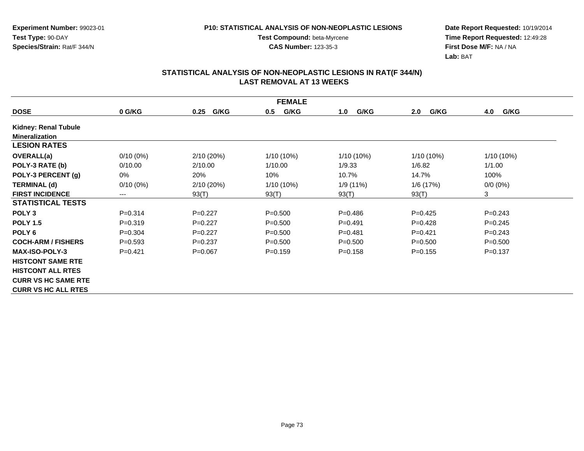**Test Compound:** beta-Myrcene**CAS Number:** 123-35-3

**Date Report Requested:** 10/19/2014 **Time Report Requested:** 12:49:28**First Dose M/F:** NA / NA**Lab:** BAT

| <b>FEMALE</b>               |             |              |             |              |              |             |  |  |
|-----------------------------|-------------|--------------|-------------|--------------|--------------|-------------|--|--|
| <b>DOSE</b>                 | 0 G/KG      | G/KG<br>0.25 | G/KG<br>0.5 | G/KG<br>1.0  | G/KG<br>2.0  | G/KG<br>4.0 |  |  |
| <b>Kidney: Renal Tubule</b> |             |              |             |              |              |             |  |  |
| <b>Mineralization</b>       |             |              |             |              |              |             |  |  |
| <b>LESION RATES</b>         |             |              |             |              |              |             |  |  |
| <b>OVERALL(a)</b>           | $0/10(0\%)$ | 2/10(20%)    | 1/10 (10%)  | $1/10(10\%)$ | $1/10(10\%)$ | 1/10 (10%)  |  |  |
| POLY-3 RATE (b)             | 0/10.00     | 2/10.00      | 1/10.00     | 1/9.33       | 1/6.82       | 1/1.00      |  |  |
| POLY-3 PERCENT (g)          | 0%          | 20%          | 10%         | 10.7%        | 14.7%        | 100%        |  |  |
| <b>TERMINAL (d)</b>         | $0/10(0\%)$ | 2/10(20%)    | 1/10 (10%)  | 1/9 (11%)    | 1/6(17%)     | $0/0(0\%)$  |  |  |
| <b>FIRST INCIDENCE</b>      | $---$       | 93(T)        | 93(T)       | 93(T)        | 93(T)        | 3           |  |  |
| <b>STATISTICAL TESTS</b>    |             |              |             |              |              |             |  |  |
| POLY <sub>3</sub>           | $P = 0.314$ | $P=0.227$    | $P = 0.500$ | $P=0.486$    | $P=0.425$    | $P=0.243$   |  |  |
| <b>POLY 1.5</b>             | $P = 0.319$ | $P=0.227$    | $P = 0.500$ | $P = 0.491$  | $P=0.428$    | $P=0.245$   |  |  |
| POLY <sub>6</sub>           | $P = 0.304$ | $P=0.227$    | $P = 0.500$ | $P=0.481$    | $P=0.421$    | $P = 0.243$ |  |  |
| <b>COCH-ARM / FISHERS</b>   | $P = 0.593$ | $P = 0.237$  | $P = 0.500$ | $P = 0.500$  | $P = 0.500$  | $P = 0.500$ |  |  |
| <b>MAX-ISO-POLY-3</b>       | $P = 0.421$ | $P=0.067$    | $P = 0.159$ | $P = 0.158$  | $P=0.155$    | $P = 0.137$ |  |  |
| <b>HISTCONT SAME RTE</b>    |             |              |             |              |              |             |  |  |
| <b>HISTCONT ALL RTES</b>    |             |              |             |              |              |             |  |  |
| <b>CURR VS HC SAME RTE</b>  |             |              |             |              |              |             |  |  |
| <b>CURR VS HC ALL RTES</b>  |             |              |             |              |              |             |  |  |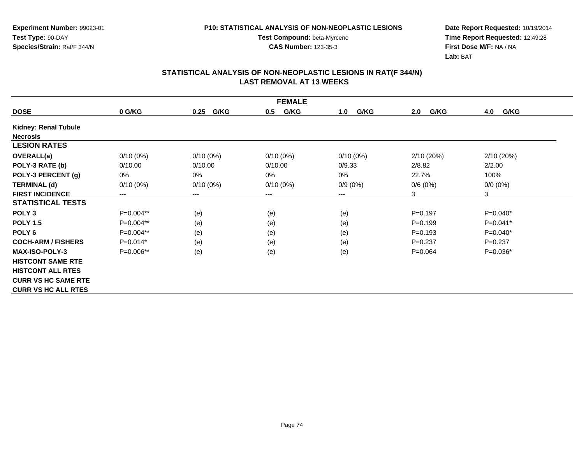**Test Compound:** beta-Myrcene**CAS Number:** 123-35-3

**Date Report Requested:** 10/19/2014 **Time Report Requested:** 12:49:28**First Dose M/F:** NA / NA**Lab:** BAT

| <b>FEMALE</b>              |             |              |             |             |             |             |  |  |
|----------------------------|-------------|--------------|-------------|-------------|-------------|-------------|--|--|
| <b>DOSE</b>                | 0 G/KG      | G/KG<br>0.25 | G/KG<br>0.5 | G/KG<br>1.0 | G/KG<br>2.0 | 4.0<br>G/KG |  |  |
| Kidney: Renal Tubule       |             |              |             |             |             |             |  |  |
| <b>Necrosis</b>            |             |              |             |             |             |             |  |  |
| <b>LESION RATES</b>        |             |              |             |             |             |             |  |  |
| <b>OVERALL(a)</b>          | $0/10(0\%)$ | $0/10(0\%)$  | $0/10(0\%)$ | $0/10(0\%)$ | 2/10(20%)   | 2/10 (20%)  |  |  |
| POLY-3 RATE (b)            | 0/10.00     | 0/10.00      | 0/10.00     | 0/9.33      | 2/8.82      | 2/2.00      |  |  |
| POLY-3 PERCENT (g)         | 0%          | 0%           | 0%          | $0\%$       | 22.7%       | 100%        |  |  |
| <b>TERMINAL (d)</b>        | $0/10(0\%)$ | $0/10(0\%)$  | $0/10(0\%)$ | $0/9(0\%)$  | 0/6(0%)     | $0/0 (0\%)$ |  |  |
| <b>FIRST INCIDENCE</b>     | $---$       | $---$        | ---         | ---         | 3           | 3           |  |  |
| <b>STATISTICAL TESTS</b>   |             |              |             |             |             |             |  |  |
| POLY <sub>3</sub>          | P=0.004**   | (e)          | (e)         | (e)         | $P = 0.197$ | $P=0.040*$  |  |  |
| <b>POLY 1.5</b>            | P=0.004**   | (e)          | (e)         | (e)         | $P = 0.199$ | $P=0.041*$  |  |  |
| POLY <sub>6</sub>          | $P=0.004**$ | (e)          | (e)         | (e)         | $P = 0.193$ | $P=0.040*$  |  |  |
| <b>COCH-ARM / FISHERS</b>  | $P=0.014*$  | (e)          | (e)         | (e)         | $P=0.237$   | $P=0.237$   |  |  |
| <b>MAX-ISO-POLY-3</b>      | P=0.006**   | (e)          | (e)         | (e)         | $P=0.064$   | $P=0.036*$  |  |  |
| <b>HISTCONT SAME RTE</b>   |             |              |             |             |             |             |  |  |
| <b>HISTCONT ALL RTES</b>   |             |              |             |             |             |             |  |  |
| <b>CURR VS HC SAME RTE</b> |             |              |             |             |             |             |  |  |
| <b>CURR VS HC ALL RTES</b> |             |              |             |             |             |             |  |  |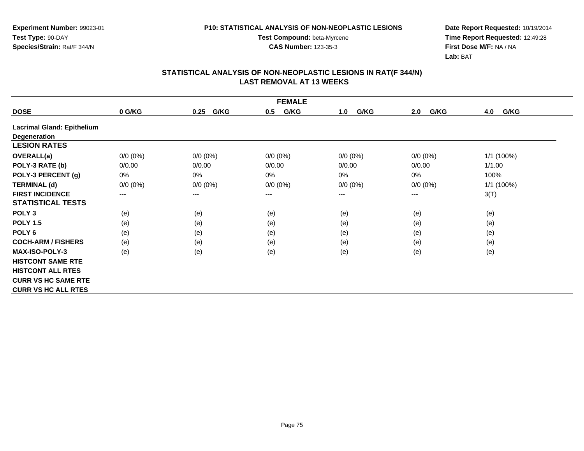**Test Compound:** beta-Myrcene**CAS Number:** 123-35-3

**Date Report Requested:** 10/19/2014 **Time Report Requested:** 12:49:28**First Dose M/F:** NA / NA**Lab:** BAT

| <b>FEMALE</b>                     |             |              |             |             |                            |             |  |  |  |
|-----------------------------------|-------------|--------------|-------------|-------------|----------------------------|-------------|--|--|--|
| <b>DOSE</b>                       | 0 G/KG      | G/KG<br>0.25 | G/KG<br>0.5 | G/KG<br>1.0 | G/KG<br>2.0                | 4.0<br>G/KG |  |  |  |
| <b>Lacrimal Gland: Epithelium</b> |             |              |             |             |                            |             |  |  |  |
| Degeneration                      |             |              |             |             |                            |             |  |  |  |
| <b>LESION RATES</b>               |             |              |             |             |                            |             |  |  |  |
| <b>OVERALL(a)</b>                 | $0/0 (0\%)$ | $0/0 (0\%)$  | $0/0 (0\%)$ | $0/0 (0\%)$ | $0/0 (0\%)$                | 1/1 (100%)  |  |  |  |
| POLY-3 RATE (b)                   | 0/0.00      | 0/0.00       | 0/0.00      | 0/0.00      | 0/0.00                     | 1/1.00      |  |  |  |
| POLY-3 PERCENT (g)                | 0%          | 0%           | 0%          | $0\%$       | 0%                         | 100%        |  |  |  |
| <b>TERMINAL (d)</b>               | $0/0 (0\%)$ | $0/0 (0\%)$  | $0/0 (0\%)$ | $0/0 (0\%)$ | $0/0 (0\%)$                | 1/1 (100%)  |  |  |  |
| <b>FIRST INCIDENCE</b>            | $--$        | ---          | ---         | ---         | $\qquad \qquad - \qquad -$ | 3(T)        |  |  |  |
| <b>STATISTICAL TESTS</b>          |             |              |             |             |                            |             |  |  |  |
| POLY <sub>3</sub>                 | (e)         | (e)          | (e)         | (e)         | (e)                        | (e)         |  |  |  |
| <b>POLY 1.5</b>                   | (e)         | (e)          | (e)         | (e)         | (e)                        | (e)         |  |  |  |
| POLY <sub>6</sub>                 | (e)         | (e)          | (e)         | (e)         | (e)                        | (e)         |  |  |  |
| <b>COCH-ARM / FISHERS</b>         | (e)         | (e)          | (e)         | (e)         | (e)                        | (e)         |  |  |  |
| <b>MAX-ISO-POLY-3</b>             | (e)         | (e)          | (e)         | (e)         | (e)                        | (e)         |  |  |  |
| <b>HISTCONT SAME RTE</b>          |             |              |             |             |                            |             |  |  |  |
| <b>HISTCONT ALL RTES</b>          |             |              |             |             |                            |             |  |  |  |
| <b>CURR VS HC SAME RTE</b>        |             |              |             |             |                            |             |  |  |  |
| <b>CURR VS HC ALL RTES</b>        |             |              |             |             |                            |             |  |  |  |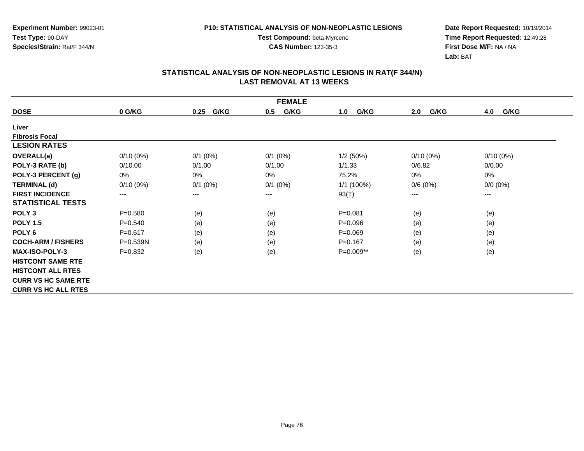**Experiment Number:** 99023-01**Test Type:** 90-DAY**Species/Strain:** Rat/F 344/N

**Test Compound:** beta-Myrcene**CAS Number:** 123-35-3

**Date Report Requested:** 10/19/2014 **Time Report Requested:** 12:49:28**First Dose M/F:** NA / NA**Lab:** BAT

| <b>FEMALE</b>              |                        |                        |              |             |                        |             |  |  |
|----------------------------|------------------------|------------------------|--------------|-------------|------------------------|-------------|--|--|
| <b>DOSE</b>                | 0 G/KG                 | G/KG<br>0.25           | G/KG<br>0.5  | G/KG<br>1.0 | G/KG<br>2.0            | 4.0<br>G/KG |  |  |
| Liver                      |                        |                        |              |             |                        |             |  |  |
| <b>Fibrosis Focal</b>      |                        |                        |              |             |                        |             |  |  |
| <b>LESION RATES</b>        |                        |                        |              |             |                        |             |  |  |
| <b>OVERALL(a)</b>          | $0/10(0\%)$            | $0/1$ (0%)             | $0/1$ (0%)   | 1/2(50%)    | $0/10(0\%)$            | $0/10(0\%)$ |  |  |
| POLY-3 RATE (b)            | 0/10.00                | 0/1.00                 | 0/1.00       | 1/1.33      | 0/6.82                 | 0/0.00      |  |  |
| POLY-3 PERCENT (g)         | 0%                     | $0\%$                  | 0%           | 75.2%       | 0%                     | 0%          |  |  |
| <b>TERMINAL (d)</b>        | $0/10(0\%)$            | $0/1$ (0%)             | $0/1$ $(0%)$ | 1/1 (100%)  | 0/6(0%)                | $0/0 (0\%)$ |  |  |
| <b>FIRST INCIDENCE</b>     | $\qquad \qquad \cdots$ | $\qquad \qquad \cdots$ | ---          | 93(T)       | $\qquad \qquad \cdots$ | $--$        |  |  |
| <b>STATISTICAL TESTS</b>   |                        |                        |              |             |                        |             |  |  |
| POLY <sub>3</sub>          | $P = 0.580$            | (e)                    | (e)          | $P = 0.081$ | (e)                    | (e)         |  |  |
| <b>POLY 1.5</b>            | $P = 0.540$            | (e)                    | (e)          | $P = 0.096$ | (e)                    | (e)         |  |  |
| POLY <sub>6</sub>          | $P = 0.617$            | (e)                    | (e)          | $P = 0.069$ | (e)                    | (e)         |  |  |
| <b>COCH-ARM / FISHERS</b>  | $P = 0.539N$           | (e)                    | (e)          | $P = 0.167$ | (e)                    | (e)         |  |  |
| <b>MAX-ISO-POLY-3</b>      | $P = 0.832$            | (e)                    | (e)          | P=0.009**   | (e)                    | (e)         |  |  |
| <b>HISTCONT SAME RTE</b>   |                        |                        |              |             |                        |             |  |  |
| <b>HISTCONT ALL RTES</b>   |                        |                        |              |             |                        |             |  |  |
| <b>CURR VS HC SAME RTE</b> |                        |                        |              |             |                        |             |  |  |
| <b>CURR VS HC ALL RTES</b> |                        |                        |              |             |                        |             |  |  |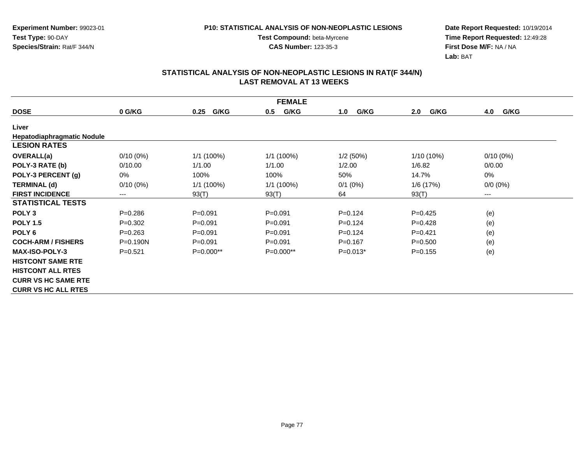**Test Compound:** beta-Myrcene**CAS Number:** 123-35-3

**Date Report Requested:** 10/19/2014 **Time Report Requested:** 12:49:28**First Dose M/F:** NA / NA**Lab:** BAT

| <b>FEMALE</b>              |              |              |             |             |             |             |  |  |
|----------------------------|--------------|--------------|-------------|-------------|-------------|-------------|--|--|
| <b>DOSE</b>                | 0 G/KG       | G/KG<br>0.25 | G/KG<br>0.5 | G/KG<br>1.0 | 2.0<br>G/KG | 4.0<br>G/KG |  |  |
| Liver                      |              |              |             |             |             |             |  |  |
| Hepatodiaphragmatic Nodule |              |              |             |             |             |             |  |  |
| <b>LESION RATES</b>        |              |              |             |             |             |             |  |  |
| OVERALL(a)                 | $0/10(0\%)$  | $1/1$ (100%) | 1/1(100%)   | 1/2(50%)    | 1/10 (10%)  | $0/10(0\%)$ |  |  |
| POLY-3 RATE (b)            | 0/10.00      | 1/1.00       | 1/1.00      | 1/2.00      | 1/6.82      | 0/0.00      |  |  |
| POLY-3 PERCENT (g)         | 0%           | 100%         | 100%        | 50%         | 14.7%       | 0%          |  |  |
| <b>TERMINAL (d)</b>        | $0/10(0\%)$  | 1/1 (100%)   | 1/1 (100%)  | $0/1$ (0%)  | 1/6 (17%)   | $0/0 (0\%)$ |  |  |
| <b>FIRST INCIDENCE</b>     | ---          | 93(T)        | 93(T)       | 64          | 93(T)       | $\cdots$    |  |  |
| <b>STATISTICAL TESTS</b>   |              |              |             |             |             |             |  |  |
| POLY <sub>3</sub>          | $P = 0.286$  | $P = 0.091$  | $P = 0.091$ | $P=0.124$   | $P=0.425$   | (e)         |  |  |
| <b>POLY 1.5</b>            | $P = 0.302$  | $P = 0.091$  | $P = 0.091$ | $P=0.124$   | $P=0.428$   | (e)         |  |  |
| POLY 6                     | $P = 0.263$  | $P = 0.091$  | $P = 0.091$ | $P=0.124$   | $P=0.421$   | (e)         |  |  |
| <b>COCH-ARM / FISHERS</b>  | $P = 0.190N$ | $P = 0.091$  | $P = 0.091$ | $P = 0.167$ | $P = 0.500$ | (e)         |  |  |
| MAX-ISO-POLY-3             | $P = 0.521$  | $P=0.000**$  | $P=0.000**$ | $P=0.013*$  | $P = 0.155$ | (e)         |  |  |
| <b>HISTCONT SAME RTE</b>   |              |              |             |             |             |             |  |  |
| <b>HISTCONT ALL RTES</b>   |              |              |             |             |             |             |  |  |
| <b>CURR VS HC SAME RTE</b> |              |              |             |             |             |             |  |  |
| <b>CURR VS HC ALL RTES</b> |              |              |             |             |             |             |  |  |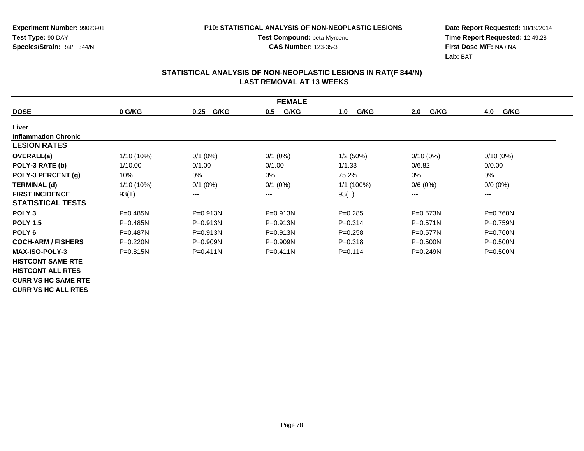**Test Compound:** beta-Myrcene**CAS Number:** 123-35-3

**Experiment Number:** 99023-01**Test Type:** 90-DAY**Species/Strain:** Rat/F 344/N

**Date Report Requested:** 10/19/2014 **Time Report Requested:** 12:49:28**First Dose M/F:** NA / NA**Lab:** BAT

| <b>FEMALE</b>               |              |              |              |             |              |              |  |  |
|-----------------------------|--------------|--------------|--------------|-------------|--------------|--------------|--|--|
| <b>DOSE</b>                 | 0 G/KG       | G/KG<br>0.25 | G/KG<br>0.5  | G/KG<br>1.0 | G/KG<br>2.0  | 4.0<br>G/KG  |  |  |
| Liver                       |              |              |              |             |              |              |  |  |
| <b>Inflammation Chronic</b> |              |              |              |             |              |              |  |  |
| <b>LESION RATES</b>         |              |              |              |             |              |              |  |  |
| <b>OVERALL(a)</b>           | $1/10(10\%)$ | $0/1$ (0%)   | $0/1$ (0%)   | 1/2(50%)    | $0/10(0\%)$  | $0/10(0\%)$  |  |  |
| POLY-3 RATE (b)             | 1/10.00      | 0/1.00       | 0/1.00       | 1/1.33      | 0/6.82       | 0/0.00       |  |  |
| POLY-3 PERCENT (g)          | 10%          | 0%           | 0%           | 75.2%       | 0%           | 0%           |  |  |
| <b>TERMINAL (d)</b>         | $1/10(10\%)$ | $0/1$ (0%)   | $0/1$ $(0%)$ | 1/1 (100%)  | 0/6(0%)      | $0/0 (0\%)$  |  |  |
| <b>FIRST INCIDENCE</b>      | 93(T)        | $---$        | ---          | 93(T)       | $---$        | $--$         |  |  |
| <b>STATISTICAL TESTS</b>    |              |              |              |             |              |              |  |  |
| POLY <sub>3</sub>           | $P=0.485N$   | $P = 0.913N$ | P=0.913N     | $P=0.285$   | $P = 0.573N$ | P=0.760N     |  |  |
| <b>POLY 1.5</b>             | $P = 0.485N$ | $P = 0.913N$ | $P = 0.913N$ | $P=0.314$   | $P = 0.571N$ | $P = 0.759N$ |  |  |
| POLY <sub>6</sub>           | $P = 0.487N$ | $P = 0.913N$ | P=0.913N     | $P = 0.258$ | P=0.577N     | P=0.760N     |  |  |
| <b>COCH-ARM / FISHERS</b>   | $P=0.220N$   | $P=0.909N$   | $P = 0.909N$ | $P = 0.318$ | $P = 0.500N$ | $P = 0.500N$ |  |  |
| <b>MAX-ISO-POLY-3</b>       | $P = 0.815N$ | $P = 0.411N$ | $P = 0.411N$ | $P=0.114$   | $P = 0.249N$ | $P = 0.500N$ |  |  |
| <b>HISTCONT SAME RTE</b>    |              |              |              |             |              |              |  |  |
| <b>HISTCONT ALL RTES</b>    |              |              |              |             |              |              |  |  |
| <b>CURR VS HC SAME RTE</b>  |              |              |              |             |              |              |  |  |
| <b>CURR VS HC ALL RTES</b>  |              |              |              |             |              |              |  |  |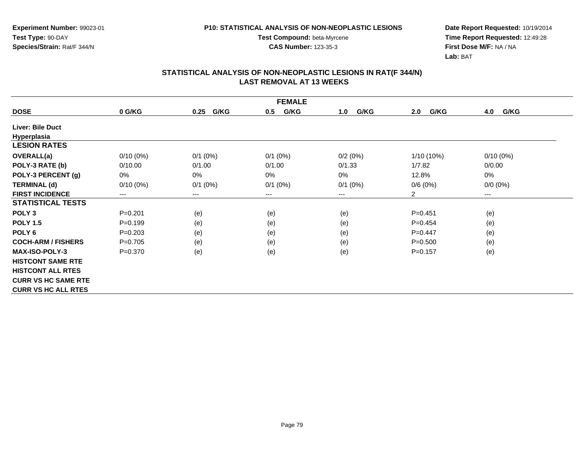**Date Report Requested:** 10/19/2014 **Time Report Requested:** 12:49:28**First Dose M/F:** NA / NA**Lab:** BAT

| <b>FEMALE</b>              |             |                        |              |             |              |             |  |  |
|----------------------------|-------------|------------------------|--------------|-------------|--------------|-------------|--|--|
| <b>DOSE</b>                | 0 G/KG      | G/KG<br>0.25           | G/KG<br>0.5  | G/KG<br>1.0 | G/KG<br>2.0  | G/KG<br>4.0 |  |  |
| <b>Liver: Bile Duct</b>    |             |                        |              |             |              |             |  |  |
| Hyperplasia                |             |                        |              |             |              |             |  |  |
| <b>LESION RATES</b>        |             |                        |              |             |              |             |  |  |
| <b>OVERALL(a)</b>          | $0/10(0\%)$ | $0/1$ (0%)             | $0/1$ (0%)   | 0/2(0%)     | $1/10(10\%)$ | $0/10(0\%)$ |  |  |
| POLY-3 RATE (b)            | 0/10.00     | 0/1.00                 | 0/1.00       | 0/1.33      | 1/7.82       | 0/0.00      |  |  |
| POLY-3 PERCENT (g)         | 0%          | 0%                     | 0%           | 0%          | 12.8%        | 0%          |  |  |
| <b>TERMINAL (d)</b>        | $0/10(0\%)$ | $0/1$ (0%)             | $0/1$ $(0%)$ | $0/1$ (0%)  | 0/6(0%)      | $0/0 (0\%)$ |  |  |
| <b>FIRST INCIDENCE</b>     | ---         | $\qquad \qquad \cdots$ | $--$         | ---         | 2            | $---$       |  |  |
| <b>STATISTICAL TESTS</b>   |             |                        |              |             |              |             |  |  |
| POLY <sub>3</sub>          | $P = 0.201$ | (e)                    | (e)          | (e)         | $P = 0.451$  | (e)         |  |  |
| <b>POLY 1.5</b>            | $P = 0.199$ | (e)                    | (e)          | (e)         | $P=0.454$    | (e)         |  |  |
| POLY <sub>6</sub>          | $P=0.203$   | (e)                    | (e)          | (e)         | $P=0.447$    | (e)         |  |  |
| <b>COCH-ARM / FISHERS</b>  | $P = 0.705$ | (e)                    | (e)          | (e)         | $P = 0.500$  | (e)         |  |  |
| <b>MAX-ISO-POLY-3</b>      | $P = 0.370$ | (e)                    | (e)          | (e)         | $P=0.157$    | (e)         |  |  |
| <b>HISTCONT SAME RTE</b>   |             |                        |              |             |              |             |  |  |
| <b>HISTCONT ALL RTES</b>   |             |                        |              |             |              |             |  |  |
| <b>CURR VS HC SAME RTE</b> |             |                        |              |             |              |             |  |  |
| <b>CURR VS HC ALL RTES</b> |             |                        |              |             |              |             |  |  |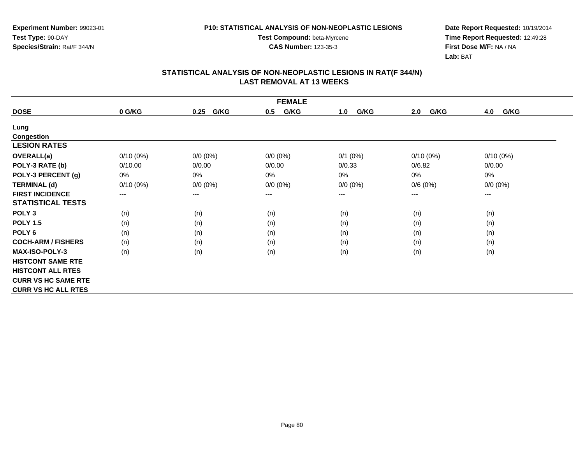**Experiment Number:** 99023-01**Test Type:** 90-DAY**Species/Strain:** Rat/F 344/N

**Test Compound:** beta-Myrcene**CAS Number:** 123-35-3

**Date Report Requested:** 10/19/2014 **Time Report Requested:** 12:49:28**First Dose M/F:** NA / NA**Lab:** BAT

| <b>FEMALE</b>              |                        |              |             |             |             |             |  |  |
|----------------------------|------------------------|--------------|-------------|-------------|-------------|-------------|--|--|
| <b>DOSE</b>                | 0 G/KG                 | G/KG<br>0.25 | G/KG<br>0.5 | G/KG<br>1.0 | G/KG<br>2.0 | G/KG<br>4.0 |  |  |
| Lung                       |                        |              |             |             |             |             |  |  |
| <b>Congestion</b>          |                        |              |             |             |             |             |  |  |
| <b>LESION RATES</b>        |                        |              |             |             |             |             |  |  |
| <b>OVERALL(a)</b>          | $0/10(0\%)$            | $0/0 (0\%)$  | $0/0 (0\%)$ | $0/1$ (0%)  | $0/10(0\%)$ | $0/10(0\%)$ |  |  |
| POLY-3 RATE (b)            | 0/10.00                | 0/0.00       | 0/0.00      | 0/0.33      | 0/6.82      | 0/0.00      |  |  |
| POLY-3 PERCENT (g)         | 0%                     | 0%           | 0%          | 0%          | 0%          | 0%          |  |  |
| <b>TERMINAL (d)</b>        | $0/10(0\%)$            | $0/0 (0\%)$  | $0/0 (0\%)$ | $0/0 (0\%)$ | 0/6(0%)     | $0/0 (0\%)$ |  |  |
| <b>FIRST INCIDENCE</b>     | $\qquad \qquad \cdots$ | $---$        | ---         | ---         | $---$       | $--$        |  |  |
| <b>STATISTICAL TESTS</b>   |                        |              |             |             |             |             |  |  |
| POLY <sub>3</sub>          | (n)                    | (n)          | (n)         | (n)         | (n)         | (n)         |  |  |
| <b>POLY 1.5</b>            | (n)                    | (n)          | (n)         | (n)         | (n)         | (n)         |  |  |
| POLY <sub>6</sub>          | (n)                    | (n)          | (n)         | (n)         | (n)         | (n)         |  |  |
| <b>COCH-ARM / FISHERS</b>  | (n)                    | (n)          | (n)         | (n)         | (n)         | (n)         |  |  |
| <b>MAX-ISO-POLY-3</b>      | (n)                    | (n)          | (n)         | (n)         | (n)         | (n)         |  |  |
| <b>HISTCONT SAME RTE</b>   |                        |              |             |             |             |             |  |  |
| <b>HISTCONT ALL RTES</b>   |                        |              |             |             |             |             |  |  |
| <b>CURR VS HC SAME RTE</b> |                        |              |             |             |             |             |  |  |
| <b>CURR VS HC ALL RTES</b> |                        |              |             |             |             |             |  |  |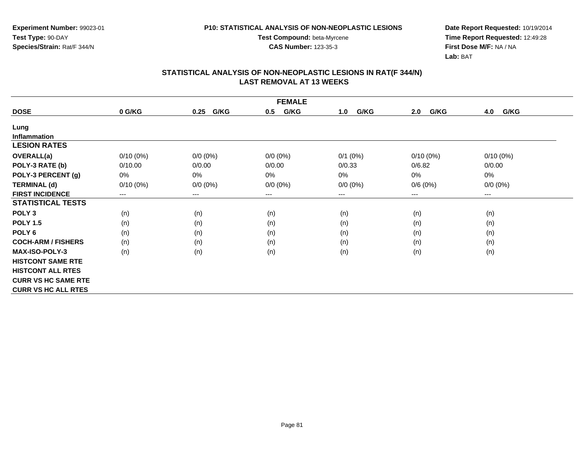**Experiment Number:** 99023-01**Test Type:** 90-DAY**Species/Strain:** Rat/F 344/N

**Test Compound:** beta-Myrcene**CAS Number:** 123-35-3

**Date Report Requested:** 10/19/2014 **Time Report Requested:** 12:49:28**First Dose M/F:** NA / NA**Lab:** BAT

| <b>FEMALE</b>              |             |                        |             |             |             |             |  |  |
|----------------------------|-------------|------------------------|-------------|-------------|-------------|-------------|--|--|
| <b>DOSE</b>                | 0 G/KG      | G/KG<br>0.25           | G/KG<br>0.5 | G/KG<br>1.0 | G/KG<br>2.0 | G/KG<br>4.0 |  |  |
| Lung                       |             |                        |             |             |             |             |  |  |
| <b>Inflammation</b>        |             |                        |             |             |             |             |  |  |
| <b>LESION RATES</b>        |             |                        |             |             |             |             |  |  |
| <b>OVERALL(a)</b>          | $0/10(0\%)$ | $0/0 (0\%)$            | $0/0 (0\%)$ | $0/1$ (0%)  | $0/10(0\%)$ | $0/10(0\%)$ |  |  |
| POLY-3 RATE (b)            | 0/10.00     | 0/0.00                 | 0/0.00      | 0/0.33      | 0/6.82      | 0/0.00      |  |  |
| POLY-3 PERCENT (g)         | 0%          | 0%                     | 0%          | 0%          | 0%          | 0%          |  |  |
| <b>TERMINAL (d)</b>        | $0/10(0\%)$ | $0/0 (0\%)$            | $0/0 (0\%)$ | $0/0 (0\%)$ | 0/6(0%)     | $0/0 (0\%)$ |  |  |
| <b>FIRST INCIDENCE</b>     | ---         | $\qquad \qquad \cdots$ | $--$        | ---         | ---         | $--$        |  |  |
| <b>STATISTICAL TESTS</b>   |             |                        |             |             |             |             |  |  |
| POLY <sub>3</sub>          | (n)         | (n)                    | (n)         | (n)         | (n)         | (n)         |  |  |
| <b>POLY 1.5</b>            | (n)         | (n)                    | (n)         | (n)         | (n)         | (n)         |  |  |
| POLY <sub>6</sub>          | (n)         | (n)                    | (n)         | (n)         | (n)         | (n)         |  |  |
| <b>COCH-ARM / FISHERS</b>  | (n)         | (n)                    | (n)         | (n)         | (n)         | (n)         |  |  |
| <b>MAX-ISO-POLY-3</b>      | (n)         | (n)                    | (n)         | (n)         | (n)         | (n)         |  |  |
| <b>HISTCONT SAME RTE</b>   |             |                        |             |             |             |             |  |  |
| <b>HISTCONT ALL RTES</b>   |             |                        |             |             |             |             |  |  |
| <b>CURR VS HC SAME RTE</b> |             |                        |             |             |             |             |  |  |
| <b>CURR VS HC ALL RTES</b> |             |                        |             |             |             |             |  |  |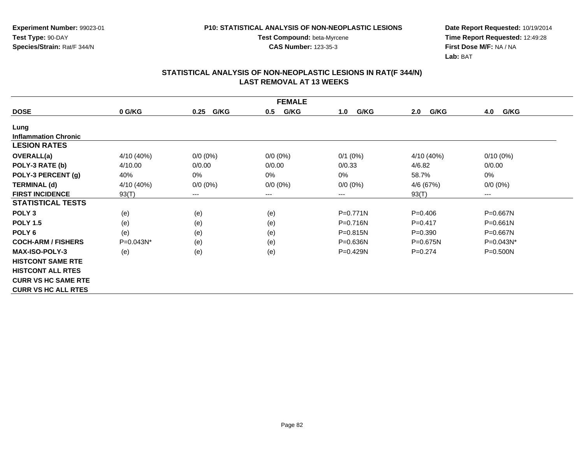**Test Compound:** beta-Myrcene**CAS Number:** 123-35-3

**Date Report Requested:** 10/19/2014 **Time Report Requested:** 12:49:28**First Dose M/F:** NA / NA**Lab:** BAT

| <b>FEMALE</b>               |              |              |             |              |             |              |  |  |
|-----------------------------|--------------|--------------|-------------|--------------|-------------|--------------|--|--|
| <b>DOSE</b>                 | 0 G/KG       | G/KG<br>0.25 | G/KG<br>0.5 | G/KG<br>1.0  | G/KG<br>2.0 | G/KG<br>4.0  |  |  |
| Lung                        |              |              |             |              |             |              |  |  |
| <b>Inflammation Chronic</b> |              |              |             |              |             |              |  |  |
| <b>LESION RATES</b>         |              |              |             |              |             |              |  |  |
| OVERALL(a)                  | 4/10 (40%)   | $0/0 (0\%)$  | $0/0 (0\%)$ | $0/1$ (0%)   | 4/10 (40%)  | $0/10(0\%)$  |  |  |
| POLY-3 RATE (b)             | 4/10.00      | 0/0.00       | 0/0.00      | 0/0.33       | 4/6.82      | 0/0.00       |  |  |
| POLY-3 PERCENT (g)          | 40%          | 0%           | 0%          | $0\%$        | 58.7%       | 0%           |  |  |
| <b>TERMINAL (d)</b>         | 4/10 (40%)   | $0/0 (0\%)$  | $0/0 (0\%)$ | $0/0 (0\%)$  | 4/6 (67%)   | $0/0 (0\%)$  |  |  |
| <b>FIRST INCIDENCE</b>      | 93(T)        | $--$         | ---         | ---          | 93(T)       | $---$        |  |  |
| <b>STATISTICAL TESTS</b>    |              |              |             |              |             |              |  |  |
| POLY <sub>3</sub>           | (e)          | (e)          | (e)         | $P = 0.771N$ | $P=0.406$   | P=0.667N     |  |  |
| <b>POLY 1.5</b>             | (e)          | (e)          | (e)         | P=0.716N     | $P=0.417$   | P=0.661N     |  |  |
| POLY <sub>6</sub>           | (e)          | (e)          | (e)         | P=0.815N     | $P = 0.390$ | P=0.667N     |  |  |
| <b>COCH-ARM / FISHERS</b>   | $P=0.043N^*$ | (e)          | (e)         | $P = 0.636N$ | P=0.675N    | P=0.043N*    |  |  |
| <b>MAX-ISO-POLY-3</b>       | (e)          | (e)          | (e)         | P=0.429N     | $P=0.274$   | $P = 0.500N$ |  |  |
| <b>HISTCONT SAME RTE</b>    |              |              |             |              |             |              |  |  |
| <b>HISTCONT ALL RTES</b>    |              |              |             |              |             |              |  |  |
| <b>CURR VS HC SAME RTE</b>  |              |              |             |              |             |              |  |  |
| <b>CURR VS HC ALL RTES</b>  |              |              |             |              |             |              |  |  |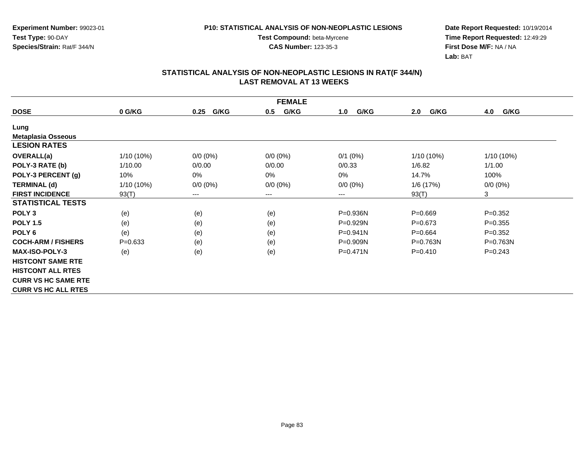**Experiment Number:** 99023-01**Test Type:** 90-DAY**Species/Strain:** Rat/F 344/N

**Test Compound:** beta-Myrcene**CAS Number:** 123-35-3

**Date Report Requested:** 10/19/2014 **Time Report Requested:** 12:49:29**First Dose M/F:** NA / NA**Lab:** BAT

| <b>FEMALE</b>              |             |              |             |              |              |              |  |  |
|----------------------------|-------------|--------------|-------------|--------------|--------------|--------------|--|--|
| <b>DOSE</b>                | 0 G/KG      | G/KG<br>0.25 | G/KG<br>0.5 | G/KG<br>1.0  | G/KG<br>2.0  | G/KG<br>4.0  |  |  |
| Lung                       |             |              |             |              |              |              |  |  |
| <b>Metaplasia Osseous</b>  |             |              |             |              |              |              |  |  |
| <b>LESION RATES</b>        |             |              |             |              |              |              |  |  |
| OVERALL(a)                 | 1/10 (10%)  | $0/0 (0\%)$  | $0/0 (0\%)$ | $0/1$ (0%)   | $1/10(10\%)$ | 1/10 (10%)   |  |  |
| POLY-3 RATE (b)            | 1/10.00     | 0/0.00       | 0/0.00      | 0/0.33       | 1/6.82       | 1/1.00       |  |  |
| POLY-3 PERCENT (g)         | 10%         | 0%           | 0%          | $0\%$        | 14.7%        | 100%         |  |  |
| <b>TERMINAL (d)</b>        | 1/10 (10%)  | $0/0 (0\%)$  | $0/0 (0\%)$ | $0/0 (0\%)$  | 1/6 (17%)    | $0/0 (0\%)$  |  |  |
| <b>FIRST INCIDENCE</b>     | 93(T)       | $--$         | ---         | ---          | 93(T)        | 3            |  |  |
| <b>STATISTICAL TESTS</b>   |             |              |             |              |              |              |  |  |
| POLY <sub>3</sub>          | (e)         | (e)          | (e)         | P=0.936N     | $P = 0.669$  | $P = 0.352$  |  |  |
| <b>POLY 1.5</b>            | (e)         | (e)          | (e)         | P=0.929N     | $P = 0.673$  | $P = 0.355$  |  |  |
| POLY <sub>6</sub>          | (e)         | (e)          | (e)         | $P = 0.941N$ | $P=0.664$    | $P=0.352$    |  |  |
| <b>COCH-ARM / FISHERS</b>  | $P = 0.633$ | (e)          | (e)         | P=0.909N     | $P = 0.763N$ | $P = 0.763N$ |  |  |
| <b>MAX-ISO-POLY-3</b>      | (e)         | (e)          | (e)         | $P = 0.471N$ | $P=0.410$    | $P = 0.243$  |  |  |
| <b>HISTCONT SAME RTE</b>   |             |              |             |              |              |              |  |  |
| <b>HISTCONT ALL RTES</b>   |             |              |             |              |              |              |  |  |
| <b>CURR VS HC SAME RTE</b> |             |              |             |              |              |              |  |  |
| <b>CURR VS HC ALL RTES</b> |             |              |             |              |              |              |  |  |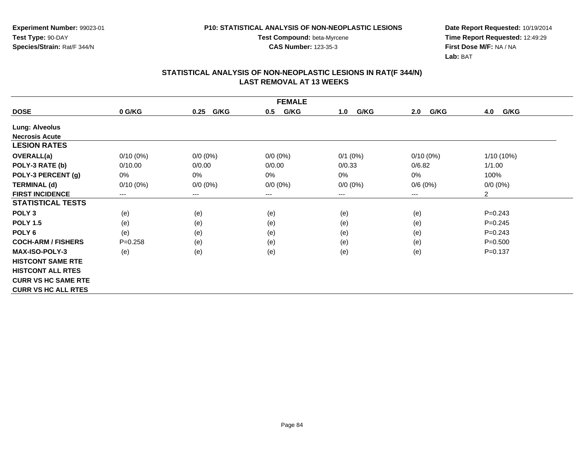**Experiment Number:** 99023-01**Test Type:** 90-DAY**Species/Strain:** Rat/F 344/N

**Test Compound:** beta-Myrcene**CAS Number:** 123-35-3

**Date Report Requested:** 10/19/2014 **Time Report Requested:** 12:49:29**First Dose M/F:** NA / NA**Lab:** BAT

| <b>FEMALE</b>              |             |                        |             |             |             |                |  |  |
|----------------------------|-------------|------------------------|-------------|-------------|-------------|----------------|--|--|
| <b>DOSE</b>                | 0 G/KG      | G/KG<br>0.25           | G/KG<br>0.5 | G/KG<br>1.0 | G/KG<br>2.0 | G/KG<br>4.0    |  |  |
| <b>Lung: Alveolus</b>      |             |                        |             |             |             |                |  |  |
| <b>Necrosis Acute</b>      |             |                        |             |             |             |                |  |  |
| <b>LESION RATES</b>        |             |                        |             |             |             |                |  |  |
| <b>OVERALL(a)</b>          | $0/10(0\%)$ | $0/0 (0\%)$            | $0/0 (0\%)$ | $0/1$ (0%)  | $0/10(0\%)$ | 1/10 (10%)     |  |  |
| POLY-3 RATE (b)            | 0/10.00     | 0/0.00                 | 0/0.00      | 0/0.33      | 0/6.82      | 1/1.00         |  |  |
| POLY-3 PERCENT (g)         | 0%          | 0%                     | 0%          | 0%          | 0%          | 100%           |  |  |
| <b>TERMINAL (d)</b>        | $0/10(0\%)$ | $0/0 (0\%)$            | $0/0 (0\%)$ | $0/0 (0\%)$ | 0/6(0%)     | $0/0 (0\%)$    |  |  |
| <b>FIRST INCIDENCE</b>     | ---         | $\qquad \qquad \cdots$ | $--$        | ---         | ---         | $\overline{2}$ |  |  |
| <b>STATISTICAL TESTS</b>   |             |                        |             |             |             |                |  |  |
| POLY <sub>3</sub>          | (e)         | (e)                    | (e)         | (e)         | (e)         | $P=0.243$      |  |  |
| <b>POLY 1.5</b>            | (e)         | (e)                    | (e)         | (e)         | (e)         | $P=0.245$      |  |  |
| POLY <sub>6</sub>          | (e)         | (e)                    | (e)         | (e)         | (e)         | $P = 0.243$    |  |  |
| <b>COCH-ARM / FISHERS</b>  | $P = 0.258$ | (e)                    | (e)         | (e)         | (e)         | $P = 0.500$    |  |  |
| <b>MAX-ISO-POLY-3</b>      | (e)         | (e)                    | (e)         | (e)         | (e)         | $P = 0.137$    |  |  |
| <b>HISTCONT SAME RTE</b>   |             |                        |             |             |             |                |  |  |
| <b>HISTCONT ALL RTES</b>   |             |                        |             |             |             |                |  |  |
| <b>CURR VS HC SAME RTE</b> |             |                        |             |             |             |                |  |  |
| <b>CURR VS HC ALL RTES</b> |             |                        |             |             |             |                |  |  |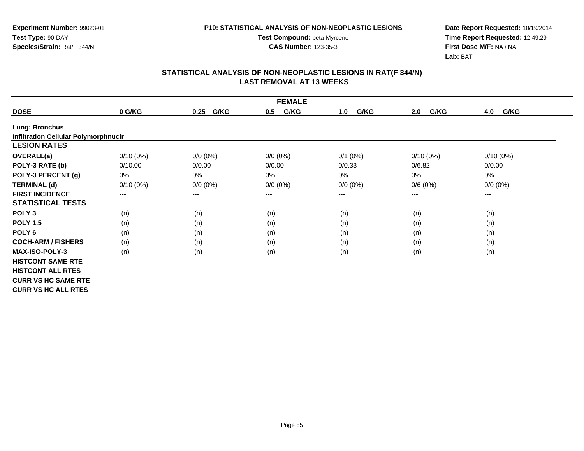**Test Compound:** beta-Myrcene**CAS Number:** 123-35-3

**Date Report Requested:** 10/19/2014 **Time Report Requested:** 12:49:29**First Dose M/F:** NA / NA**Lab:** BAT

| <b>FEMALE</b>                               |             |                        |             |             |             |             |  |  |
|---------------------------------------------|-------------|------------------------|-------------|-------------|-------------|-------------|--|--|
| <b>DOSE</b>                                 | 0 G/KG      | G/KG<br>0.25           | G/KG<br>0.5 | G/KG<br>1.0 | G/KG<br>2.0 | G/KG<br>4.0 |  |  |
| <b>Lung: Bronchus</b>                       |             |                        |             |             |             |             |  |  |
| <b>Infiltration Cellular Polymorphnuclr</b> |             |                        |             |             |             |             |  |  |
| <b>LESION RATES</b>                         |             |                        |             |             |             |             |  |  |
| <b>OVERALL(a)</b>                           | $0/10(0\%)$ | $0/0 (0\%)$            | $0/0 (0\%)$ | $0/1$ (0%)  | $0/10(0\%)$ | $0/10(0\%)$ |  |  |
| POLY-3 RATE (b)                             | 0/10.00     | 0/0.00                 | 0/0.00      | 0/0.33      | 0/6.82      | 0/0.00      |  |  |
| POLY-3 PERCENT (g)                          | 0%          | $0\%$                  | $0\%$       | 0%          | 0%          | 0%          |  |  |
| <b>TERMINAL (d)</b>                         | $0/10(0\%)$ | $0/0 (0\%)$            | $0/0 (0\%)$ | $0/0 (0\%)$ | 0/6(0%)     | $0/0 (0\%)$ |  |  |
| <b>FIRST INCIDENCE</b>                      | $--$        | $\qquad \qquad \cdots$ | ---         | ---         | $---$       | ---         |  |  |
| <b>STATISTICAL TESTS</b>                    |             |                        |             |             |             |             |  |  |
| POLY <sub>3</sub>                           | (n)         | (n)                    | (n)         | (n)         | (n)         | (n)         |  |  |
| <b>POLY 1.5</b>                             | (n)         | (n)                    | (n)         | (n)         | (n)         | (n)         |  |  |
| POLY <sub>6</sub>                           | (n)         | (n)                    | (n)         | (n)         | (n)         | (n)         |  |  |
| <b>COCH-ARM / FISHERS</b>                   | (n)         | (n)                    | (n)         | (n)         | (n)         | (n)         |  |  |
| <b>MAX-ISO-POLY-3</b>                       | (n)         | (n)                    | (n)         | (n)         | (n)         | (n)         |  |  |
| <b>HISTCONT SAME RTE</b>                    |             |                        |             |             |             |             |  |  |
| <b>HISTCONT ALL RTES</b>                    |             |                        |             |             |             |             |  |  |
| <b>CURR VS HC SAME RTE</b>                  |             |                        |             |             |             |             |  |  |
| <b>CURR VS HC ALL RTES</b>                  |             |                        |             |             |             |             |  |  |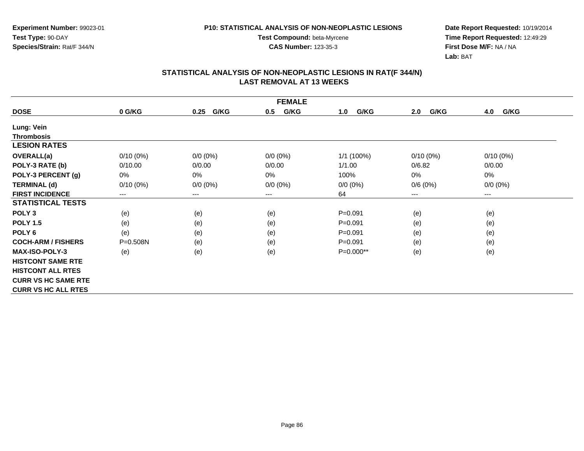**Experiment Number:** 99023-01**Test Type:** 90-DAY**Species/Strain:** Rat/F 344/N

**Test Compound:** beta-Myrcene**CAS Number:** 123-35-3

**Date Report Requested:** 10/19/2014 **Time Report Requested:** 12:49:29**First Dose M/F:** NA / NA**Lab:** BAT

| <b>FEMALE</b>              |             |              |             |             |             |             |  |
|----------------------------|-------------|--------------|-------------|-------------|-------------|-------------|--|
| <b>DOSE</b>                | 0 G/KG      | G/KG<br>0.25 | G/KG<br>0.5 | G/KG<br>1.0 | G/KG<br>2.0 | 4.0<br>G/KG |  |
| Lung: Vein                 |             |              |             |             |             |             |  |
| <b>Thrombosis</b>          |             |              |             |             |             |             |  |
| <b>LESION RATES</b>        |             |              |             |             |             |             |  |
| <b>OVERALL(a)</b>          | $0/10(0\%)$ | $0/0 (0\%)$  | $0/0 (0\%)$ | 1/1 (100%)  | $0/10(0\%)$ | $0/10(0\%)$ |  |
| POLY-3 RATE (b)            | 0/10.00     | 0/0.00       | 0/0.00      | 1/1.00      | 0/6.82      | 0/0.00      |  |
| POLY-3 PERCENT (g)         | 0%          | 0%           | 0%          | 100%        | 0%          | 0%          |  |
| <b>TERMINAL (d)</b>        | $0/10(0\%)$ | $0/0 (0\%)$  | $0/0 (0\%)$ | $0/0 (0\%)$ | 0/6(0%)     | $0/0 (0\%)$ |  |
| <b>FIRST INCIDENCE</b>     | ---         | $\cdots$     | $---$       | 64          | ---         | ---         |  |
| <b>STATISTICAL TESTS</b>   |             |              |             |             |             |             |  |
| POLY <sub>3</sub>          | (e)         | (e)          | (e)         | $P = 0.091$ | (e)         | (e)         |  |
| <b>POLY 1.5</b>            | (e)         | (e)          | (e)         | $P = 0.091$ | (e)         | (e)         |  |
| POLY <sub>6</sub>          | (e)         | (e)          | (e)         | $P = 0.091$ | (e)         | (e)         |  |
| <b>COCH-ARM / FISHERS</b>  | P=0.508N    | (e)          | (e)         | $P = 0.091$ | (e)         | (e)         |  |
| <b>MAX-ISO-POLY-3</b>      | (e)         | (e)          | (e)         | $P=0.000**$ | (e)         | (e)         |  |
| <b>HISTCONT SAME RTE</b>   |             |              |             |             |             |             |  |
| <b>HISTCONT ALL RTES</b>   |             |              |             |             |             |             |  |
| <b>CURR VS HC SAME RTE</b> |             |              |             |             |             |             |  |
| <b>CURR VS HC ALL RTES</b> |             |              |             |             |             |             |  |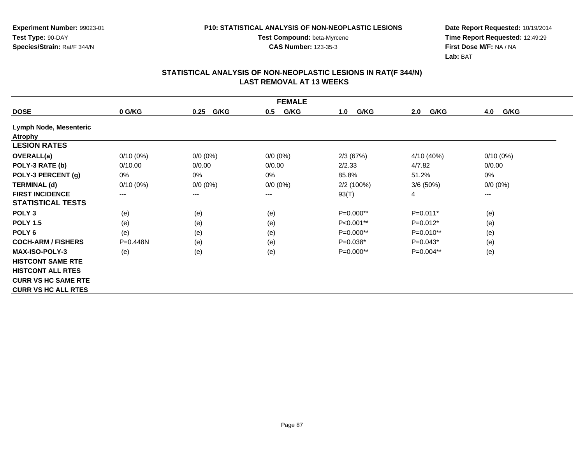**Test Compound:** beta-Myrcene**CAS Number:** 123-35-3

**Date Report Requested:** 10/19/2014 **Time Report Requested:** 12:49:29**First Dose M/F:** NA / NA**Lab:** BAT

|                            | <b>FEMALE</b>          |              |             |             |             |                        |  |  |  |
|----------------------------|------------------------|--------------|-------------|-------------|-------------|------------------------|--|--|--|
| <b>DOSE</b>                | 0 G/KG                 | G/KG<br>0.25 | G/KG<br>0.5 | G/KG<br>1.0 | G/KG<br>2.0 | 4.0<br>G/KG            |  |  |  |
| Lymph Node, Mesenteric     |                        |              |             |             |             |                        |  |  |  |
| <b>Atrophy</b>             |                        |              |             |             |             |                        |  |  |  |
| <b>LESION RATES</b>        |                        |              |             |             |             |                        |  |  |  |
| <b>OVERALL(a)</b>          | $0/10(0\%)$            | $0/0 (0\%)$  | $0/0 (0\%)$ | 2/3(67%)    | 4/10 (40%)  | $0/10(0\%)$            |  |  |  |
| POLY-3 RATE (b)            | 0/10.00                | 0/0.00       | 0/0.00      | 2/2.33      | 4/7.82      | 0/0.00                 |  |  |  |
| POLY-3 PERCENT (g)         | 0%                     | 0%           | 0%          | 85.8%       | 51.2%       | 0%                     |  |  |  |
| <b>TERMINAL (d)</b>        | $0/10(0\%)$            | $0/0 (0\%)$  | $0/0 (0\%)$ | 2/2 (100%)  | 3/6(50%)    | $0/0 (0\%)$            |  |  |  |
| <b>FIRST INCIDENCE</b>     | $\qquad \qquad \cdots$ | ---          | ---         | 93(T)       | 4           | $\qquad \qquad \cdots$ |  |  |  |
| <b>STATISTICAL TESTS</b>   |                        |              |             |             |             |                        |  |  |  |
| POLY <sub>3</sub>          | (e)                    | (e)          | (e)         | $P=0.000**$ | $P=0.011*$  | (e)                    |  |  |  |
| <b>POLY 1.5</b>            | (e)                    | (e)          | (e)         | $P<0.001**$ | $P=0.012*$  | (e)                    |  |  |  |
| POLY <sub>6</sub>          | (e)                    | (e)          | (e)         | P=0.000**   | P=0.010**   | (e)                    |  |  |  |
| <b>COCH-ARM / FISHERS</b>  | $P=0.448N$             | (e)          | (e)         | $P=0.038*$  | $P=0.043*$  | (e)                    |  |  |  |
| <b>MAX-ISO-POLY-3</b>      | (e)                    | (e)          | (e)         | $P=0.000**$ | $P=0.004**$ | (e)                    |  |  |  |
| <b>HISTCONT SAME RTE</b>   |                        |              |             |             |             |                        |  |  |  |
| <b>HISTCONT ALL RTES</b>   |                        |              |             |             |             |                        |  |  |  |
| <b>CURR VS HC SAME RTE</b> |                        |              |             |             |             |                        |  |  |  |
| <b>CURR VS HC ALL RTES</b> |                        |              |             |             |             |                        |  |  |  |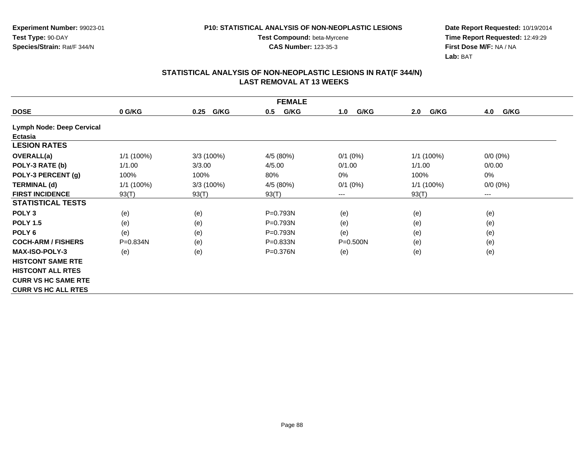**Test Compound:** beta-Myrcene**CAS Number:** 123-35-3

**Date Report Requested:** 10/19/2014 **Time Report Requested:** 12:49:29**First Dose M/F:** NA / NA**Lab:** BAT

|                            | <b>FEMALE</b> |              |             |              |              |             |  |  |  |
|----------------------------|---------------|--------------|-------------|--------------|--------------|-------------|--|--|--|
| <b>DOSE</b>                | 0 G/KG        | G/KG<br>0.25 | G/KG<br>0.5 | G/KG<br>1.0  | G/KG<br>2.0  | G/KG<br>4.0 |  |  |  |
| Lymph Node: Deep Cervical  |               |              |             |              |              |             |  |  |  |
| Ectasia                    |               |              |             |              |              |             |  |  |  |
| <b>LESION RATES</b>        |               |              |             |              |              |             |  |  |  |
| <b>OVERALL(a)</b>          | 1/1 (100%)    | 3/3 (100%)   | 4/5 (80%)   | $0/1$ (0%)   | 1/1 (100%)   | $0/0 (0\%)$ |  |  |  |
| POLY-3 RATE (b)            | 1/1.00        | 3/3.00       | 4/5.00      | 0/1.00       | 1/1.00       | 0/0.00      |  |  |  |
| POLY-3 PERCENT (g)         | 100%          | 100%         | 80%         | 0%           | 100%         | 0%          |  |  |  |
| <b>TERMINAL (d)</b>        | 1/1 (100%)    | 3/3 (100%)   | 4/5 (80%)   | $0/1$ (0%)   | $1/1(100\%)$ | $0/0 (0\%)$ |  |  |  |
| <b>FIRST INCIDENCE</b>     | 93(T)         | 93(T)        | 93(T)       | ---          | 93(T)        | $---$       |  |  |  |
| <b>STATISTICAL TESTS</b>   |               |              |             |              |              |             |  |  |  |
| POLY <sub>3</sub>          | (e)           | (e)          | P=0.793N    | (e)          | (e)          | (e)         |  |  |  |
| <b>POLY 1.5</b>            | (e)           | (e)          | $P=0.793N$  | (e)          | (e)          | (e)         |  |  |  |
| POLY <sub>6</sub>          | (e)           | (e)          | P=0.793N    | (e)          | (e)          | (e)         |  |  |  |
| <b>COCH-ARM / FISHERS</b>  | P=0.834N      | (e)          | P=0.833N    | $P = 0.500N$ | (e)          | (e)         |  |  |  |
| <b>MAX-ISO-POLY-3</b>      | (e)           | (e)          | P=0.376N    | (e)          | (e)          | (e)         |  |  |  |
| <b>HISTCONT SAME RTE</b>   |               |              |             |              |              |             |  |  |  |
| <b>HISTCONT ALL RTES</b>   |               |              |             |              |              |             |  |  |  |
| <b>CURR VS HC SAME RTE</b> |               |              |             |              |              |             |  |  |  |
| <b>CURR VS HC ALL RTES</b> |               |              |             |              |              |             |  |  |  |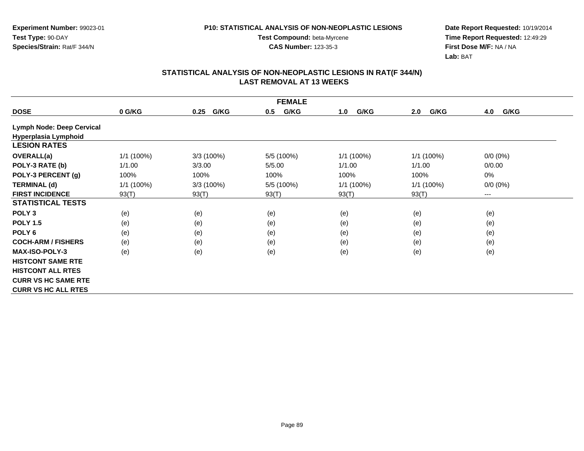**Test Compound:** beta-Myrcene**CAS Number:** 123-35-3

**Date Report Requested:** 10/19/2014 **Time Report Requested:** 12:49:29**First Dose M/F:** NA / NA**Lab:** BAT

| <b>FEMALE</b>              |            |              |             |              |             |             |  |  |
|----------------------------|------------|--------------|-------------|--------------|-------------|-------------|--|--|
| <b>DOSE</b>                | 0 G/KG     | G/KG<br>0.25 | G/KG<br>0.5 | G/KG<br>1.0  | G/KG<br>2.0 | 4.0<br>G/KG |  |  |
| Lymph Node: Deep Cervical  |            |              |             |              |             |             |  |  |
| Hyperplasia Lymphoid       |            |              |             |              |             |             |  |  |
| <b>LESION RATES</b>        |            |              |             |              |             |             |  |  |
| <b>OVERALL(a)</b>          | 1/1 (100%) | 3/3(100%)    | 5/5 (100%)  | 1/1 (100%)   | 1/1 (100%)  | $0/0 (0\%)$ |  |  |
| POLY-3 RATE (b)            | 1/1.00     | 3/3.00       | 5/5.00      | 1/1.00       | 1/1.00      | 0/0.00      |  |  |
| POLY-3 PERCENT (g)         | 100%       | 100%         | 100%        | 100%         | 100%        | 0%          |  |  |
| <b>TERMINAL (d)</b>        | 1/1 (100%) | 3/3(100%)    | 5/5 (100%)  | $1/1$ (100%) | 1/1(100%)   | $0/0 (0\%)$ |  |  |
| <b>FIRST INCIDENCE</b>     | 93(T)      | 93(T)        | 93(T)       | 93(T)        | 93(T)       | $---$       |  |  |
| <b>STATISTICAL TESTS</b>   |            |              |             |              |             |             |  |  |
| POLY <sub>3</sub>          | (e)        | (e)          | (e)         | (e)          | (e)         | (e)         |  |  |
| <b>POLY 1.5</b>            | (e)        | (e)          | (e)         | (e)          | (e)         | (e)         |  |  |
| POLY <sub>6</sub>          | (e)        | (e)          | (e)         | (e)          | (e)         | (e)         |  |  |
| <b>COCH-ARM / FISHERS</b>  | (e)        | (e)          | (e)         | (e)          | (e)         | (e)         |  |  |
| <b>MAX-ISO-POLY-3</b>      | (e)        | (e)          | (e)         | (e)          | (e)         | (e)         |  |  |
| <b>HISTCONT SAME RTE</b>   |            |              |             |              |             |             |  |  |
| <b>HISTCONT ALL RTES</b>   |            |              |             |              |             |             |  |  |
| <b>CURR VS HC SAME RTE</b> |            |              |             |              |             |             |  |  |
| <b>CURR VS HC ALL RTES</b> |            |              |             |              |             |             |  |  |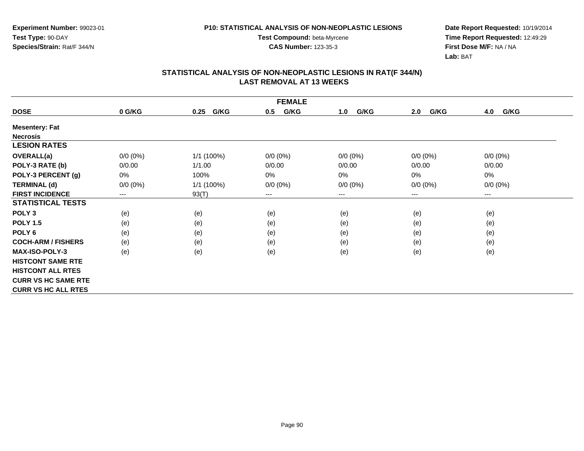**Experiment Number:** 99023-01**Test Type:** 90-DAY**Species/Strain:** Rat/F 344/N

**Test Compound:** beta-Myrcene**CAS Number:** 123-35-3

**Date Report Requested:** 10/19/2014 **Time Report Requested:** 12:49:29**First Dose M/F:** NA / NA**Lab:** BAT

| <b>FEMALE</b>              |             |              |             |             |             |             |  |  |
|----------------------------|-------------|--------------|-------------|-------------|-------------|-------------|--|--|
| <b>DOSE</b>                | 0 G/KG      | G/KG<br>0.25 | G/KG<br>0.5 | G/KG<br>1.0 | G/KG<br>2.0 | G/KG<br>4.0 |  |  |
| <b>Mesentery: Fat</b>      |             |              |             |             |             |             |  |  |
| <b>Necrosis</b>            |             |              |             |             |             |             |  |  |
| <b>LESION RATES</b>        |             |              |             |             |             |             |  |  |
| <b>OVERALL(a)</b>          | $0/0 (0\%)$ | $1/1(100\%)$ | $0/0 (0\%)$ | $0/0 (0\%)$ | $0/0 (0\%)$ | $0/0 (0\%)$ |  |  |
| POLY-3 RATE (b)            | 0/0.00      | 1/1.00       | 0/0.00      | 0/0.00      | 0/0.00      | 0/0.00      |  |  |
| POLY-3 PERCENT (g)         | 0%          | 100%         | 0%          | 0%          | 0%          | 0%          |  |  |
| <b>TERMINAL (d)</b>        | $0/0 (0\%)$ | 1/1(100%)    | $0/0 (0\%)$ | $0/0 (0\%)$ | $0/0 (0\%)$ | $0/0 (0\%)$ |  |  |
| <b>FIRST INCIDENCE</b>     | ---         | 93(T)        | $--$        | ---         | ---         | ---         |  |  |
| <b>STATISTICAL TESTS</b>   |             |              |             |             |             |             |  |  |
| POLY <sub>3</sub>          | (e)         | (e)          | (e)         | (e)         | (e)         | (e)         |  |  |
| <b>POLY 1.5</b>            | (e)         | (e)          | (e)         | (e)         | (e)         | (e)         |  |  |
| POLY <sub>6</sub>          | (e)         | (e)          | (e)         | (e)         | (e)         | (e)         |  |  |
| <b>COCH-ARM / FISHERS</b>  | (e)         | (e)          | (e)         | (e)         | (e)         | (e)         |  |  |
| <b>MAX-ISO-POLY-3</b>      | (e)         | (e)          | (e)         | (e)         | (e)         | (e)         |  |  |
| <b>HISTCONT SAME RTE</b>   |             |              |             |             |             |             |  |  |
| <b>HISTCONT ALL RTES</b>   |             |              |             |             |             |             |  |  |
| <b>CURR VS HC SAME RTE</b> |             |              |             |             |             |             |  |  |
| <b>CURR VS HC ALL RTES</b> |             |              |             |             |             |             |  |  |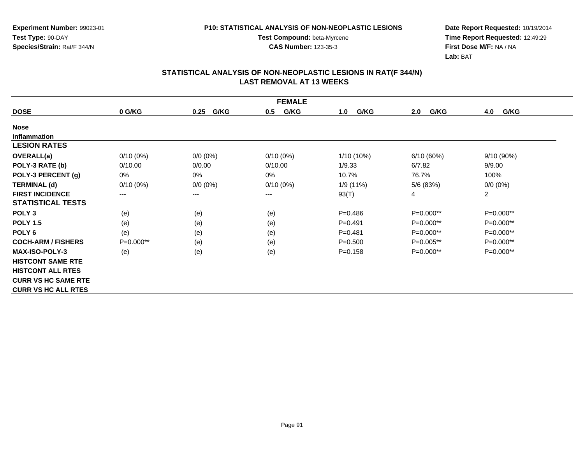**Date Report Requested:** 10/19/2014 **Time Report Requested:** 12:49:29**First Dose M/F:** NA / NA**Lab:** BAT

|                            | <b>FEMALE</b> |                        |             |             |             |                |  |  |
|----------------------------|---------------|------------------------|-------------|-------------|-------------|----------------|--|--|
| <b>DOSE</b>                | 0 G/KG        | G/KG<br>0.25           | G/KG<br>0.5 | G/KG<br>1.0 | G/KG<br>2.0 | G/KG<br>4.0    |  |  |
| <b>Nose</b>                |               |                        |             |             |             |                |  |  |
| <b>Inflammation</b>        |               |                        |             |             |             |                |  |  |
| <b>LESION RATES</b>        |               |                        |             |             |             |                |  |  |
| OVERALL(a)                 | $0/10(0\%)$   | $0/0 (0\%)$            | $0/10(0\%)$ | 1/10 (10%)  | 6/10(60%)   | $9/10(90\%)$   |  |  |
| POLY-3 RATE (b)            | 0/10.00       | 0/0.00                 | 0/10.00     | 1/9.33      | 6/7.82      | 9/9.00         |  |  |
| POLY-3 PERCENT (g)         | 0%            | 0%                     | 0%          | 10.7%       | 76.7%       | 100%           |  |  |
| <b>TERMINAL (d)</b>        | $0/10(0\%)$   | $0/0 (0\%)$            | $0/10(0\%)$ | 1/9 (11%)   | 5/6 (83%)   | $0/0 (0\%)$    |  |  |
| <b>FIRST INCIDENCE</b>     | ---           | $\qquad \qquad \cdots$ | $--$        | 93(T)       | 4           | $\overline{2}$ |  |  |
| <b>STATISTICAL TESTS</b>   |               |                        |             |             |             |                |  |  |
| POLY <sub>3</sub>          | (e)           | (e)                    | (e)         | $P = 0.486$ | $P=0.000**$ | P=0.000**      |  |  |
| <b>POLY 1.5</b>            | (e)           | (e)                    | (e)         | $P = 0.491$ | P=0.000**   | P=0.000**      |  |  |
| POLY <sub>6</sub>          | (e)           | (e)                    | (e)         | $P = 0.481$ | P=0.000**   | P=0.000**      |  |  |
| <b>COCH-ARM / FISHERS</b>  | $P=0.000**$   | (e)                    | (e)         | $P = 0.500$ | $P=0.005**$ | P=0.000**      |  |  |
| <b>MAX-ISO-POLY-3</b>      | (e)           | (e)                    | (e)         | $P = 0.158$ | $P=0.000**$ | $P=0.000**$    |  |  |
| <b>HISTCONT SAME RTE</b>   |               |                        |             |             |             |                |  |  |
| <b>HISTCONT ALL RTES</b>   |               |                        |             |             |             |                |  |  |
| <b>CURR VS HC SAME RTE</b> |               |                        |             |             |             |                |  |  |
| <b>CURR VS HC ALL RTES</b> |               |                        |             |             |             |                |  |  |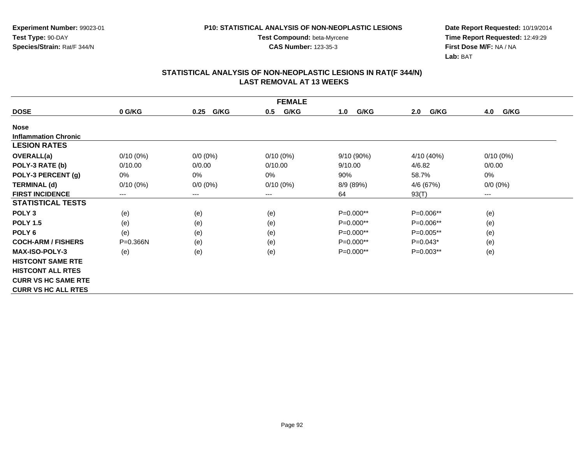**Test Compound:** beta-Myrcene**CAS Number:** 123-35-3

**Date Report Requested:** 10/19/2014 **Time Report Requested:** 12:49:29**First Dose M/F:** NA / NA**Lab:** BAT

|                             | <b>FEMALE</b>          |              |             |             |             |             |  |  |
|-----------------------------|------------------------|--------------|-------------|-------------|-------------|-------------|--|--|
| <b>DOSE</b>                 | 0 G/KG                 | G/KG<br>0.25 | G/KG<br>0.5 | G/KG<br>1.0 | G/KG<br>2.0 | G/KG<br>4.0 |  |  |
| <b>Nose</b>                 |                        |              |             |             |             |             |  |  |
| <b>Inflammation Chronic</b> |                        |              |             |             |             |             |  |  |
| <b>LESION RATES</b>         |                        |              |             |             |             |             |  |  |
| <b>OVERALL(a)</b>           | $0/10(0\%)$            | $0/0 (0\%)$  | $0/10(0\%)$ | 9/10 (90%)  | 4/10 (40%)  | $0/10(0\%)$ |  |  |
| POLY-3 RATE (b)             | 0/10.00                | 0/0.00       | 0/10.00     | 9/10.00     | 4/6.82      | 0/0.00      |  |  |
| POLY-3 PERCENT (g)          | 0%                     | 0%           | 0%          | 90%         | 58.7%       | 0%          |  |  |
| <b>TERMINAL (d)</b>         | $0/10(0\%)$            | $0/0 (0\%)$  | $0/10(0\%)$ | 8/9 (89%)   | 4/6 (67%)   | $0/0 (0\%)$ |  |  |
| <b>FIRST INCIDENCE</b>      | $\qquad \qquad \cdots$ | $--$         | ---         | 64          | 93(T)       | $--$        |  |  |
| <b>STATISTICAL TESTS</b>    |                        |              |             |             |             |             |  |  |
| POLY <sub>3</sub>           | (e)                    | (e)          | (e)         | $P=0.000**$ | $P=0.006**$ | (e)         |  |  |
| <b>POLY 1.5</b>             | (e)                    | (e)          | (e)         | $P=0.000**$ | P=0.006**   | (e)         |  |  |
| POLY <sub>6</sub>           | (e)                    | (e)          | (e)         | P=0.000**   | P=0.005**   | (e)         |  |  |
| <b>COCH-ARM / FISHERS</b>   | $P = 0.366N$           | (e)          | (e)         | $P=0.000**$ | $P=0.043*$  | (e)         |  |  |
| <b>MAX-ISO-POLY-3</b>       | (e)                    | (e)          | (e)         | $P=0.000**$ | $P=0.003**$ | (e)         |  |  |
| <b>HISTCONT SAME RTE</b>    |                        |              |             |             |             |             |  |  |
| <b>HISTCONT ALL RTES</b>    |                        |              |             |             |             |             |  |  |
| <b>CURR VS HC SAME RTE</b>  |                        |              |             |             |             |             |  |  |
| <b>CURR VS HC ALL RTES</b>  |                        |              |             |             |             |             |  |  |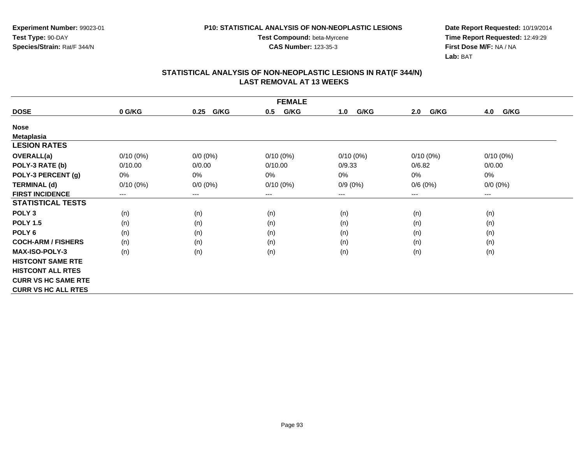**Experiment Number:** 99023-01**Test Type:** 90-DAY**Species/Strain:** Rat/F 344/N

**Test Compound:** beta-Myrcene**CAS Number:** 123-35-3

**Date Report Requested:** 10/19/2014 **Time Report Requested:** 12:49:29**First Dose M/F:** NA / NA**Lab:** BAT

| <b>FEMALE</b>              |             |                        |             |             |             |             |  |
|----------------------------|-------------|------------------------|-------------|-------------|-------------|-------------|--|
| <b>DOSE</b>                | 0 G/KG      | G/KG<br>0.25           | G/KG<br>0.5 | G/KG<br>1.0 | G/KG<br>2.0 | G/KG<br>4.0 |  |
| <b>Nose</b>                |             |                        |             |             |             |             |  |
| <b>Metaplasia</b>          |             |                        |             |             |             |             |  |
| <b>LESION RATES</b>        |             |                        |             |             |             |             |  |
| <b>OVERALL(a)</b>          | $0/10(0\%)$ | $0/0 (0\%)$            | $0/10(0\%)$ | $0/10(0\%)$ | $0/10(0\%)$ | $0/10(0\%)$ |  |
| POLY-3 RATE (b)            | 0/10.00     | 0/0.00                 | 0/10.00     | 0/9.33      | 0/6.82      | 0/0.00      |  |
| POLY-3 PERCENT (g)         | 0%          | 0%                     | 0%          | 0%          | 0%          | 0%          |  |
| <b>TERMINAL (d)</b>        | $0/10(0\%)$ | $0/0 (0\%)$            | $0/10(0\%)$ | $0/9(0\%)$  | 0/6(0%)     | $0/0 (0\%)$ |  |
| <b>FIRST INCIDENCE</b>     | ---         | $\qquad \qquad \cdots$ | $--$        | ---         | ---         | $--$        |  |
| <b>STATISTICAL TESTS</b>   |             |                        |             |             |             |             |  |
| POLY <sub>3</sub>          | (n)         | (n)                    | (n)         | (n)         | (n)         | (n)         |  |
| <b>POLY 1.5</b>            | (n)         | (n)                    | (n)         | (n)         | (n)         | (n)         |  |
| POLY <sub>6</sub>          | (n)         | (n)                    | (n)         | (n)         | (n)         | (n)         |  |
| <b>COCH-ARM / FISHERS</b>  | (n)         | (n)                    | (n)         | (n)         | (n)         | (n)         |  |
| <b>MAX-ISO-POLY-3</b>      | (n)         | (n)                    | (n)         | (n)         | (n)         | (n)         |  |
| <b>HISTCONT SAME RTE</b>   |             |                        |             |             |             |             |  |
| <b>HISTCONT ALL RTES</b>   |             |                        |             |             |             |             |  |
| <b>CURR VS HC SAME RTE</b> |             |                        |             |             |             |             |  |
| <b>CURR VS HC ALL RTES</b> |             |                        |             |             |             |             |  |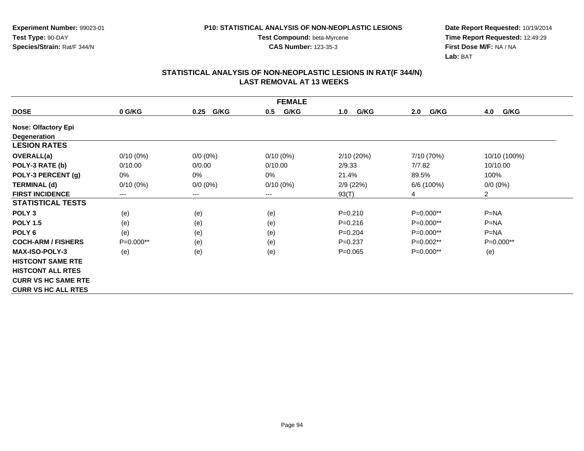**Test Compound:** beta-Myrcene**CAS Number:** 123-35-3

**Date Report Requested:** 10/19/2014 **Time Report Requested:** 12:49:29**First Dose M/F:** NA / NA**Lab:** BAT

| <b>FEMALE</b>              |             |              |             |             |             |                |  |  |
|----------------------------|-------------|--------------|-------------|-------------|-------------|----------------|--|--|
| <b>DOSE</b>                | 0 G/KG      | G/KG<br>0.25 | G/KG<br>0.5 | G/KG<br>1.0 | G/KG<br>2.0 | G/KG<br>4.0    |  |  |
| <b>Nose: Olfactory Epi</b> |             |              |             |             |             |                |  |  |
| Degeneration               |             |              |             |             |             |                |  |  |
| <b>LESION RATES</b>        |             |              |             |             |             |                |  |  |
| <b>OVERALL(a)</b>          | $0/10(0\%)$ | $0/0 (0\%)$  | $0/10(0\%)$ | 2/10(20%)   | 7/10 (70%)  | 10/10 (100%)   |  |  |
| POLY-3 RATE (b)            | 0/10.00     | 0/0.00       | 0/10.00     | 2/9.33      | 7/7.82      | 10/10.00       |  |  |
| POLY-3 PERCENT (g)         | 0%          | 0%           | 0%          | 21.4%       | 89.5%       | 100%           |  |  |
| <b>TERMINAL (d)</b>        | $0/10(0\%)$ | $0/0 (0\%)$  | $0/10(0\%)$ | 2/9(22%)    | 6/6 (100%)  | $0/0 (0\%)$    |  |  |
| <b>FIRST INCIDENCE</b>     | $---$       | $---$        | ---         | 93(T)       | 4           | $\overline{2}$ |  |  |
| <b>STATISTICAL TESTS</b>   |             |              |             |             |             |                |  |  |
| POLY <sub>3</sub>          | (e)         | (e)          | (e)         | $P = 0.210$ | $P=0.000**$ | $P = NA$       |  |  |
| <b>POLY 1.5</b>            | (e)         | (e)          | (e)         | $P=0.216$   | P=0.000**   | $P=NA$         |  |  |
| POLY <sub>6</sub>          | (e)         | (e)          | (e)         | $P=0.204$   | P=0.000**   | $P = NA$       |  |  |
| <b>COCH-ARM / FISHERS</b>  | $P=0.000**$ | (e)          | (e)         | $P=0.237$   | P=0.002**   | $P=0.000**$    |  |  |
| <b>MAX-ISO-POLY-3</b>      | (e)         | (e)          | (e)         | $P=0.065$   | $P=0.000**$ | (e)            |  |  |
| <b>HISTCONT SAME RTE</b>   |             |              |             |             |             |                |  |  |
| <b>HISTCONT ALL RTES</b>   |             |              |             |             |             |                |  |  |
| <b>CURR VS HC SAME RTE</b> |             |              |             |             |             |                |  |  |
| <b>CURR VS HC ALL RTES</b> |             |              |             |             |             |                |  |  |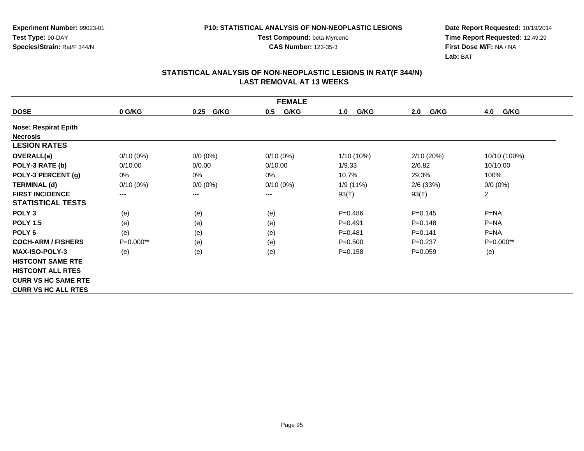**Date Report Requested:** 10/19/2014 **Time Report Requested:** 12:49:29**First Dose M/F:** NA / NA**Lab:** BAT

### **STATISTICAL ANALYSIS OF NON-NEOPLASTIC LESIONS IN RAT(F 344/N) LAST REMOVAL AT 13 WEEKS**

**Test Compound:** beta-Myrcene**CAS Number:** 123-35-3

|                             | <b>FEMALE</b> |              |             |             |             |                |  |  |  |
|-----------------------------|---------------|--------------|-------------|-------------|-------------|----------------|--|--|--|
| <b>DOSE</b>                 | 0 G/KG        | G/KG<br>0.25 | 0.5<br>G/KG | G/KG<br>1.0 | G/KG<br>2.0 | G/KG<br>4.0    |  |  |  |
| <b>Nose: Respirat Epith</b> |               |              |             |             |             |                |  |  |  |
| <b>Necrosis</b>             |               |              |             |             |             |                |  |  |  |
| <b>LESION RATES</b>         |               |              |             |             |             |                |  |  |  |
| OVERALL(a)                  | $0/10(0\%)$   | $0/0 (0\%)$  | $0/10(0\%)$ | 1/10 (10%)  | 2/10 (20%)  | 10/10 (100%)   |  |  |  |
| POLY-3 RATE (b)             | 0/10.00       | 0/0.00       | 0/10.00     | 1/9.33      | 2/6.82      | 10/10.00       |  |  |  |
| POLY-3 PERCENT (g)          | 0%            | $0\%$        | 0%          | 10.7%       | 29.3%       | 100%           |  |  |  |
| <b>TERMINAL (d)</b>         | $0/10(0\%)$   | $0/0 (0\%)$  | $0/10(0\%)$ | 1/9 (11%)   | $2/6$ (33%) | $0/0 (0\%)$    |  |  |  |
| <b>FIRST INCIDENCE</b>      | $---$         | $---$        | ---         | 93(T)       | 93(T)       | $\overline{2}$ |  |  |  |
| <b>STATISTICAL TESTS</b>    |               |              |             |             |             |                |  |  |  |
| POLY <sub>3</sub>           | (e)           | (e)          | (e)         | $P = 0.486$ | $P = 0.145$ | $P = NA$       |  |  |  |
| <b>POLY 1.5</b>             | (e)           | (e)          | (e)         | $P = 0.491$ | $P = 0.148$ | $P = NA$       |  |  |  |
| POLY <sub>6</sub>           | (e)           | (e)          | (e)         | $P = 0.481$ | $P = 0.141$ | $P = NA$       |  |  |  |
| <b>COCH-ARM / FISHERS</b>   | $P=0.000**$   | (e)          | (e)         | $P = 0.500$ | $P=0.237$   | $P=0.000**$    |  |  |  |
| <b>MAX-ISO-POLY-3</b>       | (e)           | (e)          | (e)         | $P = 0.158$ | $P = 0.059$ | (e)            |  |  |  |
| <b>HISTCONT SAME RTE</b>    |               |              |             |             |             |                |  |  |  |
| <b>HISTCONT ALL RTES</b>    |               |              |             |             |             |                |  |  |  |
| <b>CURR VS HC SAME RTE</b>  |               |              |             |             |             |                |  |  |  |
| <b>CURR VS HC ALL RTES</b>  |               |              |             |             |             |                |  |  |  |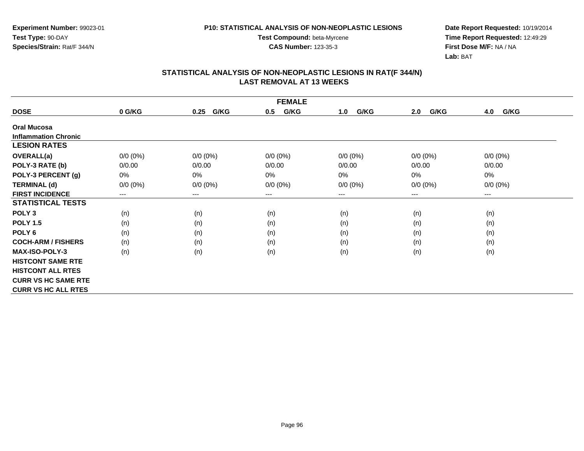**Test Compound:** beta-Myrcene**CAS Number:** 123-35-3

**Date Report Requested:** 10/19/2014 **Time Report Requested:** 12:49:29**First Dose M/F:** NA / NA**Lab:** BAT

| <b>FEMALE</b>               |                            |              |             |             |             |             |  |  |
|-----------------------------|----------------------------|--------------|-------------|-------------|-------------|-------------|--|--|
| <b>DOSE</b>                 | 0 G/KG                     | G/KG<br>0.25 | G/KG<br>0.5 | G/KG<br>1.0 | G/KG<br>2.0 | 4.0<br>G/KG |  |  |
| <b>Oral Mucosa</b>          |                            |              |             |             |             |             |  |  |
| <b>Inflammation Chronic</b> |                            |              |             |             |             |             |  |  |
| <b>LESION RATES</b>         |                            |              |             |             |             |             |  |  |
| <b>OVERALL(a)</b>           | $0/0 (0\%)$                | $0/0 (0\%)$  | $0/0 (0\%)$ | $0/0 (0\%)$ | $0/0 (0\%)$ | $0/0 (0\%)$ |  |  |
| POLY-3 RATE (b)             | 0/0.00                     | 0/0.00       | 0/0.00      | 0/0.00      | 0/0.00      | 0/0.00      |  |  |
| POLY-3 PERCENT (g)          | 0%                         | 0%           | 0%          | 0%          | 0%          | 0%          |  |  |
| <b>TERMINAL (d)</b>         | $0/0 (0\%)$                | $0/0 (0\%)$  | $0/0 (0\%)$ | $0/0 (0\%)$ | $0/0 (0\%)$ | $0/0 (0\%)$ |  |  |
| <b>FIRST INCIDENCE</b>      | $\qquad \qquad - \qquad -$ | $---$        | ---         | $---$       | $---$       | $--$        |  |  |
| <b>STATISTICAL TESTS</b>    |                            |              |             |             |             |             |  |  |
| POLY <sub>3</sub>           | (n)                        | (n)          | (n)         | (n)         | (n)         | (n)         |  |  |
| <b>POLY 1.5</b>             | (n)                        | (n)          | (n)         | (n)         | (n)         | (n)         |  |  |
| POLY <sub>6</sub>           | (n)                        | (n)          | (n)         | (n)         | (n)         | (n)         |  |  |
| <b>COCH-ARM / FISHERS</b>   | (n)                        | (n)          | (n)         | (n)         | (n)         | (n)         |  |  |
| <b>MAX-ISO-POLY-3</b>       | (n)                        | (n)          | (n)         | (n)         | (n)         | (n)         |  |  |
| <b>HISTCONT SAME RTE</b>    |                            |              |             |             |             |             |  |  |
| <b>HISTCONT ALL RTES</b>    |                            |              |             |             |             |             |  |  |
| <b>CURR VS HC SAME RTE</b>  |                            |              |             |             |             |             |  |  |
| <b>CURR VS HC ALL RTES</b>  |                            |              |             |             |             |             |  |  |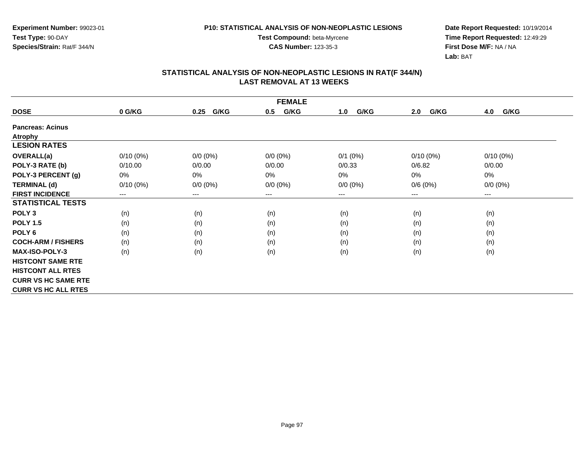**Test Compound:** beta-Myrcene**CAS Number:** 123-35-3

**Date Report Requested:** 10/19/2014 **Time Report Requested:** 12:49:29**First Dose M/F:** NA / NA**Lab:** BAT

|                            | <b>FEMALE</b>              |              |             |             |             |             |  |
|----------------------------|----------------------------|--------------|-------------|-------------|-------------|-------------|--|
| <b>DOSE</b>                | 0 G/KG                     | G/KG<br>0.25 | G/KG<br>0.5 | G/KG<br>1.0 | G/KG<br>2.0 | G/KG<br>4.0 |  |
| <b>Pancreas: Acinus</b>    |                            |              |             |             |             |             |  |
| <b>Atrophy</b>             |                            |              |             |             |             |             |  |
| <b>LESION RATES</b>        |                            |              |             |             |             |             |  |
| <b>OVERALL(a)</b>          | $0/10(0\%)$                | $0/0 (0\%)$  | $0/0 (0\%)$ | $0/1$ (0%)  | $0/10(0\%)$ | $0/10(0\%)$ |  |
| POLY-3 RATE (b)            | 0/10.00                    | 0/0.00       | 0/0.00      | 0/0.33      | 0/6.82      | 0/0.00      |  |
| POLY-3 PERCENT (g)         | 0%                         | 0%           | $0\%$       | 0%          | 0%          | 0%          |  |
| <b>TERMINAL (d)</b>        | $0/10(0\%)$                | $0/0 (0\%)$  | $0/0 (0\%)$ | $0/0 (0\%)$ | 0/6(0%)     | $0/0 (0\%)$ |  |
| <b>FIRST INCIDENCE</b>     | $\qquad \qquad - \qquad -$ | $--$         | ---         | ---         | $---$       | $--$        |  |
| <b>STATISTICAL TESTS</b>   |                            |              |             |             |             |             |  |
| POLY <sub>3</sub>          | (n)                        | (n)          | (n)         | (n)         | (n)         | (n)         |  |
| <b>POLY 1.5</b>            | (n)                        | (n)          | (n)         | (n)         | (n)         | (n)         |  |
| POLY <sub>6</sub>          | (n)                        | (n)          | (n)         | (n)         | (n)         | (n)         |  |
| <b>COCH-ARM / FISHERS</b>  | (n)                        | (n)          | (n)         | (n)         | (n)         | (n)         |  |
| <b>MAX-ISO-POLY-3</b>      | (n)                        | (n)          | (n)         | (n)         | (n)         | (n)         |  |
| <b>HISTCONT SAME RTE</b>   |                            |              |             |             |             |             |  |
| <b>HISTCONT ALL RTES</b>   |                            |              |             |             |             |             |  |
| <b>CURR VS HC SAME RTE</b> |                            |              |             |             |             |             |  |
| <b>CURR VS HC ALL RTES</b> |                            |              |             |             |             |             |  |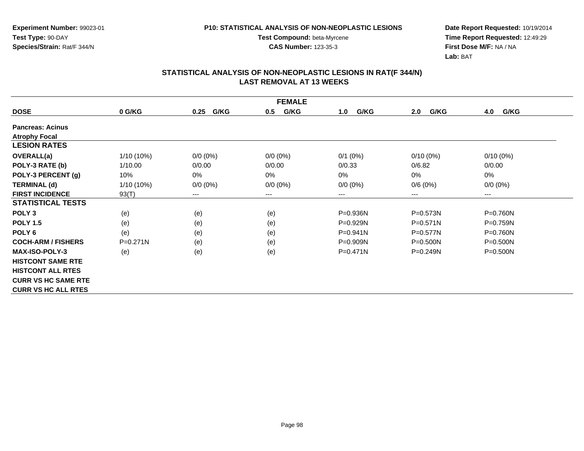**Date Report Requested:** 10/19/2014 **Time Report Requested:** 12:49:29**First Dose M/F:** NA / NA**Lab:** BAT

| <b>FEMALE</b>              |              |              |             |              |              |              |
|----------------------------|--------------|--------------|-------------|--------------|--------------|--------------|
| <b>DOSE</b>                | 0 G/KG       | G/KG<br>0.25 | G/KG<br>0.5 | G/KG<br>1.0  | G/KG<br>2.0  | G/KG<br>4.0  |
| <b>Pancreas: Acinus</b>    |              |              |             |              |              |              |
| <b>Atrophy Focal</b>       |              |              |             |              |              |              |
| <b>LESION RATES</b>        |              |              |             |              |              |              |
| <b>OVERALL(a)</b>          | $1/10(10\%)$ | $0/0 (0\%)$  | $0/0 (0\%)$ | $0/1$ (0%)   | $0/10(0\%)$  | $0/10(0\%)$  |
| POLY-3 RATE (b)            | 1/10.00      | 0/0.00       | 0/0.00      | 0/0.33       | 0/6.82       | 0/0.00       |
| POLY-3 PERCENT (g)         | 10%          | 0%           | $0\%$       | $0\%$        | 0%           | 0%           |
| <b>TERMINAL (d)</b>        | $1/10(10\%)$ | $0/0 (0\%)$  | $0/0 (0\%)$ | $0/0 (0\%)$  | 0/6(0%)      | $0/0 (0\%)$  |
| <b>FIRST INCIDENCE</b>     | 93(T)        | $--$         | ---         | ---          | ---          | $---$        |
| <b>STATISTICAL TESTS</b>   |              |              |             |              |              |              |
| POLY <sub>3</sub>          | (e)          | (e)          | (e)         | $P = 0.936N$ | $P = 0.573N$ | P=0.760N     |
| <b>POLY 1.5</b>            | (e)          | (e)          | (e)         | $P=0.929N$   | $P=0.571N$   | $P = 0.759N$ |
| POLY <sub>6</sub>          | (e)          | (e)          | (e)         | $P = 0.941N$ | $P = 0.577N$ | P=0.760N     |
| <b>COCH-ARM / FISHERS</b>  | $P = 0.271N$ | (e)          | (e)         | $P = 0.909N$ | $P = 0.500N$ | $P = 0.500N$ |
| <b>MAX-ISO-POLY-3</b>      | (e)          | (e)          | (e)         | $P = 0.471N$ | P=0.249N     | $P = 0.500N$ |
| <b>HISTCONT SAME RTE</b>   |              |              |             |              |              |              |
| <b>HISTCONT ALL RTES</b>   |              |              |             |              |              |              |
| <b>CURR VS HC SAME RTE</b> |              |              |             |              |              |              |
| <b>CURR VS HC ALL RTES</b> |              |              |             |              |              |              |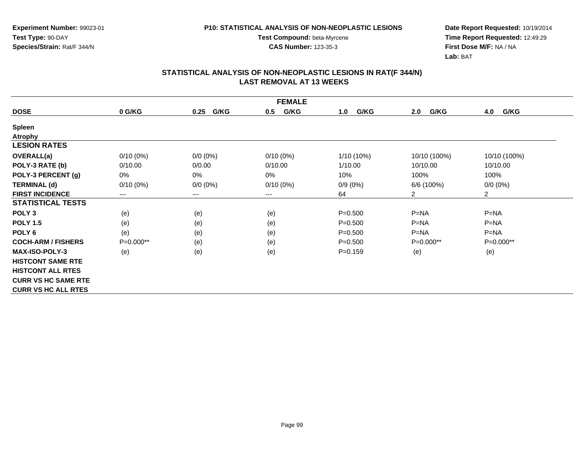**Date Report Requested:** 10/19/2014 **Time Report Requested:** 12:49:29**First Dose M/F:** NA / NA**Lab:** BAT

|                            | <b>FEMALE</b>          |                        |             |             |                |                |  |
|----------------------------|------------------------|------------------------|-------------|-------------|----------------|----------------|--|
| <b>DOSE</b>                | 0 G/KG                 | G/KG<br>0.25           | G/KG<br>0.5 | G/KG<br>1.0 | G/KG<br>2.0    | G/KG<br>4.0    |  |
| <b>Spleen</b>              |                        |                        |             |             |                |                |  |
| <b>Atrophy</b>             |                        |                        |             |             |                |                |  |
| <b>LESION RATES</b>        |                        |                        |             |             |                |                |  |
| <b>OVERALL(a)</b>          | $0/10(0\%)$            | $0/0 (0\%)$            | $0/10(0\%)$ | 1/10 (10%)  | 10/10 (100%)   | 10/10 (100%)   |  |
| POLY-3 RATE (b)            | 0/10.00                | 0/0.00                 | 0/10.00     | 1/10.00     | 10/10.00       | 10/10.00       |  |
| POLY-3 PERCENT (g)         | 0%                     | $0\%$                  | 0%          | 10%         | 100%           | 100%           |  |
| <b>TERMINAL (d)</b>        | $0/10(0\%)$            | $0/0 (0\%)$            | $0/10(0\%)$ | $0/9(0\%)$  | 6/6 (100%)     | $0/0 (0\%)$    |  |
| <b>FIRST INCIDENCE</b>     | $\qquad \qquad \cdots$ | $\qquad \qquad \cdots$ | ---         | 64          | $\overline{2}$ | $\overline{2}$ |  |
| <b>STATISTICAL TESTS</b>   |                        |                        |             |             |                |                |  |
| POLY <sub>3</sub>          | (e)                    | (e)                    | (e)         | $P = 0.500$ | $P = NA$       | $P = NA$       |  |
| <b>POLY 1.5</b>            | (e)                    | (e)                    | (e)         | $P = 0.500$ | $P = NA$       | $P=NA$         |  |
| POLY <sub>6</sub>          | (e)                    | (e)                    | (e)         | $P = 0.500$ | $P=NA$         | $P = NA$       |  |
| <b>COCH-ARM / FISHERS</b>  | P=0.000**              | (e)                    | (e)         | $P = 0.500$ | P=0.000**      | P=0.000**      |  |
| <b>MAX-ISO-POLY-3</b>      | (e)                    | (e)                    | (e)         | $P=0.159$   | (e)            | (e)            |  |
| <b>HISTCONT SAME RTE</b>   |                        |                        |             |             |                |                |  |
| <b>HISTCONT ALL RTES</b>   |                        |                        |             |             |                |                |  |
| <b>CURR VS HC SAME RTE</b> |                        |                        |             |             |                |                |  |
| <b>CURR VS HC ALL RTES</b> |                        |                        |             |             |                |                |  |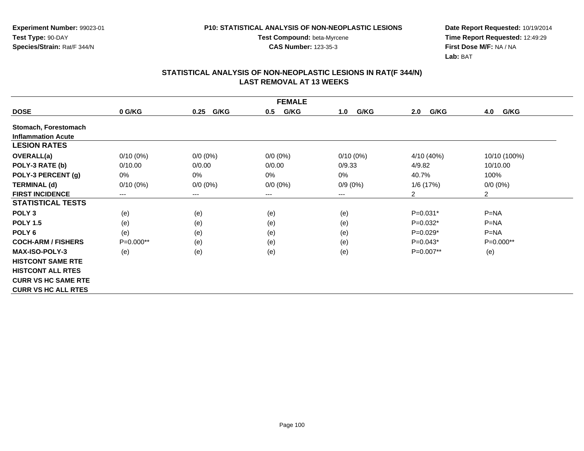**Date Report Requested:** 10/19/2014 **Time Report Requested:** 12:49:29**First Dose M/F:** NA / NA**Lab:** BAT

## **STATISTICAL ANALYSIS OF NON-NEOPLASTIC LESIONS IN RAT(F 344/N) LAST REMOVAL AT 13 WEEKS**

**Test Compound:** beta-Myrcene**CAS Number:** 123-35-3

|                            |             |              | <b>FEMALE</b> |             |             |                |
|----------------------------|-------------|--------------|---------------|-------------|-------------|----------------|
| <b>DOSE</b>                | 0 G/KG      | G/KG<br>0.25 | G/KG<br>0.5   | G/KG<br>1.0 | G/KG<br>2.0 | G/KG<br>4.0    |
| Stomach, Forestomach       |             |              |               |             |             |                |
| <b>Inflammation Acute</b>  |             |              |               |             |             |                |
| <b>LESION RATES</b>        |             |              |               |             |             |                |
| OVERALL(a)                 | $0/10(0\%)$ | $0/0 (0\%)$  | $0/0 (0\%)$   | $0/10(0\%)$ | 4/10 (40%)  | 10/10 (100%)   |
| POLY-3 RATE (b)            | 0/10.00     | 0/0.00       | 0/0.00        | 0/9.33      | 4/9.82      | 10/10.00       |
| POLY-3 PERCENT (g)         | 0%          | 0%           | 0%            | $0\%$       | 40.7%       | 100%           |
| <b>TERMINAL (d)</b>        | $0/10(0\%)$ | $0/0 (0\%)$  | $0/0 (0\%)$   | $0/9(0\%)$  | 1/6 (17%)   | $0/0 (0\%)$    |
| <b>FIRST INCIDENCE</b>     | $---$       | $---$        | ---           | ---         | 2           | $\overline{2}$ |
| <b>STATISTICAL TESTS</b>   |             |              |               |             |             |                |
| POLY <sub>3</sub>          | (e)         | (e)          | (e)           | (e)         | $P=0.031*$  | $P = NA$       |
| <b>POLY 1.5</b>            | (e)         | (e)          | (e)           | (e)         | $P=0.032*$  | $P = NA$       |
| POLY <sub>6</sub>          | (e)         | (e)          | (e)           | (e)         | $P=0.029*$  | $P = NA$       |
| <b>COCH-ARM / FISHERS</b>  | $P=0.000**$ | (e)          | (e)           | (e)         | $P=0.043*$  | $P=0.000**$    |
| <b>MAX-ISO-POLY-3</b>      | (e)         | (e)          | (e)           | (e)         | $P=0.007**$ | (e)            |
| <b>HISTCONT SAME RTE</b>   |             |              |               |             |             |                |
| <b>HISTCONT ALL RTES</b>   |             |              |               |             |             |                |
| <b>CURR VS HC SAME RTE</b> |             |              |               |             |             |                |
| <b>CURR VS HC ALL RTES</b> |             |              |               |             |             |                |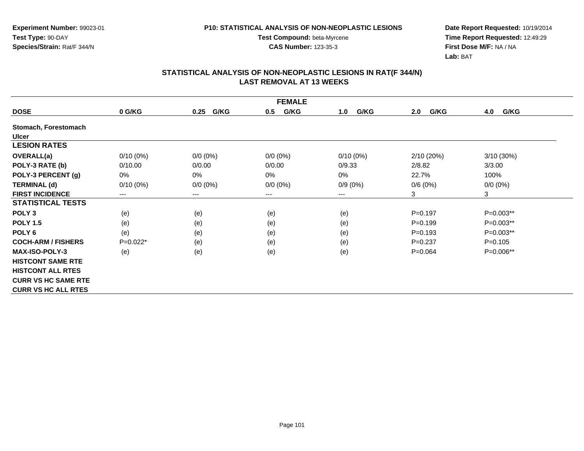**Test Compound:** beta-Myrcene**CAS Number:** 123-35-3

**Date Report Requested:** 10/19/2014 **Time Report Requested:** 12:49:29**First Dose M/F:** NA / NA**Lab:** BAT

|                            |             |              | <b>FEMALE</b> |             |             |              |
|----------------------------|-------------|--------------|---------------|-------------|-------------|--------------|
| <b>DOSE</b>                | 0 G/KG      | G/KG<br>0.25 | G/KG<br>0.5   | G/KG<br>1.0 | G/KG<br>2.0 | 4.0<br>G/KG  |
| Stomach, Forestomach       |             |              |               |             |             |              |
| <b>Ulcer</b>               |             |              |               |             |             |              |
| <b>LESION RATES</b>        |             |              |               |             |             |              |
| <b>OVERALL(a)</b>          | $0/10(0\%)$ | $0/0 (0\%)$  | $0/0 (0\%)$   | $0/10(0\%)$ | 2/10(20%)   | $3/10(30\%)$ |
| POLY-3 RATE (b)            | 0/10.00     | 0/0.00       | 0/0.00        | 0/9.33      | 2/8.82      | 3/3.00       |
| POLY-3 PERCENT (g)         | 0%          | 0%           | 0%            | 0%          | 22.7%       | 100%         |
| <b>TERMINAL (d)</b>        | $0/10(0\%)$ | $0/0 (0\%)$  | $0/0 (0\%)$   | $0/9(0\%)$  | 0/6(0%)     | $0/0 (0\%)$  |
| <b>FIRST INCIDENCE</b>     | $---$       | ---          | ---           | ---         | 3           | 3            |
| <b>STATISTICAL TESTS</b>   |             |              |               |             |             |              |
| POLY <sub>3</sub>          | (e)         | (e)          | (e)           | (e)         | $P = 0.197$ | P=0.003**    |
| <b>POLY 1.5</b>            | (e)         | (e)          | (e)           | (e)         | $P = 0.199$ | P=0.003**    |
| POLY <sub>6</sub>          | (e)         | (e)          | (e)           | (e)         | $P = 0.193$ | P=0.003**    |
| <b>COCH-ARM / FISHERS</b>  | $P=0.022*$  | (e)          | (e)           | (e)         | $P=0.237$   | $P = 0.105$  |
| <b>MAX-ISO-POLY-3</b>      | (e)         | (e)          | (e)           | (e)         | $P = 0.064$ | P=0.006**    |
| <b>HISTCONT SAME RTE</b>   |             |              |               |             |             |              |
| <b>HISTCONT ALL RTES</b>   |             |              |               |             |             |              |
| <b>CURR VS HC SAME RTE</b> |             |              |               |             |             |              |
| <b>CURR VS HC ALL RTES</b> |             |              |               |             |             |              |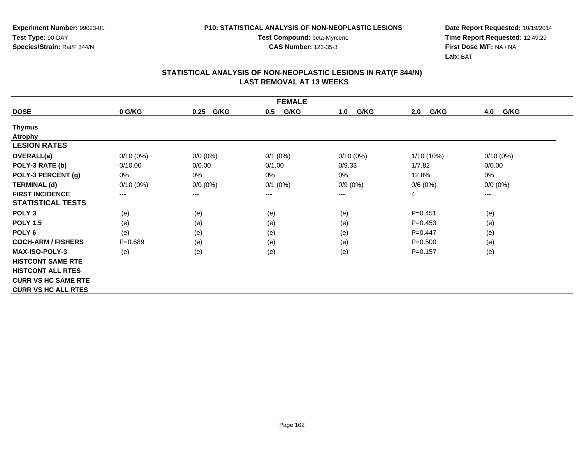**Date Report Requested:** 10/19/2014 **Time Report Requested:** 12:49:29**First Dose M/F:** NA / NA**Lab:** BAT

|                            | <b>FEMALE</b>          |              |              |             |             |             |  |
|----------------------------|------------------------|--------------|--------------|-------------|-------------|-------------|--|
| <b>DOSE</b>                | 0 G/KG                 | G/KG<br>0.25 | G/KG<br>0.5  | G/KG<br>1.0 | G/KG<br>2.0 | G/KG<br>4.0 |  |
| <b>Thymus</b>              |                        |              |              |             |             |             |  |
| <b>Atrophy</b>             |                        |              |              |             |             |             |  |
| <b>LESION RATES</b>        |                        |              |              |             |             |             |  |
| <b>OVERALL(a)</b>          | $0/10(0\%)$            | $0/0 (0\%)$  | $0/1$ $(0%)$ | $0/10(0\%)$ | 1/10 (10%)  | $0/10(0\%)$ |  |
| POLY-3 RATE (b)            | 0/10.00                | 0/0.00       | 0/1.00       | 0/9.33      | 1/7.82      | 0/0.00      |  |
| POLY-3 PERCENT (g)         | 0%                     | 0%           | 0%           | 0%          | 12.8%       | 0%          |  |
| <b>TERMINAL (d)</b>        | $0/10(0\%)$            | $0/0 (0\%)$  | $0/1$ $(0%)$ | $0/9(0\%)$  | 0/6(0%)     | $0/0 (0\%)$ |  |
| <b>FIRST INCIDENCE</b>     | $\qquad \qquad \cdots$ | $\cdots$     | $---$        | ---         | 4           | $---$       |  |
| <b>STATISTICAL TESTS</b>   |                        |              |              |             |             |             |  |
| POLY <sub>3</sub>          | (e)                    | (e)          | (e)          | (e)         | $P = 0.451$ | (e)         |  |
| <b>POLY 1.5</b>            | (e)                    | (e)          | (e)          | (e)         | $P=0.453$   | (e)         |  |
| POLY <sub>6</sub>          | (e)                    | (e)          | (e)          | (e)         | $P=0.447$   | (e)         |  |
| <b>COCH-ARM / FISHERS</b>  | $P = 0.689$            | (e)          | (e)          | (e)         | $P = 0.500$ | (e)         |  |
| <b>MAX-ISO-POLY-3</b>      | (e)                    | (e)          | (e)          | (e)         | $P=0.157$   | (e)         |  |
| <b>HISTCONT SAME RTE</b>   |                        |              |              |             |             |             |  |
| <b>HISTCONT ALL RTES</b>   |                        |              |              |             |             |             |  |
| <b>CURR VS HC SAME RTE</b> |                        |              |              |             |             |             |  |
| <b>CURR VS HC ALL RTES</b> |                        |              |              |             |             |             |  |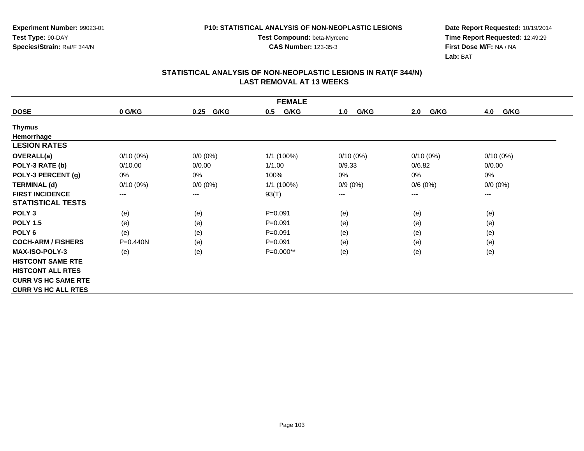**Date Report Requested:** 10/19/2014 **Time Report Requested:** 12:49:29**First Dose M/F:** NA / NA**Lab:** BAT

|                            | <b>FEMALE</b> |              |              |             |             |             |  |
|----------------------------|---------------|--------------|--------------|-------------|-------------|-------------|--|
| <b>DOSE</b>                | 0 G/KG        | G/KG<br>0.25 | G/KG<br>0.5  | G/KG<br>1.0 | G/KG<br>2.0 | 4.0<br>G/KG |  |
| <b>Thymus</b>              |               |              |              |             |             |             |  |
| Hemorrhage                 |               |              |              |             |             |             |  |
| <b>LESION RATES</b>        |               |              |              |             |             |             |  |
| <b>OVERALL(a)</b>          | $0/10(0\%)$   | $0/0 (0\%)$  | $1/1$ (100%) | $0/10(0\%)$ | $0/10(0\%)$ | $0/10(0\%)$ |  |
| POLY-3 RATE (b)            | 0/10.00       | 0/0.00       | 1/1.00       | 0/9.33      | 0/6.82      | 0/0.00      |  |
| POLY-3 PERCENT (g)         | 0%            | 0%           | 100%         | 0%          | 0%          | 0%          |  |
| <b>TERMINAL (d)</b>        | $0/10(0\%)$   | $0/0 (0\%)$  | 1/1 (100%)   | $0/9(0\%)$  | 0/6(0%)     | $0/0 (0\%)$ |  |
| <b>FIRST INCIDENCE</b>     | $\cdots$      | $---$        | 93(T)        | ---         | $---$       | $---$       |  |
| <b>STATISTICAL TESTS</b>   |               |              |              |             |             |             |  |
| POLY <sub>3</sub>          | (e)           | (e)          | $P = 0.091$  | (e)         | (e)         | (e)         |  |
| <b>POLY 1.5</b>            | (e)           | (e)          | $P = 0.091$  | (e)         | (e)         | (e)         |  |
| POLY <sub>6</sub>          | (e)           | (e)          | $P = 0.091$  | (e)         | (e)         | (e)         |  |
| <b>COCH-ARM / FISHERS</b>  | $P = 0.440N$  | (e)          | $P = 0.091$  | (e)         | (e)         | (e)         |  |
| <b>MAX-ISO-POLY-3</b>      | (e)           | (e)          | P=0.000**    | (e)         | (e)         | (e)         |  |
| <b>HISTCONT SAME RTE</b>   |               |              |              |             |             |             |  |
| <b>HISTCONT ALL RTES</b>   |               |              |              |             |             |             |  |
| <b>CURR VS HC SAME RTE</b> |               |              |              |             |             |             |  |
| <b>CURR VS HC ALL RTES</b> |               |              |              |             |             |             |  |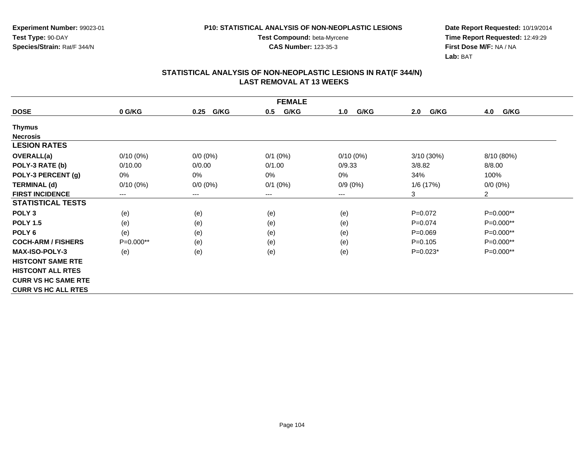**Date Report Requested:** 10/19/2014 **Time Report Requested:** 12:49:29**First Dose M/F:** NA / NA**Lab:** BAT

|                            | <b>FEMALE</b> |                        |              |             |             |                |  |
|----------------------------|---------------|------------------------|--------------|-------------|-------------|----------------|--|
| <b>DOSE</b>                | 0 G/KG        | G/KG<br>0.25           | G/KG<br>0.5  | G/KG<br>1.0 | G/KG<br>2.0 | 4.0<br>G/KG    |  |
| <b>Thymus</b>              |               |                        |              |             |             |                |  |
| <b>Necrosis</b>            |               |                        |              |             |             |                |  |
| <b>LESION RATES</b>        |               |                        |              |             |             |                |  |
| <b>OVERALL(a)</b>          | $0/10(0\%)$   | $0/0 (0\%)$            | $0/1$ $(0%)$ | $0/10(0\%)$ | 3/10(30%)   | 8/10 (80%)     |  |
| POLY-3 RATE (b)            | 0/10.00       | 0/0.00                 | 0/1.00       | 0/9.33      | 3/8.82      | 8/8.00         |  |
| POLY-3 PERCENT (g)         | 0%            | $0\%$                  | $0\%$        | $0\%$       | 34%         | 100%           |  |
| <b>TERMINAL (d)</b>        | $0/10(0\%)$   | $0/0 (0\%)$            | $0/1$ $(0%)$ | $0/9(0\%)$  | 1/6 (17%)   | $0/0(0\%)$     |  |
| <b>FIRST INCIDENCE</b>     | ---           | $\qquad \qquad \cdots$ | ---          | ---         | 3           | $\overline{2}$ |  |
| <b>STATISTICAL TESTS</b>   |               |                        |              |             |             |                |  |
| POLY <sub>3</sub>          | (e)           | (e)                    | (e)          | (e)         | $P=0.072$   | P=0.000**      |  |
| <b>POLY 1.5</b>            | (e)           | (e)                    | (e)          | (e)         | $P=0.074$   | P=0.000**      |  |
| POLY <sub>6</sub>          | (e)           | (e)                    | (e)          | (e)         | $P = 0.069$ | P=0.000**      |  |
| <b>COCH-ARM / FISHERS</b>  | $P=0.000**$   | (e)                    | (e)          | (e)         | $P=0.105$   | $P=0.000**$    |  |
| <b>MAX-ISO-POLY-3</b>      | (e)           | (e)                    | (e)          | (e)         | $P=0.023*$  | $P=0.000**$    |  |
| <b>HISTCONT SAME RTE</b>   |               |                        |              |             |             |                |  |
| <b>HISTCONT ALL RTES</b>   |               |                        |              |             |             |                |  |
| <b>CURR VS HC SAME RTE</b> |               |                        |              |             |             |                |  |
| <b>CURR VS HC ALL RTES</b> |               |                        |              |             |             |                |  |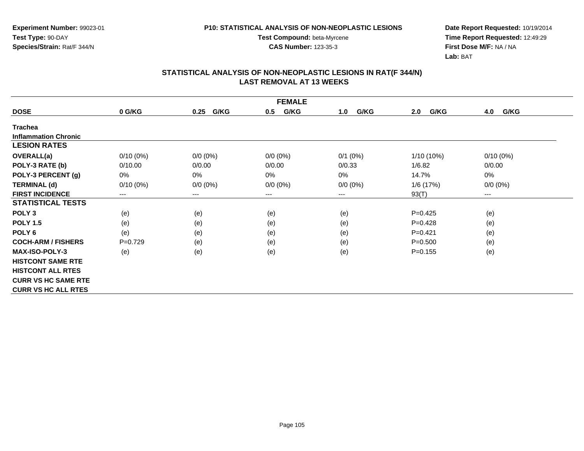**Test Compound:** beta-Myrcene**CAS Number:** 123-35-3

**Date Report Requested:** 10/19/2014 **Time Report Requested:** 12:49:29**First Dose M/F:** NA / NA**Lab:** BAT

|                             | <b>FEMALE</b> |              |             |             |              |                        |  |
|-----------------------------|---------------|--------------|-------------|-------------|--------------|------------------------|--|
| <b>DOSE</b>                 | 0 G/KG        | G/KG<br>0.25 | G/KG<br>0.5 | G/KG<br>1.0 | G/KG<br>2.0  | G/KG<br>4.0            |  |
| <b>Trachea</b>              |               |              |             |             |              |                        |  |
| <b>Inflammation Chronic</b> |               |              |             |             |              |                        |  |
| <b>LESION RATES</b>         |               |              |             |             |              |                        |  |
| <b>OVERALL(a)</b>           | $0/10(0\%)$   | $0/0 (0\%)$  | $0/0 (0\%)$ | $0/1$ (0%)  | $1/10(10\%)$ | $0/10(0\%)$            |  |
| POLY-3 RATE (b)             | 0/10.00       | 0/0.00       | 0/0.00      | 0/0.33      | 1/6.82       | 0/0.00                 |  |
| POLY-3 PERCENT (g)          | 0%            | $0\%$        | 0%          | 0%          | 14.7%        | 0%                     |  |
| <b>TERMINAL (d)</b>         | $0/10(0\%)$   | $0/0 (0\%)$  | $0/0 (0\%)$ | $0/0 (0\%)$ | 1/6 (17%)    | $0/0 (0\%)$            |  |
| <b>FIRST INCIDENCE</b>      | $---$         | $---$        | ---         | ---         | 93(T)        | $\qquad \qquad \cdots$ |  |
| <b>STATISTICAL TESTS</b>    |               |              |             |             |              |                        |  |
| POLY <sub>3</sub>           | (e)           | (e)          | (e)         | (e)         | $P=0.425$    | (e)                    |  |
| <b>POLY 1.5</b>             | (e)           | (e)          | (e)         | (e)         | $P=0.428$    | (e)                    |  |
| POLY <sub>6</sub>           | (e)           | (e)          | (e)         | (e)         | $P = 0.421$  | (e)                    |  |
| <b>COCH-ARM / FISHERS</b>   | $P=0.729$     | (e)          | (e)         | (e)         | $P = 0.500$  | (e)                    |  |
| <b>MAX-ISO-POLY-3</b>       | (e)           | (e)          | (e)         | (e)         | $P = 0.155$  | (e)                    |  |
| <b>HISTCONT SAME RTE</b>    |               |              |             |             |              |                        |  |
| <b>HISTCONT ALL RTES</b>    |               |              |             |             |              |                        |  |
| <b>CURR VS HC SAME RTE</b>  |               |              |             |             |              |                        |  |
| <b>CURR VS HC ALL RTES</b>  |               |              |             |             |              |                        |  |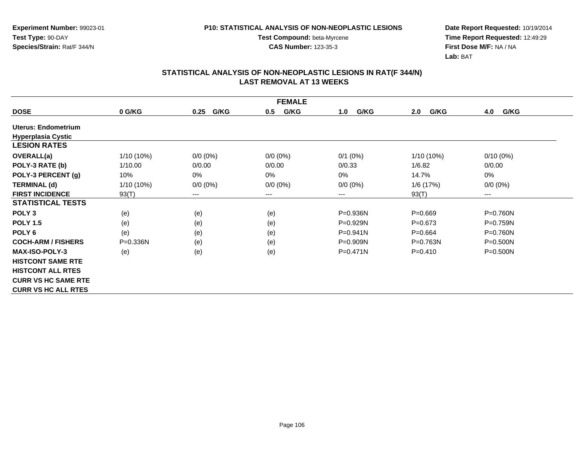**Test Compound:** beta-Myrcene**CAS Number:** 123-35-3

**Date Report Requested:** 10/19/2014 **Time Report Requested:** 12:49:29**First Dose M/F:** NA / NA**Lab:** BAT

|                            | <b>FEMALE</b> |              |             |              |              |              |  |  |
|----------------------------|---------------|--------------|-------------|--------------|--------------|--------------|--|--|
| <b>DOSE</b>                | 0 G/KG        | G/KG<br>0.25 | G/KG<br>0.5 | G/KG<br>1.0  | G/KG<br>2.0  | G/KG<br>4.0  |  |  |
| Uterus: Endometrium        |               |              |             |              |              |              |  |  |
| <b>Hyperplasia Cystic</b>  |               |              |             |              |              |              |  |  |
| <b>LESION RATES</b>        |               |              |             |              |              |              |  |  |
| <b>OVERALL(a)</b>          | $1/10(10\%)$  | $0/0 (0\%)$  | $0/0 (0\%)$ | $0/1$ (0%)   | 1/10 (10%)   | $0/10(0\%)$  |  |  |
| POLY-3 RATE (b)            | 1/10.00       | 0/0.00       | 0/0.00      | 0/0.33       | 1/6.82       | 0/0.00       |  |  |
| POLY-3 PERCENT (g)         | 10%           | $0\%$        | 0%          | $0\%$        | 14.7%        | 0%           |  |  |
| <b>TERMINAL (d)</b>        | $1/10(10\%)$  | $0/0 (0\%)$  | $0/0 (0\%)$ | $0/0 (0\%)$  | 1/6(17%)     | $0/0 (0\%)$  |  |  |
| <b>FIRST INCIDENCE</b>     | 93(T)         | $---$        | ---         | ---          | 93(T)        | $---$        |  |  |
| <b>STATISTICAL TESTS</b>   |               |              |             |              |              |              |  |  |
| POLY <sub>3</sub>          | (e)           | (e)          | (e)         | P=0.936N     | $P=0.669$    | P=0.760N     |  |  |
| <b>POLY 1.5</b>            | (e)           | (e)          | (e)         | $P=0.929N$   | $P = 0.673$  | $P = 0.759N$ |  |  |
| POLY <sub>6</sub>          | (e)           | (e)          | (e)         | $P = 0.941N$ | $P = 0.664$  | P=0.760N     |  |  |
| <b>COCH-ARM / FISHERS</b>  | $P = 0.336N$  | (e)          | (e)         | $P = 0.909N$ | $P = 0.763N$ | P=0.500N     |  |  |
| <b>MAX-ISO-POLY-3</b>      | (e)           | (e)          | (e)         | $P=0.471N$   | $P = 0.410$  | $P = 0.500N$ |  |  |
| <b>HISTCONT SAME RTE</b>   |               |              |             |              |              |              |  |  |
| <b>HISTCONT ALL RTES</b>   |               |              |             |              |              |              |  |  |
| <b>CURR VS HC SAME RTE</b> |               |              |             |              |              |              |  |  |
| <b>CURR VS HC ALL RTES</b> |               |              |             |              |              |              |  |  |